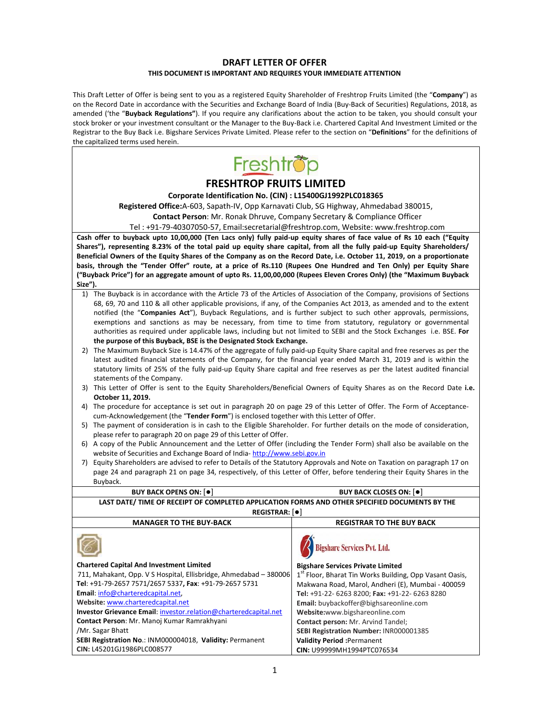# **DRAFT LETTER OF OFFER THIS DOCUMENT IS IMPORTANT AND REQUIRES YOUR IMMEDIATE ATTENTION**

This Draft Letter of Offer is being sent to you as a registered Equity Shareholder of Freshtrop Fruits Limited (the "**Company**") as on the Record Date in accordance with the Securities and Exchange Board of India (Buy‐Back of Securities) Regulations, 2018, as amended ('the "**Buyback Regulations"**). If you require any clarifications about the action to be taken, you should consult your stock broker or your investment consultant or the Manager to the Buy‐Back i.e. Chartered Capital And Investment Limited or the Registrar to the Buy Back i.e. Bigshare Services Private Limited. Please refer to the section on "**Definitions**" for the definitions of the capitalized terms used herein.

| the capitalized terms used herein.                                                                                                                                                                                                             |                                                                              |  |  |
|------------------------------------------------------------------------------------------------------------------------------------------------------------------------------------------------------------------------------------------------|------------------------------------------------------------------------------|--|--|
| Freshtrop                                                                                                                                                                                                                                      |                                                                              |  |  |
| <b>FRESHTROP FRUITS LIMITED</b>                                                                                                                                                                                                                |                                                                              |  |  |
| Corporate Identification No. (CIN) : L15400GJ1992PLC018365                                                                                                                                                                                     |                                                                              |  |  |
| Registered Office: A-603, Sapath-IV, Opp Karnavati Club, SG Highway, Ahmedabad 380015,                                                                                                                                                         |                                                                              |  |  |
| Contact Person: Mr. Ronak Dhruve, Company Secretary & Compliance Officer                                                                                                                                                                       |                                                                              |  |  |
| Tel: +91-79-40307050-57, Email:secretarial@freshtrop.com, Website: www.freshtrop.com                                                                                                                                                           |                                                                              |  |  |
| Cash offer to buyback upto 10,00,000 (Ten Lacs only) fully paid-up equity shares of face value of Rs 10 each ("Equity                                                                                                                          |                                                                              |  |  |
| Shares"), representing 8.23% of the total paid up equity share capital, from all the fully paid-up Equity Shareholders/                                                                                                                        |                                                                              |  |  |
| Beneficial Owners of the Equity Shares of the Company as on the Record Date, i.e. October 11, 2019, on a proportionate                                                                                                                         |                                                                              |  |  |
| basis, through the "Tender Offer" route, at a price of Rs.110 (Rupees One Hundred and Ten Only) per Equity Share<br>("Buyback Price") for an aggregate amount of upto Rs. 11,00,00,000 (Rupees Eleven Crores Only) (the "Maximum Buyback       |                                                                              |  |  |
| Size").                                                                                                                                                                                                                                        |                                                                              |  |  |
| 1) The Buyback is in accordance with the Article 73 of the Articles of Association of the Company, provisions of Sections                                                                                                                      |                                                                              |  |  |
| 68, 69, 70 and 110 & all other applicable provisions, if any, of the Companies Act 2013, as amended and to the extent                                                                                                                          |                                                                              |  |  |
| notified (the "Companies Act"), Buyback Regulations, and is further subject to such other approvals, permissions,                                                                                                                              |                                                                              |  |  |
| exemptions and sanctions as may be necessary, from time to time from statutory, regulatory or governmental                                                                                                                                     |                                                                              |  |  |
| authorities as required under applicable laws, including but not limited to SEBI and the Stock Exchanges i.e. BSE. For                                                                                                                         |                                                                              |  |  |
| the purpose of this Buyback, BSE is the Designated Stock Exchange.                                                                                                                                                                             |                                                                              |  |  |
| 2) The Maximum Buyback Size is 14.47% of the aggregate of fully paid-up Equity Share capital and free reserves as per the<br>latest audited financial statements of the Company, for the financial year ended March 31, 2019 and is within the |                                                                              |  |  |
| statutory limits of 25% of the fully paid-up Equity Share capital and free reserves as per the latest audited financial                                                                                                                        |                                                                              |  |  |
| statements of the Company.                                                                                                                                                                                                                     |                                                                              |  |  |
| 3) This Letter of Offer is sent to the Equity Shareholders/Beneficial Owners of Equity Shares as on the Record Date i.e.                                                                                                                       |                                                                              |  |  |
| October 11, 2019.                                                                                                                                                                                                                              |                                                                              |  |  |
| 4) The procedure for acceptance is set out in paragraph 20 on page 29 of this Letter of Offer. The Form of Acceptance-                                                                                                                         |                                                                              |  |  |
| cum-Acknowledgement (the "Tender Form") is enclosed together with this Letter of Offer.<br>5) The payment of consideration is in cash to the Eligible Shareholder. For further details on the mode of consideration,                           |                                                                              |  |  |
| please refer to paragraph 20 on page 29 of this Letter of Offer.                                                                                                                                                                               |                                                                              |  |  |
| 6) A copy of the Public Announcement and the Letter of Offer (including the Tender Form) shall also be available on the                                                                                                                        |                                                                              |  |  |
| website of Securities and Exchange Board of India-http://www.sebi.gov.in                                                                                                                                                                       |                                                                              |  |  |
| 7) Equity Shareholders are advised to refer to Details of the Statutory Approvals and Note on Taxation on paragraph 17 on                                                                                                                      |                                                                              |  |  |
| page 24 and paragraph 21 on page 34, respectively, of this Letter of Offer, before tendering their Equity Shares in the                                                                                                                        |                                                                              |  |  |
| Buyback.                                                                                                                                                                                                                                       |                                                                              |  |  |
| <b>BUY BACK OPENS ON: [0]</b>                                                                                                                                                                                                                  | <b>BUY BACK CLOSES ON: 0</b>                                                 |  |  |
| LAST DATE/ TIME OF RECEIPT OF COMPLETED APPLICATION FORMS AND OTHER SPECIFIED DOCUMENTS BY THE<br><b>REGISTRAR:</b> [ $\bullet$ ]                                                                                                              |                                                                              |  |  |
| <b>MANAGER TO THE BUY-BACK</b>                                                                                                                                                                                                                 | <b>REGISTRAR TO THE BUY BACK</b>                                             |  |  |
| $\sim$                                                                                                                                                                                                                                         | <b>Bigshare Services Pvt. Ltd.</b>                                           |  |  |
| <b>Chartered Capital And Investment Limited</b>                                                                                                                                                                                                | <b>Bigshare Services Private Limited</b>                                     |  |  |
| 711, Mahakant, Opp. V S Hospital, Ellisbridge, Ahmedabad - 380006                                                                                                                                                                              | 1 <sup>st</sup> Floor, Bharat Tin Works Building, Opp Vasant Oasis,          |  |  |
| Tel: +91-79-2657 7571/2657 5337, Fax: +91-79-2657 5731                                                                                                                                                                                         | Makwana Road, Marol, Andheri (E), Mumbai - 400059                            |  |  |
| Email: info@charteredcapital.net,                                                                                                                                                                                                              | Tel: +91-22- 6263 8200; Fax: +91-22- 6263 8280                               |  |  |
| Website: www.charteredcapital.net                                                                                                                                                                                                              | Email: buybackoffer@bighsareonline.com                                       |  |  |
| Investor Grievance Email: investor.relation@charteredcapital.net<br>Contact Person: Mr. Manoj Kumar Ramrakhyani                                                                                                                                | Website:www.bigshareonline.com                                               |  |  |
| /Mr. Sagar Bhatt                                                                                                                                                                                                                               | Contact person: Mr. Arvind Tandel;<br>SEBI Registration Number: INR000001385 |  |  |
| SEBI Registration No.: INM000004018, Validity: Permanent                                                                                                                                                                                       | <b>Validity Period :Permanent</b>                                            |  |  |
| CIN: L45201GJ1986PLC008577                                                                                                                                                                                                                     | CIN: U99999MH1994PTC076534                                                   |  |  |
|                                                                                                                                                                                                                                                |                                                                              |  |  |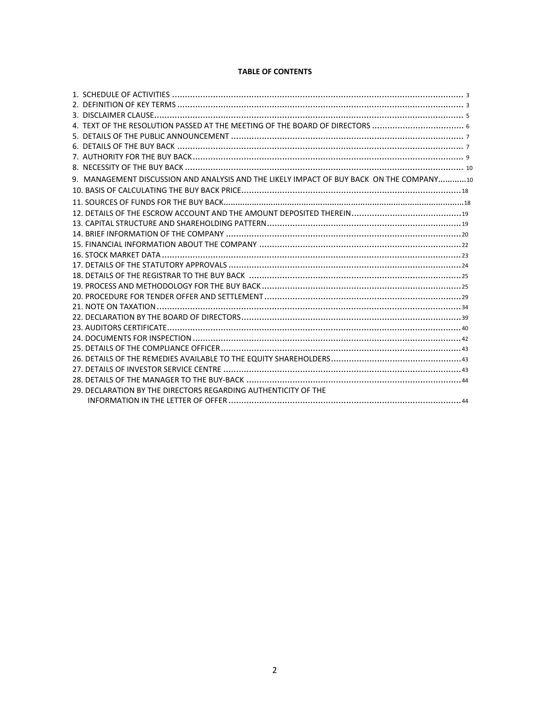# **TABLE OF CONTENTS**

| 9. MANAGEMENT DISCUSSION AND ANALYSIS AND THE LIKELY IMPACT OF BUY BACK ON THE COMPANY10 |  |
|------------------------------------------------------------------------------------------|--|
|                                                                                          |  |
|                                                                                          |  |
|                                                                                          |  |
|                                                                                          |  |
|                                                                                          |  |
|                                                                                          |  |
|                                                                                          |  |
|                                                                                          |  |
|                                                                                          |  |
|                                                                                          |  |
|                                                                                          |  |
|                                                                                          |  |
|                                                                                          |  |
|                                                                                          |  |
|                                                                                          |  |
|                                                                                          |  |
|                                                                                          |  |
|                                                                                          |  |
|                                                                                          |  |
| 29. DECLARATION BY THE DIRECTORS REGARDING AUTHENTICITY OF THE                           |  |
|                                                                                          |  |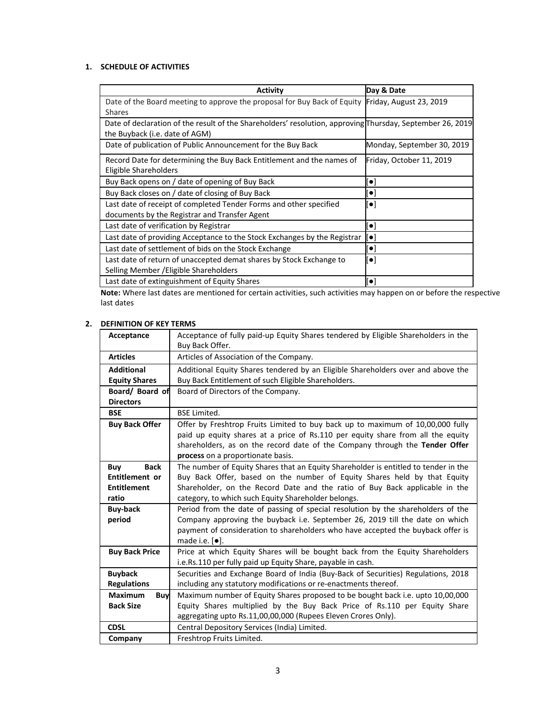# **1. SCHEDULE OF ACTIVITIES**

| <b>Activity</b>                                                                                           | Day & Date                 |
|-----------------------------------------------------------------------------------------------------------|----------------------------|
| Date of the Board meeting to approve the proposal for Buy Back of Equity Friday, August 23, 2019          |                            |
| <b>Shares</b>                                                                                             |                            |
| Date of declaration of the result of the Shareholders' resolution, approving Thursday, September 26, 2019 |                            |
| the Buyback (i.e. date of AGM)                                                                            |                            |
| Date of publication of Public Announcement for the Buy Back                                               | Monday, September 30, 2019 |
| Record Date for determining the Buy Back Entitlement and the names of                                     | Friday, October 11, 2019   |
| Eligible Shareholders                                                                                     |                            |
| Buy Back opens on / date of opening of Buy Back                                                           | $\left[ \bullet \right]$   |
| Buy Back closes on / date of closing of Buy Back                                                          | $\llbracket\bullet\rbrack$ |
| Last date of receipt of completed Tender Forms and other specified                                        | $[\bullet]$                |
| documents by the Registrar and Transfer Agent                                                             |                            |
| Last date of verification by Registrar                                                                    | $[\bullet]$                |
| Last date of providing Acceptance to the Stock Exchanges by the Registrar                                 | $\left[ \bullet \right]$   |
| Last date of settlement of bids on the Stock Exchange                                                     | [•]                        |
| Last date of return of unaccepted demat shares by Stock Exchange to                                       | [•]                        |
| Selling Member / Eligible Shareholders                                                                    |                            |
| Last date of extinguishment of Equity Shares                                                              | [[•                        |

**Note:** Where last dates are mentioned for certain activities, such activities may happen on or before the respective last dates

# **2. DEFINITION OF KEY TERMS**

| Acceptance            | Acceptance of fully paid-up Equity Shares tendered by Eligible Shareholders in the  |
|-----------------------|-------------------------------------------------------------------------------------|
|                       | Buy Back Offer.                                                                     |
| <b>Articles</b>       | Articles of Association of the Company.                                             |
| <b>Additional</b>     | Additional Equity Shares tendered by an Eligible Shareholders over and above the    |
| <b>Equity Shares</b>  | Buy Back Entitlement of such Eligible Shareholders.                                 |
| Board/ Board of       | Board of Directors of the Company.                                                  |
| <b>Directors</b>      |                                                                                     |
| <b>BSE</b>            | <b>BSE Limited.</b>                                                                 |
| <b>Buy Back Offer</b> | Offer by Freshtrop Fruits Limited to buy back up to maximum of 10,00,000 fully      |
|                       | paid up equity shares at a price of Rs.110 per equity share from all the equity     |
|                       | shareholders, as on the record date of the Company through the Tender Offer         |
|                       | process on a proportionate basis.                                                   |
| <b>Back</b><br>Buy    | The number of Equity Shares that an Equity Shareholder is entitled to tender in the |
| Entitlement or        | Buy Back Offer, based on the number of Equity Shares held by that Equity            |
| <b>Entitlement</b>    | Shareholder, on the Record Date and the ratio of Buy Back applicable in the         |
| ratio                 | category, to which such Equity Shareholder belongs.                                 |
| <b>Buy-back</b>       | Period from the date of passing of special resolution by the shareholders of the    |
| period                | Company approving the buyback i.e. September 26, 2019 till the date on which        |
|                       | payment of consideration to shareholders who have accepted the buyback offer is     |
|                       | made i.e. $[\bullet]$ .                                                             |
| <b>Buy Back Price</b> | Price at which Equity Shares will be bought back from the Equity Shareholders       |
|                       | i.e.Rs.110 per fully paid up Equity Share, payable in cash.                         |
| <b>Buyback</b>        | Securities and Exchange Board of India (Buy-Back of Securities) Regulations, 2018   |
| <b>Regulations</b>    | including any statutory modifications or re-enactments thereof.                     |
| <b>Maximum</b><br>Buy | Maximum number of Equity Shares proposed to be bought back i.e. upto 10,00,000      |
| <b>Back Size</b>      | Equity Shares multiplied by the Buy Back Price of Rs.110 per Equity Share           |
|                       | aggregating upto Rs.11,00,00,000 (Rupees Eleven Crores Only).                       |
| <b>CDSL</b>           | Central Depository Services (India) Limited.                                        |
| Company               | Freshtrop Fruits Limited.                                                           |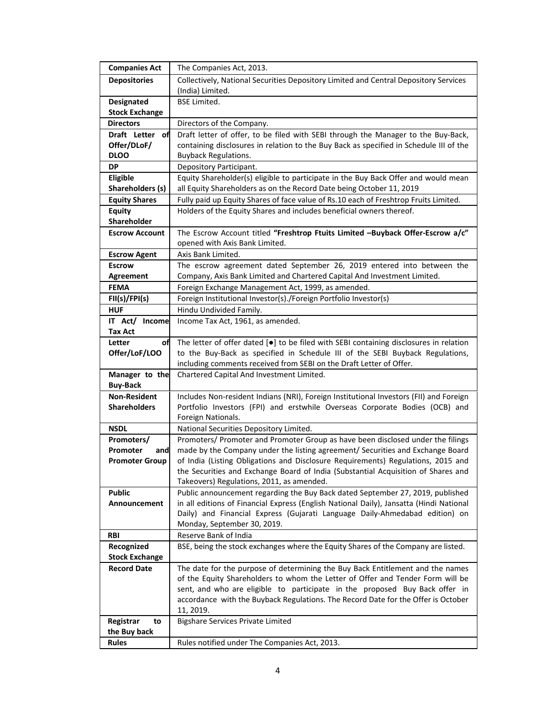| <b>Companies Act</b>                        | The Companies Act, 2013.                                                                                                                                                          |
|---------------------------------------------|-----------------------------------------------------------------------------------------------------------------------------------------------------------------------------------|
| <b>Depositories</b>                         | Collectively, National Securities Depository Limited and Central Depository Services                                                                                              |
|                                             | (India) Limited.                                                                                                                                                                  |
| Designated                                  | <b>BSE Limited.</b>                                                                                                                                                               |
| <b>Stock Exchange</b>                       |                                                                                                                                                                                   |
| <b>Directors</b>                            | Directors of the Company.                                                                                                                                                         |
| Draft Letter<br>оf                          | Draft letter of offer, to be filed with SEBI through the Manager to the Buy-Back,                                                                                                 |
| Offer/DLoF/                                 | containing disclosures in relation to the Buy Back as specified in Schedule III of the                                                                                            |
| <b>DLOO</b>                                 | <b>Buyback Regulations.</b>                                                                                                                                                       |
| <b>DP</b>                                   | Depository Participant.                                                                                                                                                           |
| Eligible                                    | Equity Shareholder(s) eligible to participate in the Buy Back Offer and would mean                                                                                                |
| Shareholders (s)                            | all Equity Shareholders as on the Record Date being October 11, 2019                                                                                                              |
| <b>Equity Shares</b>                        | Fully paid up Equity Shares of face value of Rs.10 each of Freshtrop Fruits Limited.                                                                                              |
| <b>Equity</b>                               | Holders of the Equity Shares and includes beneficial owners thereof.                                                                                                              |
| Shareholder                                 |                                                                                                                                                                                   |
| <b>Escrow Account</b>                       | The Escrow Account titled "Freshtrop Ftuits Limited -Buyback Offer-Escrow a/c"                                                                                                    |
|                                             | opened with Axis Bank Limited.                                                                                                                                                    |
| <b>Escrow Agent</b>                         | Axis Bank Limited.                                                                                                                                                                |
| <b>Escrow</b>                               | The escrow agreement dated September 26, 2019 entered into between the                                                                                                            |
| Agreement                                   | Company, Axis Bank Limited and Chartered Capital And Investment Limited.                                                                                                          |
| <b>FEMA</b>                                 | Foreign Exchange Management Act, 1999, as amended.                                                                                                                                |
| FI(S)/FPI(S)                                | Foreign Institutional Investor(s)./Foreign Portfolio Investor(s)                                                                                                                  |
| <b>HUF</b>                                  | Hindu Undivided Family.                                                                                                                                                           |
| IT Act/ Income                              | Income Tax Act, 1961, as amended.                                                                                                                                                 |
| Tax Act                                     |                                                                                                                                                                                   |
| of<br>Letter                                | The letter of offer dated [ $\bullet$ ] to be filed with SEBI containing disclosures in relation<br>to the Buy-Back as specified in Schedule III of the SEBI Buyback Regulations, |
| Offer/LoF/LOO                               | including comments received from SEBI on the Draft Letter of Offer.                                                                                                               |
| Manager to the                              | Chartered Capital And Investment Limited.                                                                                                                                         |
| <b>Buy-Back</b>                             |                                                                                                                                                                                   |
| <b>Non-Resident</b>                         | Includes Non-resident Indians (NRI), Foreign Institutional Investors (FII) and Foreign                                                                                            |
| <b>Shareholders</b>                         | Portfolio Investors (FPI) and erstwhile Overseas Corporate Bodies (OCB) and                                                                                                       |
|                                             | Foreign Nationals.                                                                                                                                                                |
| <b>NSDL</b>                                 | National Securities Depository Limited.                                                                                                                                           |
| Promoters/                                  | Promoters/ Promoter and Promoter Group as have been disclosed under the filings                                                                                                   |
| Promoter<br>and                             | made by the Company under the listing agreement/ Securities and Exchange Board                                                                                                    |
| <b>Promoter Group</b>                       | of India (Listing Obligations and Disclosure Requirements) Regulations, 2015 and                                                                                                  |
|                                             | the Securities and Exchange Board of India (Substantial Acquisition of Shares and                                                                                                 |
|                                             | Takeovers) Regulations, 2011, as amended.                                                                                                                                         |
| <b>Public</b>                               | Public announcement regarding the Buy Back dated September 27, 2019, published                                                                                                    |
| Announcement                                | in all editions of Financial Express (English National Daily), Jansatta (Hindi National                                                                                           |
|                                             | Daily) and Financial Express (Gujarati Language Daily-Ahmedabad edition) on                                                                                                       |
|                                             | Monday, September 30, 2019.                                                                                                                                                       |
| <b>RBI</b>                                  | Reserve Bank of India                                                                                                                                                             |
| Recognized                                  | BSE, being the stock exchanges where the Equity Shares of the Company are listed.                                                                                                 |
| <b>Stock Exchange</b><br><b>Record Date</b> |                                                                                                                                                                                   |
|                                             | The date for the purpose of determining the Buy Back Entitlement and the names<br>of the Equity Shareholders to whom the Letter of Offer and Tender Form will be                  |
|                                             | sent, and who are eligible to participate in the proposed Buy Back offer in                                                                                                       |
|                                             | accordance with the Buyback Regulations. The Record Date for the Offer is October                                                                                                 |
|                                             | 11, 2019.                                                                                                                                                                         |
| Registrar<br>to                             | <b>Bigshare Services Private Limited</b>                                                                                                                                          |
| the Buy back                                |                                                                                                                                                                                   |
| <b>Rules</b>                                | Rules notified under The Companies Act, 2013.                                                                                                                                     |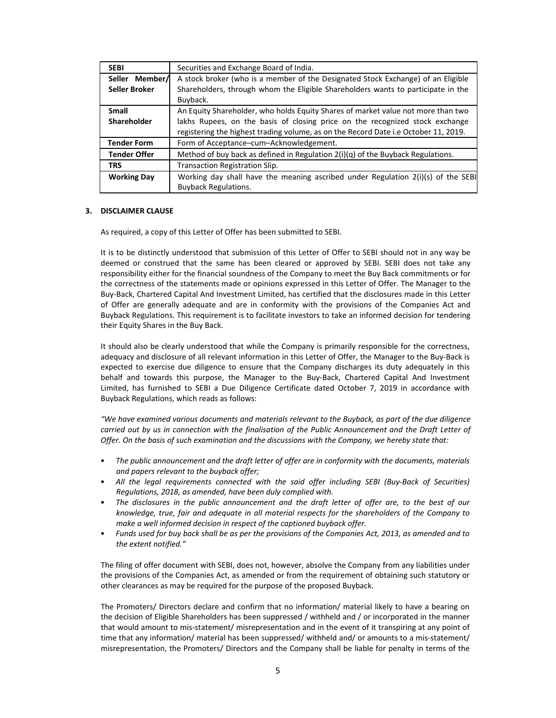| <b>SEBI</b>         | Securities and Exchange Board of India.                                             |
|---------------------|-------------------------------------------------------------------------------------|
| Seller Member/      | A stock broker (who is a member of the Designated Stock Exchange) of an Eligible    |
| Seller Broker       | Shareholders, through whom the Eligible Shareholders wants to participate in the    |
|                     | Buyback.                                                                            |
| <b>Small</b>        | An Equity Shareholder, who holds Equity Shares of market value not more than two    |
| <b>Shareholder</b>  | lakhs Rupees, on the basis of closing price on the recognized stock exchange        |
|                     | registering the highest trading volume, as on the Record Date i.e October 11, 2019. |
| <b>Tender Form</b>  | Form of Acceptance–cum–Acknowledgement.                                             |
| <b>Tender Offer</b> | Method of buy back as defined in Regulation $2(i)(q)$ of the Buyback Regulations.   |
| <b>TRS</b>          | <b>Transaction Registration Slip.</b>                                               |
| <b>Working Day</b>  | Working day shall have the meaning ascribed under Regulation $2(i)(s)$ of the SEBI  |
|                     | <b>Buyback Regulations.</b>                                                         |

#### **3. DISCLAIMER CLAUSE**

As required, a copy of this Letter of Offer has been submitted to SEBI.

It is to be distinctly understood that submission of this Letter of Offer to SEBI should not in any way be deemed or construed that the same has been cleared or approved by SEBI. SEBI does not take any responsibility either for the financial soundness of the Company to meet the Buy Back commitments or for the correctness of the statements made or opinions expressed in this Letter of Offer. The Manager to the Buy‐Back, Chartered Capital And Investment Limited, has certified that the disclosures made in this Letter of Offer are generally adequate and are in conformity with the provisions of the Companies Act and Buyback Regulations. This requirement is to facilitate investors to take an informed decision for tendering their Equity Shares in the Buy Back.

It should also be clearly understood that while the Company is primarily responsible for the correctness, adequacy and disclosure of all relevant information in this Letter of Offer, the Manager to the Buy‐Back is expected to exercise due diligence to ensure that the Company discharges its duty adequately in this behalf and towards this purpose, the Manager to the Buy‐Back, Chartered Capital And Investment Limited, has furnished to SEBI a Due Diligence Certificate dated October 7, 2019 in accordance with Buyback Regulations, which reads as follows:

*"We have examined various documents and materials relevant to the Buyback, as part of the due diligence* carried out by us in connection with the finalisation of the Public Announcement and the Draft Letter of *Offer. On the basis of such examination and the discussions with the Company, we hereby state that:*

- *The public announcement and the draft letter of offer are in conformity with the documents, materials and papers relevant to the buyback offer;*
- *All the legal requirements connected with the said offer including SEBI (Buy‐Back of Securities) Regulations, 2018, as amended, have been duly complied with.*
- *The disclosures in the public announcement and the draft letter of offer are, to the best of our knowledge, true, fair and adequate in all material respects for the shareholders of the Company to make a well informed decision in respect of the captioned buyback offer.*
- Funds used for buy back shall be as per the provisions of the Companies Act, 2013, as amended and to *the extent notified."*

The filing of offer document with SEBI, does not, however, absolve the Company from any liabilities under the provisions of the Companies Act, as amended or from the requirement of obtaining such statutory or other clearances as may be required for the purpose of the proposed Buyback.

The Promoters/ Directors declare and confirm that no information/ material likely to have a bearing on the decision of Eligible Shareholders has been suppressed / withheld and / or incorporated in the manner that would amount to mis‐statement/ misrepresentation and in the event of it transpiring at any point of time that any information/ material has been suppressed/ withheld and/ or amounts to a mis-statement/ misrepresentation, the Promoters/ Directors and the Company shall be liable for penalty in terms of the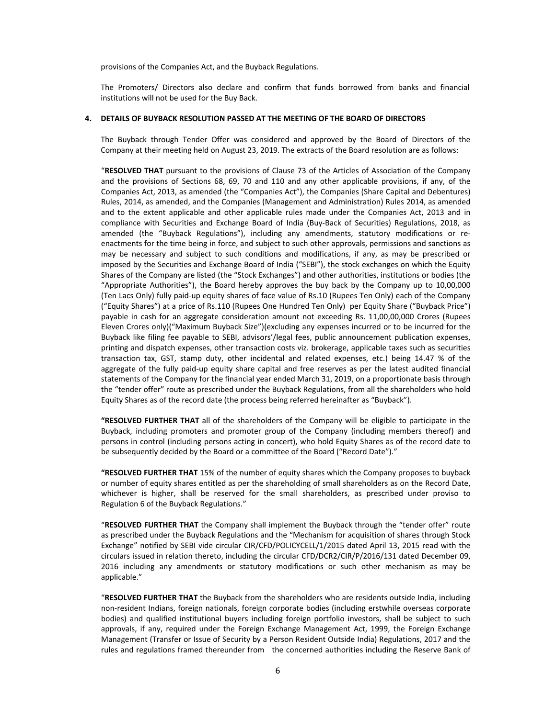provisions of the Companies Act, and the Buyback Regulations.

The Promoters/ Directors also declare and confirm that funds borrowed from banks and financial institutions will not be used for the Buy Back.

#### **4. DETAILS OF BUYBACK RESOLUTION PASSED AT THE MEETING OF THE BOARD OF DIRECTORS**

The Buyback through Tender Offer was considered and approved by the Board of Directors of the Company at their meeting held on August 23, 2019. The extracts of the Board resolution are as follows:

"**RESOLVED THAT** pursuant to the provisions of Clause 73 of the Articles of Association of the Company and the provisions of Sections 68, 69, 70 and 110 and any other applicable provisions, if any, of the Companies Act, 2013, as amended (the "Companies Act"), the Companies (Share Capital and Debentures) Rules, 2014, as amended, and the Companies (Management and Administration) Rules 2014, as amended and to the extent applicable and other applicable rules made under the Companies Act, 2013 and in compliance with Securities and Exchange Board of India (Buy‐Back of Securities) Regulations, 2018, as amended (the "Buyback Regulations"), including any amendments, statutory modifications or reenactments for the time being in force, and subject to such other approvals, permissions and sanctions as may be necessary and subject to such conditions and modifications, if any, as may be prescribed or imposed by the Securities and Exchange Board of India ("SEBI"), the stock exchanges on which the Equity Shares of the Company are listed (the "Stock Exchanges") and other authorities, institutions or bodies (the "Appropriate Authorities"), the Board hereby approves the buy back by the Company up to 10,00,000 (Ten Lacs Only) fully paid‐up equity shares of face value of Rs.10 (Rupees Ten Only) each of the Company ("Equity Shares") at a price of Rs.110 (Rupees One Hundred Ten Only) per Equity Share ("Buyback Price") payable in cash for an aggregate consideration amount not exceeding Rs. 11,00,00,000 Crores (Rupees Eleven Crores only)("Maximum Buyback Size")(excluding any expenses incurred or to be incurred for the Buyback like filing fee payable to SEBI, advisors'/legal fees, public announcement publication expenses, printing and dispatch expenses, other transaction costs viz. brokerage, applicable taxes such as securities transaction tax, GST, stamp duty, other incidental and related expenses, etc.) being 14.47 % of the aggregate of the fully paid‐up equity share capital and free reserves as per the latest audited financial statements of the Company for the financial year ended March 31, 2019, on a proportionate basis through the "tender offer" route as prescribed under the Buyback Regulations, from all the shareholders who hold Equity Shares as of the record date (the process being referred hereinafter as "Buyback").

**"RESOLVED FURTHER THAT** all of the shareholders of the Company will be eligible to participate in the Buyback, including promoters and promoter group of the Company (including members thereof) and persons in control (including persons acting in concert), who hold Equity Shares as of the record date to be subsequently decided by the Board or a committee of the Board ("Record Date")."

**"RESOLVED FURTHER THAT** 15% of the number of equity shares which the Company proposes to buyback or number of equity shares entitled as per the shareholding of small shareholders as on the Record Date, whichever is higher, shall be reserved for the small shareholders, as prescribed under proviso to Regulation 6 of the Buyback Regulations."

"**RESOLVED FURTHER THAT** the Company shall implement the Buyback through the "tender offer" route as prescribed under the Buyback Regulations and the "Mechanism for acquisition of shares through Stock Exchange" notified by SEBI vide circular CIR/CFD/POLICYCELL/1/2015 dated April 13, 2015 read with the circulars issued in relation thereto, including the circular CFD/DCR2/CIR/P/2016/131 dated December 09, 2016 including any amendments or statutory modifications or such other mechanism as may be applicable."

"**RESOLVED FURTHER THAT** the Buyback from the shareholders who are residents outside India, including non‐resident Indians, foreign nationals, foreign corporate bodies (including erstwhile overseas corporate bodies) and qualified institutional buyers including foreign portfolio investors, shall be subject to such approvals, if any, required under the Foreign Exchange Management Act, 1999, the Foreign Exchange Management (Transfer or Issue of Security by a Person Resident Outside India) Regulations, 2017 and the rules and regulations framed thereunder from the concerned authorities including the Reserve Bank of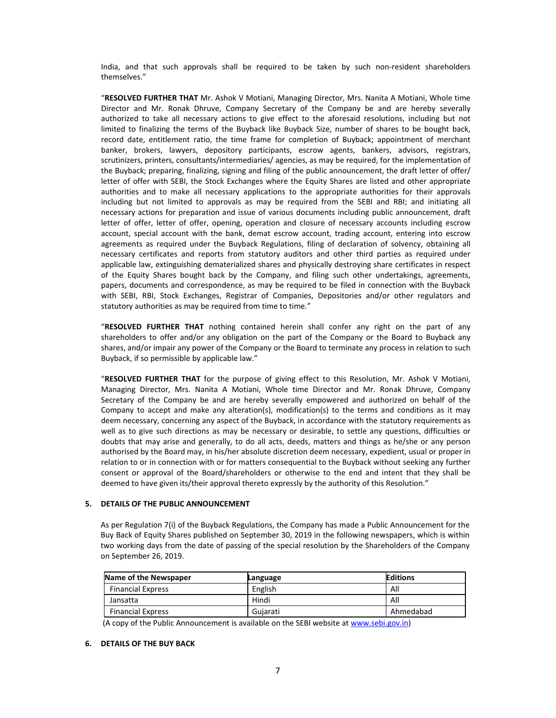India, and that such approvals shall be required to be taken by such non‐resident shareholders themselves."

"**RESOLVED FURTHER THAT** Mr. Ashok V Motiani, Managing Director, Mrs. Nanita A Motiani, Whole time Director and Mr. Ronak Dhruve, Company Secretary of the Company be and are hereby severally authorized to take all necessary actions to give effect to the aforesaid resolutions, including but not limited to finalizing the terms of the Buyback like Buyback Size, number of shares to be bought back, record date, entitlement ratio, the time frame for completion of Buyback; appointment of merchant banker, brokers, lawyers, depository participants, escrow agents, bankers, advisors, registrars, scrutinizers, printers, consultants/intermediaries/ agencies, as may be required, for the implementation of the Buyback; preparing, finalizing, signing and filing of the public announcement, the draft letter of offer/ letter of offer with SEBI, the Stock Exchanges where the Equity Shares are listed and other appropriate authorities and to make all necessary applications to the appropriate authorities for their approvals including but not limited to approvals as may be required from the SEBI and RBI; and initiating all necessary actions for preparation and issue of various documents including public announcement, draft letter of offer, letter of offer, opening, operation and closure of necessary accounts including escrow account, special account with the bank, demat escrow account, trading account, entering into escrow agreements as required under the Buyback Regulations, filing of declaration of solvency, obtaining all necessary certificates and reports from statutory auditors and other third parties as required under applicable law, extinguishing dematerialized shares and physically destroying share certificates in respect of the Equity Shares bought back by the Company, and filing such other undertakings, agreements, papers, documents and correspondence, as may be required to be filed in connection with the Buyback with SEBI, RBI, Stock Exchanges, Registrar of Companies, Depositories and/or other regulators and statutory authorities as may be required from time to time."

"**RESOLVED FURTHER THAT** nothing contained herein shall confer any right on the part of any shareholders to offer and/or any obligation on the part of the Company or the Board to Buyback any shares, and/or impair any power of the Company or the Board to terminate any process in relation to such Buyback, if so permissible by applicable law."

"**RESOLVED FURTHER THAT** for the purpose of giving effect to this Resolution, Mr. Ashok V Motiani, Managing Director, Mrs. Nanita A Motiani, Whole time Director and Mr. Ronak Dhruve, Company Secretary of the Company be and are hereby severally empowered and authorized on behalf of the Company to accept and make any alteration(s), modification(s) to the terms and conditions as it may deem necessary, concerning any aspect of the Buyback, in accordance with the statutory requirements as well as to give such directions as may be necessary or desirable, to settle any questions, difficulties or doubts that may arise and generally, to do all acts, deeds, matters and things as he/she or any person authorised by the Board may, in his/her absolute discretion deem necessary, expedient, usual or proper in relation to or in connection with or for matters consequential to the Buyback without seeking any further consent or approval of the Board/shareholders or otherwise to the end and intent that they shall be deemed to have given its/their approval thereto expressly by the authority of this Resolution."

#### **5. DETAILS OF THE PUBLIC ANNOUNCEMENT**

As per Regulation 7(i) of the Buyback Regulations, the Company has made a Public Announcement for the Buy Back of Equity Shares published on September 30, 2019 in the following newspapers, which is within two working days from the date of passing of the special resolution by the Shareholders of the Company on September 26, 2019.

| Name of the Newspaper    | Language | <b>Editions</b> |
|--------------------------|----------|-----------------|
| <b>Financial Express</b> | English  | All             |
| Jansatta                 | Hindi    | All             |
| <b>Financial Express</b> | Guiarati | Ahmedabad       |

(A copy of the Public Announcement is available on the SEBI website at www.sebi.gov.in)

#### **6. DETAILS OF THE BUY BACK**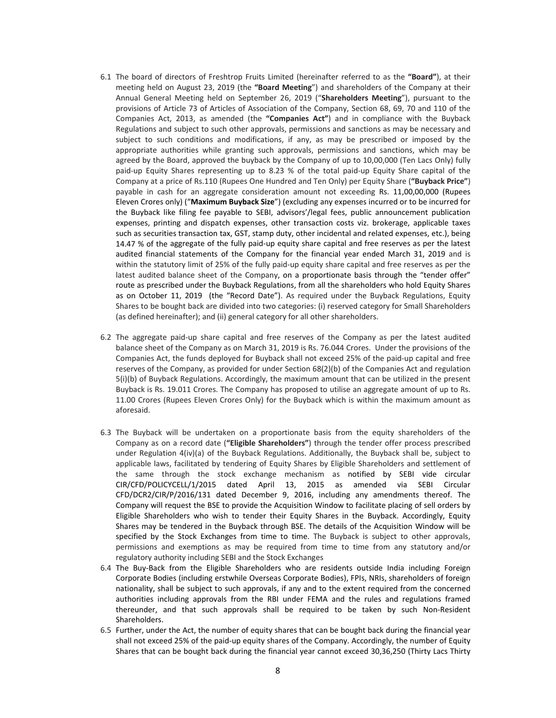- 6.1 The board of directors of Freshtrop Fruits Limited (hereinafter referred to as the **"Board"**), at their meeting held on August 23, 2019 (the **"Board Meeting**") and shareholders of the Company at their Annual General Meeting held on September 26, 2019 ("**Shareholders Meeting**"), pursuant to the provisions of Article 73 of Articles of Association of the Company, Section 68, 69, 70 and 110 of the Companies Act, 2013, as amended (the **"Companies Act"**) and in compliance with the Buyback Regulations and subject to such other approvals, permissions and sanctions as may be necessary and subject to such conditions and modifications, if any, as may be prescribed or imposed by the appropriate authorities while granting such approvals, permissions and sanctions, which may be agreed by the Board, approved the buyback by the Company of up to 10,00,000 (Ten Lacs Only) fully paid‐up Equity Shares representing up to 8.23 % of the total paid‐up Equity Share capital of the Company at a price of Rs.110 (Rupees One Hundred and Ten Only) per Equity Share (**"Buyback Price"**) payable in cash for an aggregate consideration amount not exceeding Rs. 11,00,00,000 (Rupees Eleven Crores only) ("**Maximum Buyback Size**") (excluding any expenses incurred or to be incurred for the Buyback like filing fee payable to SEBI, advisors'/legal fees, public announcement publication expenses, printing and dispatch expenses, other transaction costs viz. brokerage, applicable taxes such as securities transaction tax, GST, stamp duty, other incidental and related expenses, etc.), being 14.47 % of the aggregate of the fully paid‐up equity share capital and free reserves as per the latest audited financial statements of the Company for the financial year ended March 31, 2019 and is within the statutory limit of 25% of the fully paid-up equity share capital and free reserves as per the latest audited balance sheet of the Company, on a proportionate basis through the "tender offer" route as prescribed under the Buyback Regulations, from all the shareholders who hold Equity Shares as on October 11, 2019 (the "Record Date"). As required under the Buyback Regulations, Equity Shares to be bought back are divided into two categories: (i) reserved category for Small Shareholders (as defined hereinafter); and (ii) general category for all other shareholders.
- 6.2 The aggregate paid‐up share capital and free reserves of the Company as per the latest audited balance sheet of the Company as on March 31, 2019 is Rs. 76.044 Crores. Under the provisions of the Companies Act, the funds deployed for Buyback shall not exceed 25% of the paid‐up capital and free reserves of the Company, as provided for under Section 68(2)(b) of the Companies Act and regulation 5(i)(b) of Buyback Regulations. Accordingly, the maximum amount that can be utilized in the present Buyback is Rs. 19.011 Crores. The Company has proposed to utilise an aggregate amount of up to Rs. 11.00 Crores (Rupees Eleven Crores Only) for the Buyback which is within the maximum amount as aforesaid.
- 6.3 The Buyback will be undertaken on a proportionate basis from the equity shareholders of the Company as on a record date (**"Eligible Shareholders"**) through the tender offer process prescribed under Regulation 4(iv)(a) of the Buyback Regulations. Additionally, the Buyback shall be, subject to applicable laws, facilitated by tendering of Equity Shares by Eligible Shareholders and settlement of the same through the stock exchange mechanism as notified by SEBI vide circular CIR/CFD/POLICYCELL/1/2015 dated April 13, 2015 as amended via SEBI Circular CFD/DCR2/CIR/P/2016/131 dated December 9, 2016, including any amendments thereof. The Company will request the BSE to provide the Acquisition Window to facilitate placing of sell orders by Eligible Shareholders who wish to tender their Equity Shares in the Buyback. Accordingly, Equity Shares may be tendered in the Buyback through BSE. The details of the Acquisition Window will be specified by the Stock Exchanges from time to time. The Buyback is subject to other approvals, permissions and exemptions as may be required from time to time from any statutory and/or regulatory authority including SEBI and the Stock Exchanges
- 6.4 The Buy‐Back from the Eligible Shareholders who are residents outside India including Foreign Corporate Bodies (including erstwhile Overseas Corporate Bodies), FPIs, NRIs, shareholders of foreign nationality, shall be subject to such approvals, if any and to the extent required from the concerned authorities including approvals from the RBI under FEMA and the rules and regulations framed thereunder, and that such approvals shall be required to be taken by such Non‐Resident Shareholders.
- 6.5 Further, under the Act, the number of equity shares that can be bought back during the financial year shall not exceed 25% of the paid‐up equity shares of the Company. Accordingly, the number of Equity Shares that can be bought back during the financial year cannot exceed 30,36,250 (Thirty Lacs Thirty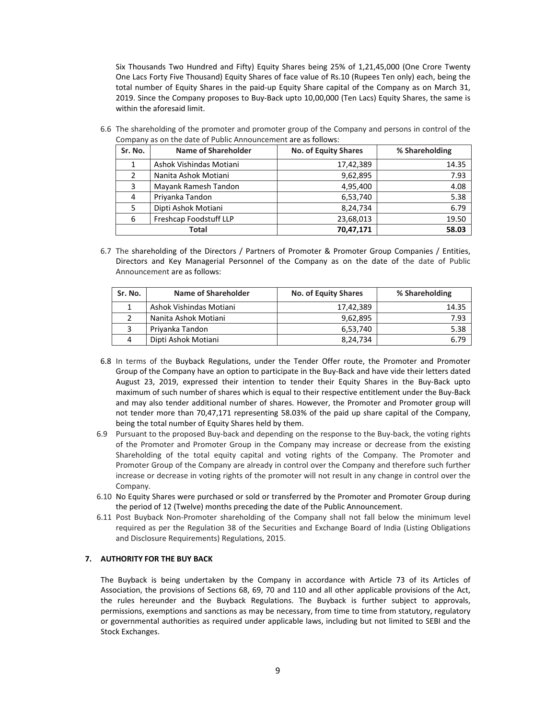Six Thousands Two Hundred and Fifty) Equity Shares being 25% of 1,21,45,000 (One Crore Twenty One Lacs Forty Five Thousand) Equity Shares of face value of Rs.10 (Rupees Ten only) each, being the total number of Equity Shares in the paid‐up Equity Share capital of the Company as on March 31, 2019. Since the Company proposes to Buy‐Back upto 10,00,000 (Ten Lacs) Equity Shares, the same is within the aforesaid limit.

| Sr. No. | <b>Name of Shareholder</b> | <b>No. of Equity Shares</b> | % Shareholding |
|---------|----------------------------|-----------------------------|----------------|
|         | Ashok Vishindas Motiani    | 17,42,389                   | 14.35          |
| 2       | Nanita Ashok Motiani       | 9,62,895                    | 7.93           |
| 3       | Mayank Ramesh Tandon       | 4,95,400                    | 4.08           |
| 4       | Priyanka Tandon            | 6,53,740                    | 5.38           |
| 5       | Dipti Ashok Motiani        | 8,24,734                    | 6.79           |
| 6       | Freshcap Foodstuff LLP     | 23,68,013                   | 19.50          |
|         | Total                      | 70,47,171                   | 58.03          |

6.6 The shareholding of the promoter and promoter group of the Company and persons in control of the Company as on the date of Public Announcement are as follows:

6.7 The shareholding of the Directors / Partners of Promoter & Promoter Group Companies / Entities, Directors and Key Managerial Personnel of the Company as on the date of the date of Public Announcement are as follows:

| Sr. No. | <b>Name of Shareholder</b> | <b>No. of Equity Shares</b> | % Shareholding |
|---------|----------------------------|-----------------------------|----------------|
|         | Ashok Vishindas Motiani    | 17,42,389                   | 14.35          |
|         | Nanita Ashok Motiani       | 9,62,895                    | 7.93           |
|         | Priyanka Tandon            | 6.53.740                    | 5.38           |
| 4       | Dipti Ashok Motiani        | 8,24,734                    | 6.79           |

- 6.8 In terms of the Buyback Regulations, under the Tender Offer route, the Promoter and Promoter Group of the Company have an option to participate in the Buy‐Back and have vide their letters dated August 23, 2019, expressed their intention to tender their Equity Shares in the Buy‐Back upto maximum of such number of shares which is equal to their respective entitlement under the Buy‐Back and may also tender additional number of shares. However, the Promoter and Promoter group will not tender more than 70,47,171 representing 58.03% of the paid up share capital of the Company, being the total number of Equity Shares held by them.
- 6.9 Pursuant to the proposed Buy‐back and depending on the response to the Buy‐back, the voting rights of the Promoter and Promoter Group in the Company may increase or decrease from the existing Shareholding of the total equity capital and voting rights of the Company. The Promoter and Promoter Group of the Company are already in control over the Company and therefore such further increase or decrease in voting rights of the promoter will not result in any change in control over the Company.
- 6.10 No Equity Shares were purchased or sold or transferred by the Promoter and Promoter Group during the period of 12 (Twelve) months preceding the date of the Public Announcement.
- 6.11 Post Buyback Non‐Promoter shareholding of the Company shall not fall below the minimum level required as per the Regulation 38 of the Securities and Exchange Board of India (Listing Obligations and Disclosure Requirements) Regulations, 2015.

# **7. AUTHORITY FOR THE BUY BACK**

The Buyback is being undertaken by the Company in accordance with Article 73 of its Articles of Association, the provisions of Sections 68, 69, 70 and 110 and all other applicable provisions of the Act, the rules hereunder and the Buyback Regulations. The Buyback is further subject to approvals, permissions, exemptions and sanctions as may be necessary, from time to time from statutory, regulatory or governmental authorities as required under applicable laws, including but not limited to SEBI and the Stock Exchanges.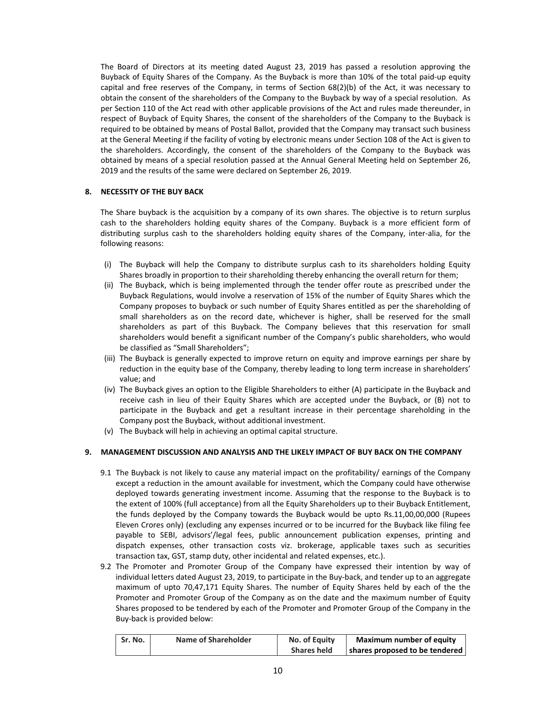The Board of Directors at its meeting dated August 23, 2019 has passed a resolution approving the Buyback of Equity Shares of the Company. As the Buyback is more than 10% of the total paid‐up equity capital and free reserves of the Company, in terms of Section 68(2)(b) of the Act, it was necessary to obtain the consent of the shareholders of the Company to the Buyback by way of a special resolution. As per Section 110 of the Act read with other applicable provisions of the Act and rules made thereunder, in respect of Buyback of Equity Shares, the consent of the shareholders of the Company to the Buyback is required to be obtained by means of Postal Ballot, provided that the Company may transact such business at the General Meeting if the facility of voting by electronic means under Section 108 of the Act is given to the shareholders. Accordingly, the consent of the shareholders of the Company to the Buyback was obtained by means of a special resolution passed at the Annual General Meeting held on September 26, 2019 and the results of the same were declared on September 26, 2019.

## **8. NECESSITY OF THE BUY BACK**

The Share buyback is the acquisition by a company of its own shares. The objective is to return surplus cash to the shareholders holding equity shares of the Company. Buyback is a more efficient form of distributing surplus cash to the shareholders holding equity shares of the Company, inter‐alia, for the following reasons:

- (i) The Buyback will help the Company to distribute surplus cash to its shareholders holding Equity Shares broadly in proportion to their shareholding thereby enhancing the overall return for them;
- (ii) The Buyback, which is being implemented through the tender offer route as prescribed under the Buyback Regulations, would involve a reservation of 15% of the number of Equity Shares which the Company proposes to buyback or such number of Equity Shares entitled as per the shareholding of small shareholders as on the record date, whichever is higher, shall be reserved for the small shareholders as part of this Buyback. The Company believes that this reservation for small shareholders would benefit a significant number of the Company's public shareholders, who would be classified as "Small Shareholders";
- (iii) The Buyback is generally expected to improve return on equity and improve earnings per share by reduction in the equity base of the Company, thereby leading to long term increase in shareholders' value; and
- (iv) The Buyback gives an option to the Eligible Shareholders to either (A) participate in the Buyback and receive cash in lieu of their Equity Shares which are accepted under the Buyback, or (B) not to participate in the Buyback and get a resultant increase in their percentage shareholding in the Company post the Buyback, without additional investment.
- (v) The Buyback will help in achieving an optimal capital structure.

#### **9. MANAGEMENT DISCUSSION AND ANALYSIS AND THE LIKELY IMPACT OF BUY BACK ON THE COMPANY**

- 9.1 The Buyback is not likely to cause any material impact on the profitability/ earnings of the Company except a reduction in the amount available for investment, which the Company could have otherwise deployed towards generating investment income. Assuming that the response to the Buyback is to the extent of 100% (full acceptance) from all the Equity Shareholders up to their Buyback Entitlement, the funds deployed by the Company towards the Buyback would be upto Rs.11,00,00,000 (Rupees Eleven Crores only) (excluding any expenses incurred or to be incurred for the Buyback like filing fee payable to SEBI, advisors'/legal fees, public announcement publication expenses, printing and dispatch expenses, other transaction costs viz. brokerage, applicable taxes such as securities transaction tax, GST, stamp duty, other incidental and related expenses, etc.).
- 9.2 The Promoter and Promoter Group of the Company have expressed their intention by way of individual letters dated August 23, 2019, to participate in the Buy‐back, and tender up to an aggregate maximum of upto 70,47,171 Equity Shares. The number of Equity Shares held by each of the the Promoter and Promoter Group of the Company as on the date and the maximum number of Equity Shares proposed to be tendered by each of the Promoter and Promoter Group of the Company in the Buy‐back is provided below:

| Sr. No. | Name of Shareholder | No. of Equity      | Maximum number of equity                       |
|---------|---------------------|--------------------|------------------------------------------------|
|         |                     | <b>Shares held</b> | $\vert$ shares proposed to be tendered $\vert$ |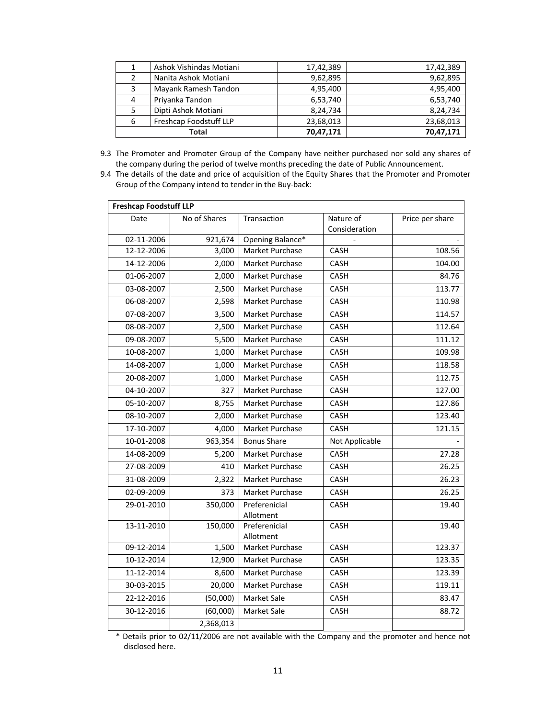|               | Ashok Vishindas Motiani | 17,42,389 | 17,42,389 |
|---------------|-------------------------|-----------|-----------|
| $\mathcal{P}$ | Nanita Ashok Motiani    | 9,62,895  | 9,62,895  |
| 3             | Mayank Ramesh Tandon    | 4,95,400  | 4,95,400  |
| 4             | Priyanka Tandon         | 6,53,740  | 6,53,740  |
|               | Dipti Ashok Motiani     | 8,24,734  | 8,24,734  |
| 6             | Freshcap Foodstuff LLP  | 23,68,013 | 23,68,013 |
|               | Total                   | 70,47,171 | 70,47,171 |

- 9.3 The Promoter and Promoter Group of the Company have neither purchased nor sold any shares of the company during the period of twelve months preceding the date of Public Announcement.
- 9.4 The details of the date and price of acquisition of the Equity Shares that the Promoter and Promoter Group of the Company intend to tender in the Buy‐back:

| <b>Freshcap Foodstuff LLP</b> |              |                            |                |                 |
|-------------------------------|--------------|----------------------------|----------------|-----------------|
| Date                          | No of Shares | Transaction                | Nature of      | Price per share |
|                               |              |                            | Consideration  |                 |
| 02-11-2006                    | 921,674      | Opening Balance*           |                |                 |
| 12-12-2006                    | 3,000        | Market Purchase            | CASH           | 108.56          |
| 14-12-2006                    | 2,000        | Market Purchase            | CASH           | 104.00          |
| 01-06-2007                    | 2,000        | Market Purchase            | CASH           | 84.76           |
| 03-08-2007                    | 2,500        | Market Purchase            | CASH           | 113.77          |
| 06-08-2007                    | 2,598        | Market Purchase            | CASH           | 110.98          |
| 07-08-2007                    | 3,500        | Market Purchase            | CASH           | 114.57          |
| 08-08-2007                    | 2,500        | Market Purchase            | <b>CASH</b>    | 112.64          |
| 09-08-2007                    | 5,500        | Market Purchase            | CASH           | 111.12          |
| 10-08-2007                    | 1,000        | Market Purchase            | CASH           | 109.98          |
| 14-08-2007                    | 1,000        | Market Purchase            | CASH           | 118.58          |
| 20-08-2007                    | 1,000        | Market Purchase            | <b>CASH</b>    | 112.75          |
| 04-10-2007                    | 327          | Market Purchase            | CASH           | 127.00          |
| 05-10-2007                    | 8,755        | Market Purchase            | <b>CASH</b>    | 127.86          |
| 08-10-2007                    | 2,000        | Market Purchase            | <b>CASH</b>    | 123.40          |
| 17-10-2007                    | 4,000        | Market Purchase            | CASH           | 121.15          |
| 10-01-2008                    | 963,354      | <b>Bonus Share</b>         | Not Applicable |                 |
| 14-08-2009                    | 5,200        | Market Purchase            | <b>CASH</b>    | 27.28           |
| 27-08-2009                    | 410          | Market Purchase            | CASH           | 26.25           |
| 31-08-2009                    | 2,322        | Market Purchase            | CASH           | 26.23           |
| 02-09-2009                    | 373          | Market Purchase            | CASH           | 26.25           |
| 29-01-2010                    | 350,000      | Preferenicial<br>Allotment | CASH           | 19.40           |
| 13-11-2010                    | 150,000      | Preferenicial<br>Allotment | <b>CASH</b>    | 19.40           |
| 09-12-2014                    | 1,500        | Market Purchase            | CASH           | 123.37          |
| 10-12-2014                    | 12,900       | Market Purchase            | CASH           | 123.35          |
| 11-12-2014                    | 8,600        | Market Purchase            | <b>CASH</b>    | 123.39          |
| 30-03-2015                    | 20,000       | Market Purchase            | CASH           | 119.11          |
| 22-12-2016                    | (50,000)     | Market Sale                | CASH           | 83.47           |
| 30-12-2016                    | (60,000)     | Market Sale                | CASH           | 88.72           |
|                               | 2,368,013    |                            |                |                 |

\* Details prior to 02/11/2006 are not available with the Company and the promoter and hence not disclosed here.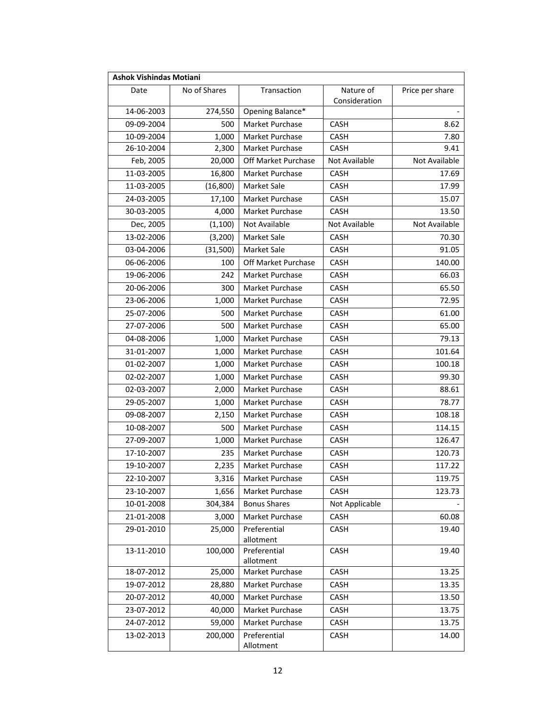| <b>Ashok Vishindas Motiani</b> |              |                           |                            |                 |
|--------------------------------|--------------|---------------------------|----------------------------|-----------------|
| Date                           | No of Shares | Transaction               | Nature of<br>Consideration | Price per share |
| 14-06-2003                     | 274,550      | Opening Balance*          |                            |                 |
| 09-09-2004                     | 500          | Market Purchase           | CASH                       | 8.62            |
| 10-09-2004                     | 1,000        | Market Purchase           | <b>CASH</b>                | 7.80            |
| 26-10-2004                     | 2,300        | Market Purchase           | <b>CASH</b>                | 9.41            |
| Feb, 2005                      | 20,000       | Off Market Purchase       | Not Available              | Not Available   |
| 11-03-2005                     | 16,800       | Market Purchase           | CASH                       | 17.69           |
| 11-03-2005                     | (16, 800)    | <b>Market Sale</b>        | <b>CASH</b>                | 17.99           |
| 24-03-2005                     | 17,100       | Market Purchase           | <b>CASH</b>                | 15.07           |
| 30-03-2005                     | 4,000        | Market Purchase           | CASH                       | 13.50           |
| Dec, 2005                      | (1,100)      | Not Available             | Not Available              | Not Available   |
| 13-02-2006                     | (3,200)      | Market Sale               | CASH                       | 70.30           |
| 03-04-2006                     | (31,500)     | Market Sale               | CASH                       | 91.05           |
| 06-06-2006                     | 100          | Off Market Purchase       | <b>CASH</b>                | 140.00          |
| 19-06-2006                     | 242          | Market Purchase           | CASH                       | 66.03           |
| 20-06-2006                     | 300          | Market Purchase           | CASH                       | 65.50           |
| 23-06-2006                     | 1,000        | Market Purchase           | CASH                       | 72.95           |
| 25-07-2006                     | 500          | Market Purchase           | CASH                       | 61.00           |
| 27-07-2006                     | 500          | Market Purchase           | CASH                       | 65.00           |
| 04-08-2006                     | 1,000        | Market Purchase           | CASH                       | 79.13           |
| 31-01-2007                     | 1,000        | Market Purchase           | CASH                       | 101.64          |
| 01-02-2007                     | 1,000        | Market Purchase           | CASH                       | 100.18          |
| 02-02-2007                     | 1,000        | Market Purchase           | CASH                       | 99.30           |
| 02-03-2007                     | 2,000        | Market Purchase           | CASH                       | 88.61           |
| 29-05-2007                     | 1,000        | Market Purchase           | CASH                       | 78.77           |
| 09-08-2007                     | 2,150        | Market Purchase           | CASH                       | 108.18          |
| 10-08-2007                     | 500          | Market Purchase           | CASH                       | 114.15          |
| 27-09-2007                     | 1,000        | Market Purchase           | <b>CASH</b>                | 126.47          |
| 17-10-2007                     | 235          | Market Purchase           | CASH                       | 120.73          |
| 19-10-2007                     | 2,235        | Market Purchase           | CASH                       | 117.22          |
| 22-10-2007                     | 3,316        | Market Purchase           | CASH                       | 119.75          |
| 23-10-2007                     | 1,656        | Market Purchase           | CASH                       | 123.73          |
| 10-01-2008                     | 304,384      | <b>Bonus Shares</b>       | Not Applicable             |                 |
| 21-01-2008                     | 3,000        | Market Purchase           | <b>CASH</b>                | 60.08           |
| 29-01-2010                     | 25,000       | Preferential              | CASH                       | 19.40           |
|                                |              | allotment                 |                            |                 |
| 13-11-2010                     | 100,000      | Preferential<br>allotment | CASH                       | 19.40           |
| 18-07-2012                     | 25,000       | Market Purchase           | CASH                       | 13.25           |
| 19-07-2012                     | 28,880       | Market Purchase           | CASH                       | 13.35           |
| 20-07-2012                     | 40,000       | Market Purchase           | CASH                       | 13.50           |
| 23-07-2012                     | 40,000       | Market Purchase           | <b>CASH</b>                | 13.75           |
| 24-07-2012                     | 59,000       | Market Purchase           | CASH                       | 13.75           |
| 13-02-2013                     | 200,000      | Preferential              | CASH                       | 14.00           |
|                                |              | Allotment                 |                            |                 |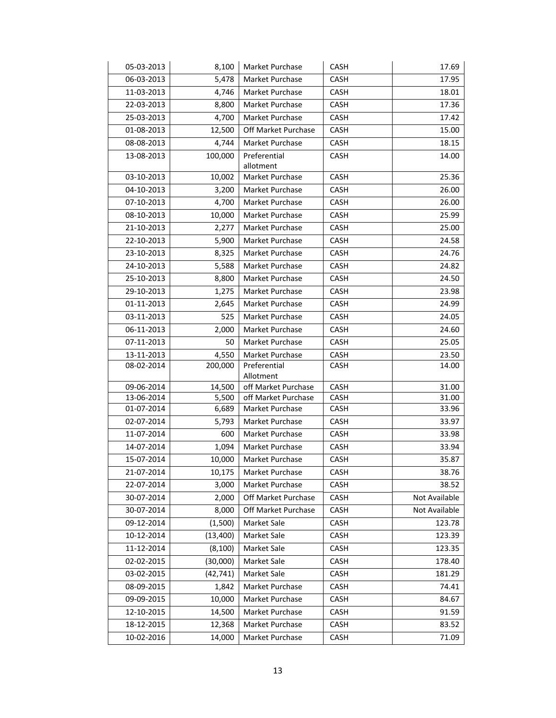| 05-03-2013               | 8,100             | Market Purchase                        | CASH                | 17.69          |
|--------------------------|-------------------|----------------------------------------|---------------------|----------------|
| 06-03-2013               | 5,478             | Market Purchase                        | CASH                | 17.95          |
| 11-03-2013               | 4,746             | Market Purchase                        | CASH                | 18.01          |
| 22-03-2013               | 8,800             | Market Purchase                        | CASH                | 17.36          |
| 25-03-2013               | 4,700             | Market Purchase                        | CASH                | 17.42          |
| 01-08-2013               | 12,500            | Off Market Purchase                    | CASH                | 15.00          |
| 08-08-2013               | 4,744             | Market Purchase                        | CASH                | 18.15          |
| 13-08-2013               | 100,000           | Preferential                           | CASH                | 14.00          |
|                          |                   | allotment                              |                     |                |
| 03-10-2013               | 10,002            | Market Purchase                        | CASH                | 25.36          |
| 04-10-2013               | 3,200             | Market Purchase                        | CASH                | 26.00          |
| 07-10-2013               | 4,700             | Market Purchase                        | CASH                | 26.00          |
| 08-10-2013               | 10,000            | Market Purchase                        | CASH                | 25.99          |
| 21-10-2013               | 2,277             | Market Purchase                        | CASH                | 25.00          |
| 22-10-2013               | 5,900             | Market Purchase                        | <b>CASH</b>         | 24.58          |
| 23-10-2013               | 8,325             | Market Purchase                        | CASH                | 24.76          |
| 24-10-2013               | 5,588             | Market Purchase                        | CASH                | 24.82          |
| 25-10-2013               | 8,800             | Market Purchase                        | CASH                | 24.50          |
| 29-10-2013               | 1,275             | Market Purchase                        | CASH                | 23.98          |
| 01-11-2013               | 2,645             | Market Purchase                        | CASH                | 24.99          |
| 03-11-2013               | 525               | Market Purchase                        | <b>CASH</b>         | 24.05          |
| 06-11-2013               | 2,000             | Market Purchase                        | CASH                | 24.60          |
| 07-11-2013               | 50                | Market Purchase                        | CASH                | 25.05          |
| 13-11-2013               | 4,550             | Market Purchase                        | <b>CASH</b>         | 23.50          |
| 08-02-2014               | 200,000           | Preferential                           | <b>CASH</b>         | 14.00          |
|                          |                   | Allotment                              |                     |                |
| 09-06-2014               | 14,500            | off Market Purchase                    | CASH                | 31.00          |
| 13-06-2014<br>01-07-2014 | 5,500<br>6,689    | off Market Purchase<br>Market Purchase | CASH<br><b>CASH</b> | 31.00<br>33.96 |
| 02-07-2014               | 5,793             | Market Purchase                        | CASH                | 33.97          |
| 11-07-2014               | 600               | Market Purchase                        | CASH                | 33.98          |
| 14-07-2014               | 1,094             | Market Purchase                        | CASH                | 33.94          |
| 15-07-2014               | 10,000            | Market Purchase                        | <b>CASH</b>         | 35.87          |
| 21-07-2014               | 10,175            | Market Purchase                        | CASH                | 38.76          |
| 22-07-2014               | 3,000             | Market Purchase                        | CASH                | 38.52          |
| 30-07-2014               | 2,000             | Off Market Purchase                    | CASH                | Not Available  |
| 30-07-2014               | 8,000             | Off Market Purchase                    | CASH                | Not Available  |
| 09-12-2014               | (1,500)           | Market Sale                            | <b>CASH</b>         | 123.78         |
| 10-12-2014               | (13, 400)         | Market Sale                            | <b>CASH</b>         | 123.39         |
| 11-12-2014               | (8, 100)          | Market Sale                            | CASH                | 123.35         |
|                          |                   |                                        |                     |                |
| 02-02-2015               | (30,000)          | Market Sale                            | CASH                | 178.40         |
| 03-02-2015               | (42,741)<br>1,842 | Market Sale                            | <b>CASH</b>         | 181.29         |
| 08-09-2015               |                   | Market Purchase                        | CASH                | 74.41          |
| 09-09-2015               | 10,000            | Market Purchase                        | CASH                | 84.67          |
| 12-10-2015               | 14,500            | Market Purchase                        | <b>CASH</b>         | 91.59          |
| 18-12-2015               | 12,368            | Market Purchase                        | CASH                | 83.52          |
| 10-02-2016               | 14,000            | Market Purchase                        | CASH                | 71.09          |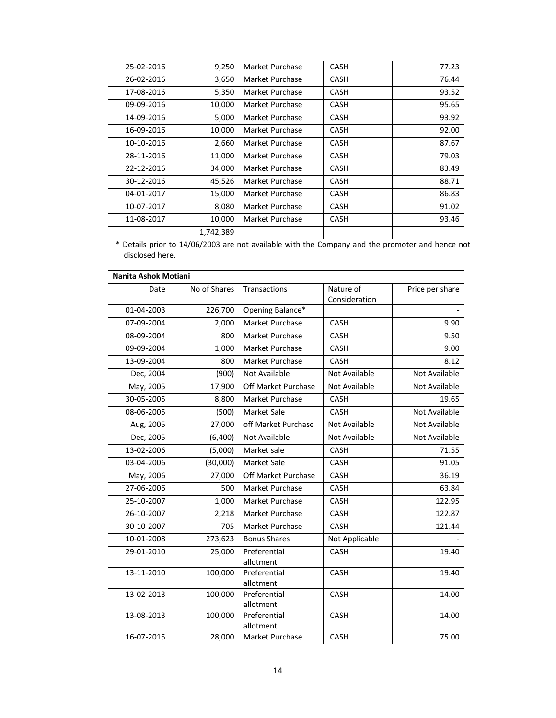| 25-02-2016 | 9,250     | Market Purchase | <b>CASH</b> | 77.23 |
|------------|-----------|-----------------|-------------|-------|
| 26-02-2016 | 3,650     | Market Purchase | <b>CASH</b> | 76.44 |
| 17-08-2016 | 5,350     | Market Purchase | <b>CASH</b> | 93.52 |
| 09-09-2016 | 10,000    | Market Purchase | CASH        | 95.65 |
| 14-09-2016 | 5,000     | Market Purchase | CASH        | 93.92 |
| 16-09-2016 | 10,000    | Market Purchase | <b>CASH</b> | 92.00 |
| 10-10-2016 | 2,660     | Market Purchase | CASH        | 87.67 |
| 28-11-2016 | 11,000    | Market Purchase | <b>CASH</b> | 79.03 |
| 22-12-2016 | 34,000    | Market Purchase | <b>CASH</b> | 83.49 |
| 30-12-2016 | 45,526    | Market Purchase | <b>CASH</b> | 88.71 |
| 04-01-2017 | 15,000    | Market Purchase | CASH        | 86.83 |
| 10-07-2017 | 8,080     | Market Purchase | <b>CASH</b> | 91.02 |
| 11-08-2017 | 10,000    | Market Purchase | <b>CASH</b> | 93.46 |
|            | 1,742,389 |                 |             |       |

\* Details prior to 14/06/2003 are not available with the Company and the promoter and hence not disclosed here.

| Nanita Ashok Motiani |              |                           |                            |                      |
|----------------------|--------------|---------------------------|----------------------------|----------------------|
| Date                 | No of Shares | Transactions              | Nature of<br>Consideration | Price per share      |
| 01-04-2003           | 226,700      | Opening Balance*          |                            |                      |
| 07-09-2004           | 2,000        | Market Purchase           | <b>CASH</b>                | 9.90                 |
| 08-09-2004           | 800          | <b>Market Purchase</b>    | <b>CASH</b>                | 9.50                 |
| 09-09-2004           | 1,000        | Market Purchase           | CASH                       | 9.00                 |
| 13-09-2004           | 800          | Market Purchase           | CASH                       | 8.12                 |
| Dec, 2004            | (900)        | <b>Not Available</b>      | Not Available              | Not Available        |
| May, 2005            | 17,900       | Off Market Purchase       | Not Available              | Not Available        |
| 30-05-2005           | 8,800        | Market Purchase           | CASH                       | 19.65                |
| 08-06-2005           | (500)        | Market Sale               | <b>CASH</b>                | <b>Not Available</b> |
| Aug, 2005            | 27,000       | off Market Purchase       | Not Available              | Not Available        |
| Dec, 2005            | (6,400)      | Not Available             | Not Available              | Not Available        |
| 13-02-2006           | (5,000)      | Market sale               | <b>CASH</b>                | 71.55                |
| 03-04-2006           | (30,000)     | Market Sale               | <b>CASH</b>                | 91.05                |
| May, 2006            | 27,000       | Off Market Purchase       | <b>CASH</b>                | 36.19                |
| 27-06-2006           | 500          | Market Purchase           | CASH                       | 63.84                |
| 25-10-2007           | 1,000        | Market Purchase           | CASH                       | 122.95               |
| 26-10-2007           | 2,218        | Market Purchase           | <b>CASH</b>                | 122.87               |
| 30-10-2007           | 705          | Market Purchase           | <b>CASH</b>                | 121.44               |
| 10-01-2008           | 273,623      | <b>Bonus Shares</b>       | Not Applicable             |                      |
| 29-01-2010           | 25,000       | Preferential<br>allotment | CASH                       | 19.40                |
| 13-11-2010           | 100,000      | Preferential<br>allotment | CASH                       | 19.40                |
| 13-02-2013           | 100,000      | Preferential<br>allotment | CASH                       | 14.00                |
| 13-08-2013           | 100,000      | Preferential<br>allotment | <b>CASH</b>                | 14.00                |
| 16-07-2015           | 28,000       | Market Purchase           | CASH                       | 75.00                |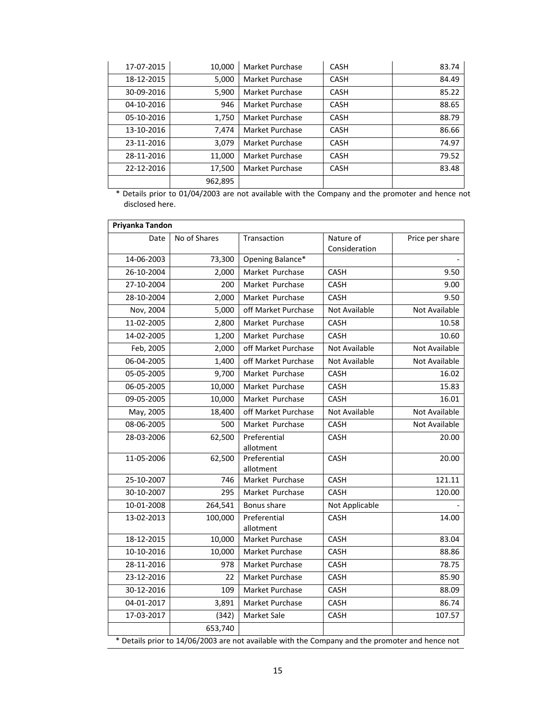| 17-07-2015 | 10,000  | Market Purchase | <b>CASH</b> | 83.74 |
|------------|---------|-----------------|-------------|-------|
| 18-12-2015 | 5,000   | Market Purchase | <b>CASH</b> | 84.49 |
| 30-09-2016 | 5,900   | Market Purchase | <b>CASH</b> | 85.22 |
| 04-10-2016 | 946     | Market Purchase | <b>CASH</b> | 88.65 |
| 05-10-2016 | 1,750   | Market Purchase | <b>CASH</b> | 88.79 |
| 13-10-2016 | 7.474   | Market Purchase | <b>CASH</b> | 86.66 |
| 23-11-2016 | 3,079   | Market Purchase | <b>CASH</b> | 74.97 |
| 28-11-2016 | 11,000  | Market Purchase | <b>CASH</b> | 79.52 |
| 22-12-2016 | 17,500  | Market Purchase | <b>CASH</b> | 83.48 |
|            | 962,895 |                 |             |       |

\* Details prior to 01/04/2003 are not available with the Company and the promoter and hence not disclosed here.

| Priyanka Tandon                                                                                 |              |                           |                            |                 |
|-------------------------------------------------------------------------------------------------|--------------|---------------------------|----------------------------|-----------------|
| Date                                                                                            | No of Shares | Transaction               | Nature of<br>Consideration | Price per share |
| 14-06-2003                                                                                      | 73,300       | Opening Balance*          |                            |                 |
| 26-10-2004                                                                                      | 2,000        | Market Purchase           | CASH                       | 9.50            |
| 27-10-2004                                                                                      | 200          | Market Purchase           | CASH                       | 9.00            |
| 28-10-2004                                                                                      | 2,000        | Market Purchase           | CASH                       | 9.50            |
| Nov, 2004                                                                                       | 5,000        | off Market Purchase       | Not Available              | Not Available   |
| 11-02-2005                                                                                      | 2,800        | Market Purchase           | <b>CASH</b>                | 10.58           |
| 14-02-2005                                                                                      | 1,200        | Market Purchase           | CASH                       | 10.60           |
| Feb, 2005                                                                                       | 2,000        | off Market Purchase       | Not Available              | Not Available   |
| 06-04-2005                                                                                      | 1,400        | off Market Purchase       | Not Available              | Not Available   |
| 05-05-2005                                                                                      | 9,700        | Market Purchase           | CASH                       | 16.02           |
| 06-05-2005                                                                                      | 10,000       | Market Purchase           | CASH                       | 15.83           |
| 09-05-2005                                                                                      | 10,000       | Market Purchase           | <b>CASH</b>                | 16.01           |
| May, 2005                                                                                       | 18,400       | off Market Purchase       | Not Available              | Not Available   |
| 08-06-2005                                                                                      | 500          | Market Purchase           | CASH                       | Not Available   |
| 28-03-2006                                                                                      | 62,500       | Preferential<br>allotment | CASH                       | 20.00           |
| 11-05-2006                                                                                      | 62,500       | Preferential<br>allotment | <b>CASH</b>                | 20.00           |
| 25-10-2007                                                                                      | 746          | Market Purchase           | CASH                       | 121.11          |
| 30-10-2007                                                                                      | 295          | Market Purchase           | <b>CASH</b>                | 120.00          |
| 10-01-2008                                                                                      | 264,541      | Bonus share               | Not Applicable             |                 |
| 13-02-2013                                                                                      | 100,000      | Preferential<br>allotment | CASH                       | 14.00           |
| 18-12-2015                                                                                      | 10,000       | Market Purchase           | CASH                       | 83.04           |
| 10-10-2016                                                                                      | 10,000       | Market Purchase           | CASH                       | 88.86           |
| 28-11-2016                                                                                      | 978          | Market Purchase           | <b>CASH</b>                | 78.75           |
| 23-12-2016                                                                                      | 22           | Market Purchase           | CASH                       | 85.90           |
| 30-12-2016                                                                                      | 109          | <b>Market Purchase</b>    | <b>CASH</b>                | 88.09           |
| 04-01-2017                                                                                      | 3,891        | Market Purchase           | CASH                       | 86.74           |
| 17-03-2017                                                                                      | (342)        | Market Sale               | CASH                       | 107.57          |
|                                                                                                 | 653,740      |                           |                            |                 |
| * Details prior to 14/06/2003 are not available with the Company and the promoter and hence not |              |                           |                            |                 |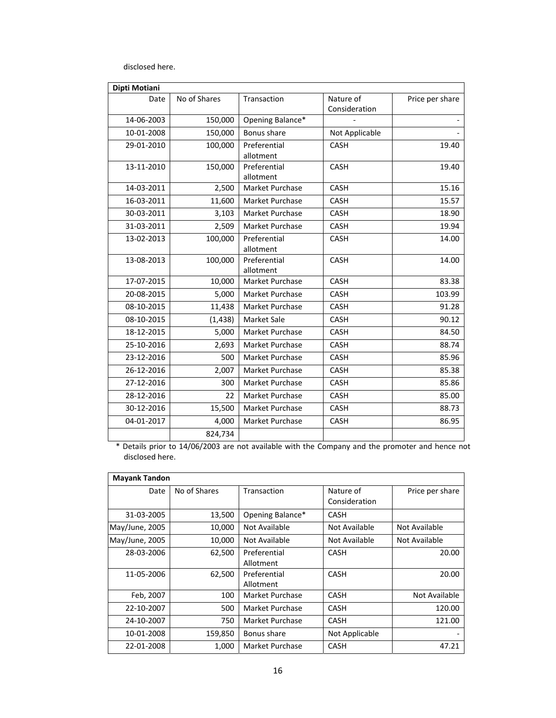disclosed here.

| Dipti Motiani |              |                           |                            |                 |
|---------------|--------------|---------------------------|----------------------------|-----------------|
| Date          | No of Shares | Transaction               | Nature of<br>Consideration | Price per share |
| 14-06-2003    | 150,000      | Opening Balance*          |                            |                 |
| 10-01-2008    | 150,000      | Bonus share               | Not Applicable             |                 |
| 29-01-2010    | 100,000      | Preferential<br>allotment | <b>CASH</b>                | 19.40           |
| 13-11-2010    | 150,000      | Preferential<br>allotment | <b>CASH</b>                | 19.40           |
| 14-03-2011    | 2,500        | Market Purchase           | CASH                       | 15.16           |
| 16-03-2011    | 11,600       | Market Purchase           | <b>CASH</b>                | 15.57           |
| 30-03-2011    | 3,103        | <b>Market Purchase</b>    | <b>CASH</b>                | 18.90           |
| 31-03-2011    | 2,509        | Market Purchase           | CASH                       | 19.94           |
| 13-02-2013    | 100,000      | Preferential<br>allotment | <b>CASH</b>                | 14.00           |
| 13-08-2013    | 100,000      | Preferential<br>allotment | <b>CASH</b>                | 14.00           |
| 17-07-2015    | 10,000       | <b>Market Purchase</b>    | <b>CASH</b>                | 83.38           |
| 20-08-2015    | 5,000        | Market Purchase           | <b>CASH</b>                | 103.99          |
| 08-10-2015    | 11,438       | Market Purchase           | <b>CASH</b>                | 91.28           |
| 08-10-2015    | (1, 438)     | <b>Market Sale</b>        | <b>CASH</b>                | 90.12           |
| 18-12-2015    | 5,000        | <b>Market Purchase</b>    | <b>CASH</b>                | 84.50           |
| 25-10-2016    | 2,693        | Market Purchase           | CASH                       | 88.74           |
| 23-12-2016    | 500          | Market Purchase           | <b>CASH</b>                | 85.96           |
| 26-12-2016    | 2,007        | Market Purchase           | <b>CASH</b>                | 85.38           |
| 27-12-2016    | 300          | Market Purchase           | CASH                       | 85.86           |
| 28-12-2016    | 22           | Market Purchase           | <b>CASH</b>                | 85.00           |
| 30-12-2016    | 15,500       | Market Purchase           | <b>CASH</b>                | 88.73           |
| 04-01-2017    | 4,000        | Market Purchase           | <b>CASH</b>                | 86.95           |
|               | 824,734      |                           |                            |                 |

\* Details prior to 14/06/2003 are not available with the Company and the promoter and hence not disclosed here.

| <b>Mayank Tandon</b> |              |                  |                |                 |
|----------------------|--------------|------------------|----------------|-----------------|
| Date                 | No of Shares | Transaction      | Nature of      | Price per share |
|                      |              |                  | Consideration  |                 |
| 31-03-2005           | 13,500       | Opening Balance* | <b>CASH</b>    |                 |
| May/June, 2005       | 10,000       | Not Available    | Not Available  | Not Available   |
| May/June, 2005       | 10,000       | Not Available    | Not Available  | Not Available   |
| 28-03-2006           | 62,500       | Preferential     | <b>CASH</b>    | 20.00           |
|                      |              | Allotment        |                |                 |
| 11-05-2006           | 62,500       | Preferential     | <b>CASH</b>    | 20.00           |
|                      |              | Allotment        |                |                 |
| Feb, 2007            | 100          | Market Purchase  | <b>CASH</b>    | Not Available   |
| 22-10-2007           | 500          | Market Purchase  | <b>CASH</b>    | 120.00          |
| 24-10-2007           | 750          | Market Purchase  | <b>CASH</b>    | 121.00          |
| 10-01-2008           | 159,850      | Bonus share      | Not Applicable |                 |
| 22-01-2008           | 1,000        | Market Purchase  | <b>CASH</b>    | 47.21           |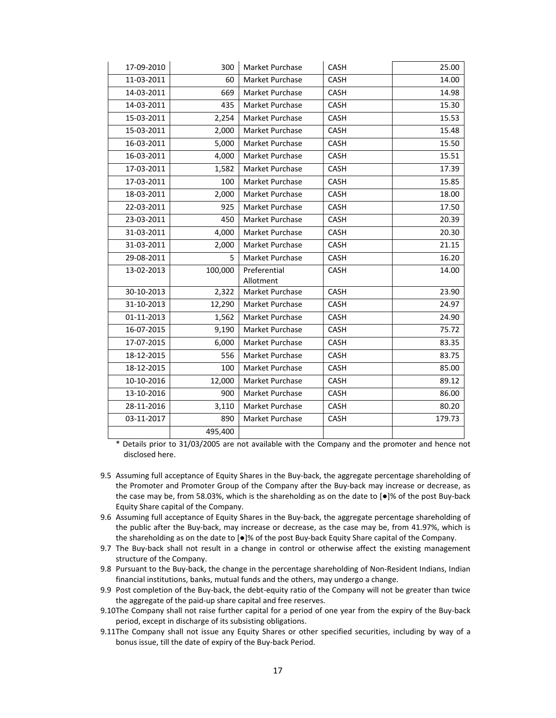| 17-09-2010 | 300     | Market Purchase        | CASH        | 25.00  |
|------------|---------|------------------------|-------------|--------|
| 11-03-2011 | 60      | Market Purchase        | CASH        | 14.00  |
| 14-03-2011 | 669     | Market Purchase        | CASH        | 14.98  |
| 14-03-2011 | 435     | Market Purchase        | CASH        | 15.30  |
| 15-03-2011 | 2,254   | Market Purchase        | <b>CASH</b> | 15.53  |
| 15-03-2011 | 2,000   | Market Purchase        | <b>CASH</b> | 15.48  |
| 16-03-2011 | 5,000   | <b>Market Purchase</b> | <b>CASH</b> | 15.50  |
| 16-03-2011 | 4,000   | <b>Market Purchase</b> | <b>CASH</b> | 15.51  |
| 17-03-2011 | 1,582   | Market Purchase        | CASH        | 17.39  |
| 17-03-2011 | 100     | Market Purchase        | CASH        | 15.85  |
| 18-03-2011 | 2,000   | Market Purchase        | CASH        | 18.00  |
| 22-03-2011 | 925     | <b>Market Purchase</b> | <b>CASH</b> | 17.50  |
| 23-03-2011 | 450     | Market Purchase        | CASH        | 20.39  |
| 31-03-2011 | 4,000   | <b>Market Purchase</b> | CASH        | 20.30  |
| 31-03-2011 | 2,000   | Market Purchase        | CASH        | 21.15  |
| 29-08-2011 | 5.      | Market Purchase        | CASH        | 16.20  |
| 13-02-2013 | 100,000 | Preferential           | CASH        | 14.00  |
|            |         | Allotment              |             |        |
| 30-10-2013 | 2,322   | Market Purchase        | CASH        | 23.90  |
| 31-10-2013 | 12,290  | Market Purchase        | <b>CASH</b> | 24.97  |
| 01-11-2013 | 1,562   | Market Purchase        | CASH        | 24.90  |
| 16-07-2015 | 9,190   | Market Purchase        | CASH        | 75.72  |
| 17-07-2015 | 6,000   | <b>Market Purchase</b> | CASH        | 83.35  |
| 18-12-2015 | 556     | Market Purchase        | CASH        | 83.75  |
| 18-12-2015 | 100     | Market Purchase        | CASH        | 85.00  |
| 10-10-2016 | 12,000  | Market Purchase        | CASH        | 89.12  |
| 13-10-2016 | 900     | Market Purchase        | CASH        | 86.00  |
| 28-11-2016 | 3,110   | Market Purchase        | CASH        | 80.20  |
| 03-11-2017 | 890     | Market Purchase        | CASH        | 179.73 |
|            | 495,400 |                        |             |        |

\* Details prior to 31/03/2005 are not available with the Company and the promoter and hence not disclosed here.

- 9.5 Assuming full acceptance of Equity Shares in the Buy-back, the aggregate percentage shareholding of the Promoter and Promoter Group of the Company after the Buy-back may increase or decrease, as the case may be, from 58.03%, which is the shareholding as on the date to [●]% of the post Buy‐back Equity Share capital of the Company.
- 9.6 Assuming full acceptance of Equity Shares in the Buy‐back, the aggregate percentage shareholding of the public after the Buy‐back, may increase or decrease, as the case may be, from 41.97%, which is the shareholding as on the date to [●]% of the post Buy‐back Equity Share capital of the Company.
- 9.7 The Buy‐back shall not result in a change in control or otherwise affect the existing management structure of the Company.
- 9.8 Pursuant to the Buy-back, the change in the percentage shareholding of Non-Resident Indians, Indian financial institutions, banks, mutual funds and the others, may undergo a change.
- 9.9 Post completion of the Buy-back, the debt-equity ratio of the Company will not be greater than twice the aggregate of the paid‐up share capital and free reserves.
- 9.10The Company shall not raise further capital for a period of one year from the expiry of the Buy-back period, except in discharge of its subsisting obligations.
- 9.11The Company shall not issue any Equity Shares or other specified securities, including by way of a bonus issue, till the date of expiry of the Buy‐back Period.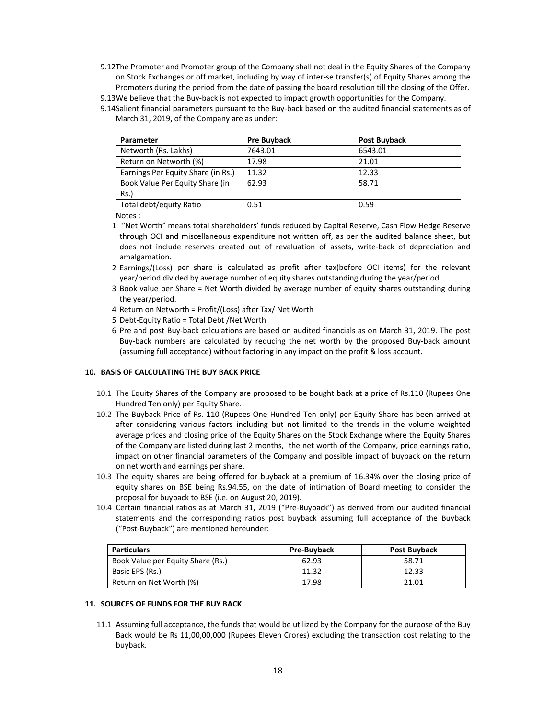- 9.12The Promoter and Promoter group of the Company shall not deal in the Equity Shares of the Company on Stock Exchanges or off market, including by way of inter‐se transfer(s) of Equity Shares among the Promoters during the period from the date of passing the board resolution till the closing of the Offer.
- 9.13We believe that the Buy-back is not expected to impact growth opportunities for the Company.
- 9.14Salient financial parameters pursuant to the Buy‐back based on the audited financial statements as of March 31, 2019, of the Company are as under:

| Parameter                          | <b>Pre Buyback</b> | Post Buyback |
|------------------------------------|--------------------|--------------|
| Networth (Rs. Lakhs)               | 7643.01            | 6543.01      |
| Return on Networth (%)             | 17.98              | 21.01        |
| Earnings Per Equity Share (in Rs.) | 11.32              | 12.33        |
| Book Value Per Equity Share (in    | 62.93              | 58.71        |
| $Rs.$ )                            |                    |              |
| Total debt/equity Ratio            | 0.51               | 0.59         |

Notes :

- 1 "Net Worth" means total shareholders' funds reduced by Capital Reserve, Cash Flow Hedge Reserve through OCI and miscellaneous expenditure not written off, as per the audited balance sheet, but does not include reserves created out of revaluation of assets, write‐back of depreciation and amalgamation.
- 2 Earnings/(Loss) per share is calculated as profit after tax(before OCI items) for the relevant year/period divided by average number of equity shares outstanding during the year/period.
- 3 Book value per Share = Net Worth divided by average number of equity shares outstanding during the year/period.
- 4 Return on Networth = Profit/(Loss) after Tax/ Net Worth
- 5 Debt‐Equity Ratio = Total Debt /Net Worth
- 6 Pre and post Buy‐back calculations are based on audited financials as on March 31, 2019. The post Buy‐back numbers are calculated by reducing the net worth by the proposed Buy‐back amount (assuming full acceptance) without factoring in any impact on the profit & loss account.

## **10. BASIS OF CALCULATING THE BUY BACK PRICE**

- 10.1 The Equity Shares of the Company are proposed to be bought back at a price of Rs.110 (Rupees One Hundred Ten only) per Equity Share.
- 10.2 The Buyback Price of Rs. 110 (Rupees One Hundred Ten only) per Equity Share has been arrived at after considering various factors including but not limited to the trends in the volume weighted average prices and closing price of the Equity Shares on the Stock Exchange where the Equity Shares of the Company are listed during last 2 months, the net worth of the Company, price earnings ratio, impact on other financial parameters of the Company and possible impact of buyback on the return on net worth and earnings per share.
- 10.3 The equity shares are being offered for buyback at a premium of 16.34% over the closing price of equity shares on BSE being Rs.94.55, on the date of intimation of Board meeting to consider the proposal for buyback to BSE (i.e. on August 20, 2019).
- 10.4 Certain financial ratios as at March 31, 2019 ("Pre‐Buyback") as derived from our audited financial statements and the corresponding ratios post buyback assuming full acceptance of the Buyback ("Post‐Buyback") are mentioned hereunder:

| <b>Particulars</b>                | <b>Pre-Buyback</b> | Post Buyback |
|-----------------------------------|--------------------|--------------|
| Book Value per Equity Share (Rs.) | 62.93              | 58.71        |
| Basic EPS (Rs.)                   | 11.32              | 12.33        |
| Return on Net Worth (%)           | 17.98              | 21.01        |

#### **11. SOURCES OF FUNDS FOR THE BUY BACK**

11.1 Assuming full acceptance, the funds that would be utilized by the Company for the purpose of the Buy Back would be Rs 11,00,00,000 (Rupees Eleven Crores) excluding the transaction cost relating to the buyback.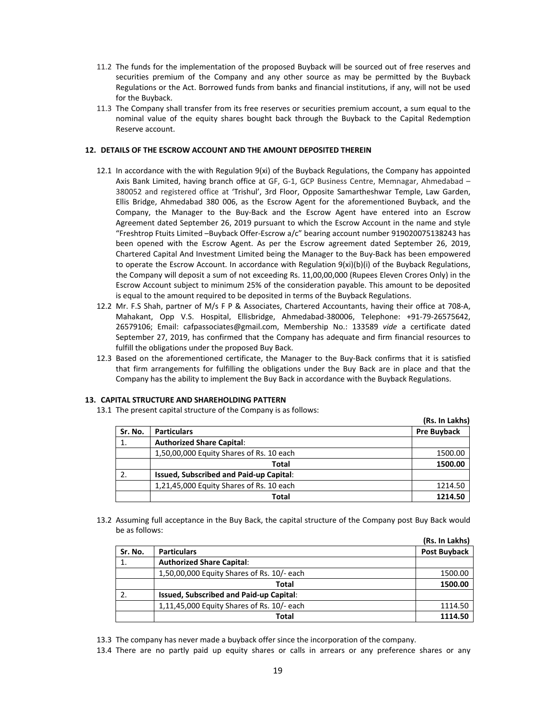- 11.2 The funds for the implementation of the proposed Buyback will be sourced out of free reserves and securities premium of the Company and any other source as may be permitted by the Buyback Regulations or the Act. Borrowed funds from banks and financial institutions, if any, will not be used for the Buyback.
- 11.3 The Company shall transfer from its free reserves or securities premium account, a sum equal to the nominal value of the equity shares bought back through the Buyback to the Capital Redemption Reserve account.

#### **12. DETAILS OF THE ESCROW ACCOUNT AND THE AMOUNT DEPOSITED THEREIN**

- 12.1 In accordance with the with Regulation 9(xi) of the Buyback Regulations, the Company has appointed Axis Bank Limited, having branch office at GF, G‐1, GCP Business Centre, Memnagar, Ahmedabad – 380052 and registered office at 'Trishul', 3rd Floor, Opposite Samartheshwar Temple, Law Garden, Ellis Bridge, Ahmedabad 380 006, as the Escrow Agent for the aforementioned Buyback, and the Company, the Manager to the Buy‐Back and the Escrow Agent have entered into an Escrow Agreement dated September 26, 2019 pursuant to which the Escrow Account in the name and style "Freshtrop Ftuits Limited –Buyback Offer‐Escrow a/c" bearing account number 919020075138243 has been opened with the Escrow Agent. As per the Escrow agreement dated September 26, 2019, Chartered Capital And Investment Limited being the Manager to the Buy‐Back has been empowered to operate the Escrow Account. In accordance with Regulation 9(xi)(b)(i) of the Buyback Regulations, the Company will deposit a sum of not exceeding Rs. 11,00,00,000 (Rupees Eleven Crores Only) in the Escrow Account subject to minimum 25% of the consideration payable. This amount to be deposited is equal to the amount required to be deposited in terms of the Buyback Regulations.
- 12.2 Mr. F.S Shah, partner of M/s F P & Associates, Chartered Accountants, having their office at 708‐A, Mahakant, Opp V.S. Hospital, Ellisbridge, Ahmedabad‐380006, Telephone: +91‐79‐26575642, 26579106; Email: cafpassociates@gmail.com, Membership No.: 133589 *vide* a certificate dated September 27, 2019, has confirmed that the Company has adequate and firm financial resources to fulfill the obligations under the proposed Buy Back.
- 12.3 Based on the aforementioned certificate, the Manager to the Buy‐Back confirms that it is satisfied that firm arrangements for fulfilling the obligations under the Buy Back are in place and that the Company has the ability to implement the Buy Back in accordance with the Buyback Regulations.

#### **13. CAPITAL STRUCTURE AND SHAREHOLDING PATTERN**

13.1 The present capital structure of the Company is as follows:

|         |                                                | (Rs. In Lakhs)     |
|---------|------------------------------------------------|--------------------|
| Sr. No. | <b>Particulars</b>                             | <b>Pre Buyback</b> |
|         | <b>Authorized Share Capital:</b>               |                    |
|         | 1,50,00,000 Equity Shares of Rs. 10 each       | 1500.00            |
|         | Total                                          | 1500.00            |
|         | <b>Issued, Subscribed and Paid-up Capital:</b> |                    |
|         | 1,21,45,000 Equity Shares of Rs. 10 each       | 1214.50            |
|         | Total                                          | 1214.50            |

13.2 Assuming full acceptance in the Buy Back, the capital structure of the Company post Buy Back would be as follows:

|         |                                            | (Rs. In Lakhs) |
|---------|--------------------------------------------|----------------|
| Sr. No. | <b>Particulars</b>                         | Post Buyback   |
| 1.      | <b>Authorized Share Capital:</b>           |                |
|         | 1,50,00,000 Equity Shares of Rs. 10/- each | 1500.00        |
|         | <b>Total</b>                               | 1500.00        |
|         | Issued, Subscribed and Paid-up Capital:    |                |
|         | 1,11,45,000 Equity Shares of Rs. 10/- each | 1114.50        |
|         | Total                                      | 1114.50        |

13.3 The company has never made a buyback offer since the incorporation of the company.

13.4 There are no partly paid up equity shares or calls in arrears or any preference shares or any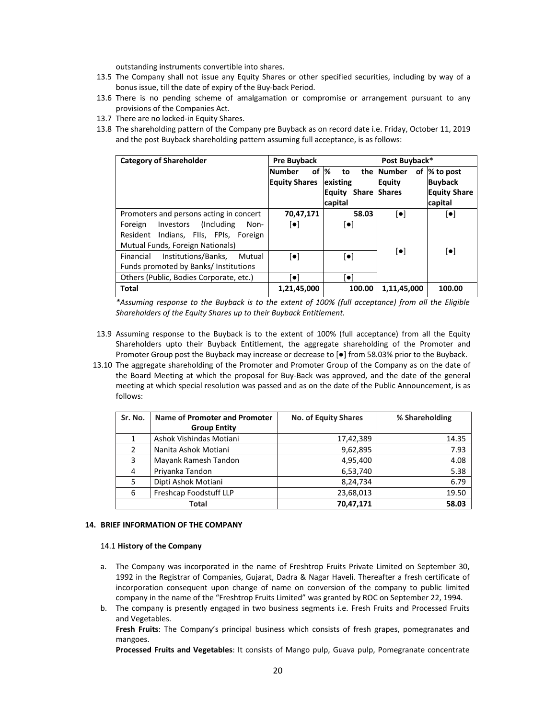outstanding instruments convertible into shares.

- 13.5 The Company shall not issue any Equity Shares or other specified securities, including by way of a bonus issue, till the date of expiry of the Buy‐back Period.
- 13.6 There is no pending scheme of amalgamation or compromise or arrangement pursuant to any provisions of the Companies Act.
- 13.7 There are no locked-in Equity Shares.
- 13.8 The shareholding pattern of the Company pre Buyback as on record date i.e. Friday, October 11, 2019 and the post Buyback shareholding pattern assuming full acceptance, is as follows:

| <b>Category of Shareholder</b>              | <b>Pre Buyback</b>      |                            | Post Buyback*           |                         |  |
|---------------------------------------------|-------------------------|----------------------------|-------------------------|-------------------------|--|
|                                             | οf<br><b>Number</b>     | $\%$<br>to                 | the Number<br>οf        | % to post               |  |
|                                             | <b>Equity Shares</b>    | existing                   | <b>Equity</b>           | <b>Buyback</b>          |  |
|                                             |                         | <b>Equity Share Shares</b> |                         | <b>Equity Share</b>     |  |
|                                             |                         | capital                    |                         | capital                 |  |
| Promoters and persons acting in concert     | 70,47,171               | 58.03                      | $[\bullet]$             | $\left[\bullet\right]$  |  |
| (Including)<br>Foreign<br>Investors<br>Non- | $\lceil \bullet \rceil$ | $\lbrack \bullet \rbrack$  |                         |                         |  |
| Resident Indians, Flls, FPIs, Foreign       |                         |                            |                         |                         |  |
| Mutual Funds, Foreign Nationals)            |                         |                            |                         |                         |  |
| Institutions/Banks,<br>Financial<br>Mutual  | $\lceil \bullet \rceil$ | $\lceil \bullet \rceil$    | $\lceil \bullet \rceil$ | $\lceil \bullet \rceil$ |  |
| Funds promoted by Banks/ Institutions       |                         |                            |                         |                         |  |
| Others (Public, Bodies Corporate, etc.)     | $\lceil \bullet \rceil$ | $\lceil \bullet \rceil$    |                         |                         |  |
| Total                                       | 1,21,45,000             | 100.00                     | 1,11,45,000             | 100.00                  |  |

*\*Assuming response to the Buyback is to the extent of 100% (full acceptance) from all the Eligible Shareholders of the Equity Shares up to their Buyback Entitlement.*

- 13.9 Assuming response to the Buyback is to the extent of 100% (full acceptance) from all the Equity Shareholders upto their Buyback Entitlement, the aggregate shareholding of the Promoter and Promoter Group post the Buyback may increase or decrease to [●] from 58.03% prior to the Buyback.
- 13.10 The aggregate shareholding of the Promoter and Promoter Group of the Company as on the date of the Board Meeting at which the proposal for Buy‐Back was approved, and the date of the general meeting at which special resolution was passed and as on the date of the Public Announcement, is as follows:

| Sr. No. | Name of Promoter and Promoter | No. of Equity Shares | % Shareholding |  |
|---------|-------------------------------|----------------------|----------------|--|
|         | <b>Group Entity</b>           |                      |                |  |
|         | Ashok Vishindas Motiani       | 17,42,389            | 14.35          |  |
| 2       | Nanita Ashok Motiani          | 9,62,895             | 7.93           |  |
| 3       | Mayank Ramesh Tandon          | 4,95,400             | 4.08           |  |
| 4       | Priyanka Tandon               | 6,53,740             | 5.38           |  |
| 5       | Dipti Ashok Motiani           | 8,24,734             | 6.79           |  |
| 6       | Freshcap Foodstuff LLP        | 23,68,013            | 19.50          |  |
|         | Total                         | 70,47,171            | 58.03          |  |

# **14. BRIEF INFORMATION OF THE COMPANY**

#### 14.1 **History of the Company**

- a. The Company was incorporated in the name of Freshtrop Fruits Private Limited on September 30, 1992 in the Registrar of Companies, Gujarat, Dadra & Nagar Haveli. Thereafter a fresh certificate of incorporation consequent upon change of name on conversion of the company to public limited company in the name of the "Freshtrop Fruits Limited" was granted by ROC on September 22, 1994.
- b. The company is presently engaged in two business segments i.e. Fresh Fruits and Processed Fruits and Vegetables.

**Fresh Fruits**: The Company's principal business which consists of fresh grapes, pomegranates and mangoes.

**Processed Fruits and Vegetables**: It consists of Mango pulp, Guava pulp, Pomegranate concentrate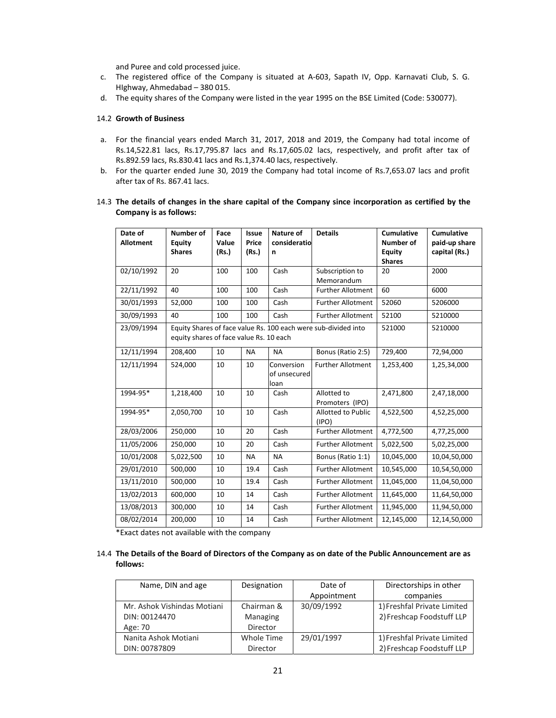and Puree and cold processed juice.

- c. The registered office of the Company is situated at A‐603, Sapath IV, Opp. Karnavati Club, S. G. HIghway, Ahmedabad – 380 015.
- d. The equity shares of the Company were listed in the year 1995 on the BSE Limited (Code: 530077).

## 14.2 **Growth of Business**

- a. For the financial years ended March 31, 2017, 2018 and 2019, the Company had total income of Rs.14,522.81 lacs, Rs.17,795.87 lacs and Rs.17,605.02 lacs, respectively, and profit after tax of Rs.892.59 lacs, Rs.830.41 lacs and Rs.1,374.40 lacs, respectively.
- b. For the quarter ended June 30, 2019 the Company had total income of Rs.7,653.07 lacs and profit after tax of Rs. 867.41 lacs.
- 14.3 **The details of changes in the share capital of the Company since incorporation as certified by the Company is as follows:**

| Date of          | <b>Number of</b>                        | Face           | <b>Issue</b>   | Nature of         | <b>Details</b>                                                 | <b>Cumulative</b>          | <b>Cumulative</b>              |
|------------------|-----------------------------------------|----------------|----------------|-------------------|----------------------------------------------------------------|----------------------------|--------------------------------|
| <b>Allotment</b> | Equity<br><b>Shares</b>                 | Value<br>(Rs.) | Price<br>(Rs.) | consideratio<br>n |                                                                | <b>Number of</b><br>Equity | paid-up share<br>capital (Rs.) |
|                  |                                         |                |                |                   |                                                                | <b>Shares</b>              |                                |
| 02/10/1992       | 20                                      | 100            | 100            | Cash              | Subscription to                                                | 20                         | 2000                           |
|                  |                                         |                |                |                   | Memorandum                                                     |                            |                                |
| 22/11/1992       | 40                                      | 100            | 100            | Cash              | <b>Further Allotment</b>                                       | 60                         | 6000                           |
| 30/01/1993       | 52,000                                  | 100            | 100            | Cash              | <b>Further Allotment</b>                                       | 52060                      | 5206000                        |
| 30/09/1993       | 40                                      | 100            | 100            | Cash              | <b>Further Allotment</b>                                       | 52100                      | 5210000                        |
| 23/09/1994       |                                         |                |                |                   | Equity Shares of face value Rs. 100 each were sub-divided into | 521000                     | 5210000                        |
|                  | equity shares of face value Rs. 10 each |                |                |                   |                                                                |                            |                                |
| 12/11/1994       | 208,400                                 | 10             | <b>NA</b>      | <b>NA</b>         | Bonus (Ratio 2:5)                                              | 729,400                    | 72,94,000                      |
| 12/11/1994       | 524,000                                 | 10             | 10             | Conversion        | <b>Further Allotment</b>                                       | 1,253,400                  | 1,25,34,000                    |
|                  |                                         |                |                | of unsecured      |                                                                |                            |                                |
|                  |                                         |                |                | loan              |                                                                |                            |                                |
| 1994-95*         | 1,218,400                               | 10             | 10             | Cash              | Allotted to<br>Promoters (IPO)                                 | 2,471,800                  | 2,47,18,000                    |
| 1994-95*         | 2,050,700                               | 10             | 10             | Cash              | Allotted to Public                                             | 4,522,500                  | 4,52,25,000                    |
|                  |                                         |                |                |                   | (IPO)                                                          |                            |                                |
| 28/03/2006       | 250,000                                 | 10             | 20             | Cash              | <b>Further Allotment</b>                                       | 4,772,500                  | 4,77,25,000                    |
| 11/05/2006       | 250,000                                 | 10             | 20             | Cash              | <b>Further Allotment</b>                                       | 5,022,500                  | 5,02,25,000                    |
| 10/01/2008       | 5,022,500                               | 10             | <b>NA</b>      | <b>NA</b>         | Bonus (Ratio 1:1)                                              | 10,045,000                 | 10,04,50,000                   |
| 29/01/2010       | 500,000                                 | 10             | 19.4           | Cash              | <b>Further Allotment</b>                                       | 10,545,000                 | 10,54,50,000                   |
| 13/11/2010       | 500,000                                 | 10             | 19.4           | Cash              | <b>Further Allotment</b>                                       | 11,045,000                 | 11,04,50,000                   |
| 13/02/2013       | 600,000                                 | 10             | 14             | Cash              | <b>Further Allotment</b>                                       | 11,645,000                 | 11,64,50,000                   |
| 13/08/2013       | 300,000                                 | 10             | 14             | Cash              | <b>Further Allotment</b>                                       | 11,945,000                 | 11,94,50,000                   |
| 08/02/2014       | 200,000                                 | 10             | 14             | Cash              | <b>Further Allotment</b>                                       | 12,145,000                 | 12,14,50,000                   |

\*Exact dates not available with the company

# 14.4 The Details of the Board of Directors of the Company as on date of the Public Announcement are as **follows:**

| Name, DIN and age           | Designation | Date of     | Directorships in other      |
|-----------------------------|-------------|-------------|-----------------------------|
|                             |             | Appointment | companies                   |
| Mr. Ashok Vishindas Motiani | Chairman &  | 30/09/1992  | 1) Freshfal Private Limited |
| DIN: 00124470               | Managing    |             | 2) Freshcap Foodstuff LLP   |
| Age: 70                     | Director    |             |                             |
| Nanita Ashok Motiani        | Whole Time  | 29/01/1997  | 1) Freshfal Private Limited |
| DIN: 00787809               | Director    |             | 2) Freshcap Foodstuff LLP   |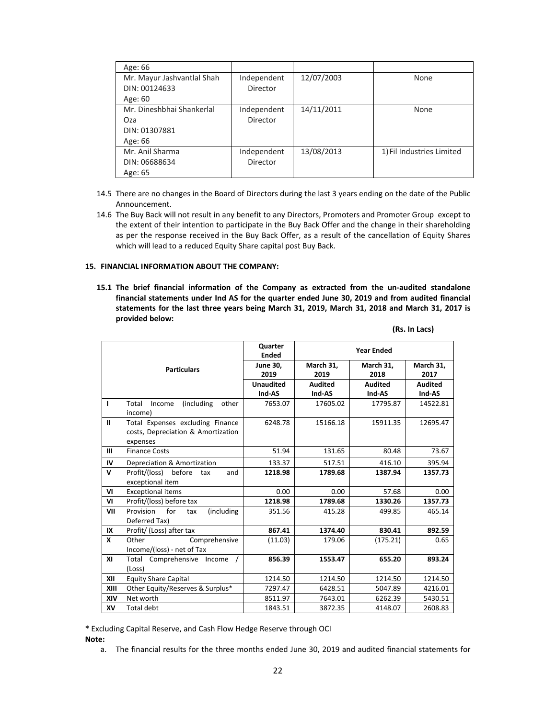| Age: 66                    |             |            |                           |
|----------------------------|-------------|------------|---------------------------|
| Mr. Mayur Jashvantlal Shah | Independent | 12/07/2003 | None                      |
| DIN: 00124633              | Director    |            |                           |
| Age: 60                    |             |            |                           |
| Mr. Dineshbhai Shankerlal  | Independent | 14/11/2011 | None                      |
| Oza                        | Director    |            |                           |
| DIN: 01307881              |             |            |                           |
| Age: 66                    |             |            |                           |
| Mr. Anil Sharma            | Independent | 13/08/2013 | 1) Fil Industries Limited |
| DIN: 06688634              | Director    |            |                           |
| Age: 65                    |             |            |                           |

- 14.5 There are no changes in the Board of Directors during the last 3 years ending on the date of the Public Announcement.
- 14.6 The Buy Back will not result in any benefit to any Directors, Promoters and Promoter Group except to the extent of their intention to participate in the Buy Back Offer and the change in their shareholding as per the response received in the Buy Back Offer, as a result of the cancellation of Equity Shares which will lead to a reduced Equity Share capital post Buy Back.

## **15. FINANCIAL INFORMATION ABOUT THE COMPANY:**

**15.1 The brief financial information of the Company as extracted from the un‐audited standalone financial statements under Ind AS for the quarter ended June 30, 2019 and from audited financial statements for the last three years being March 31, 2019, March 31, 2018 and March 31, 2017 is provided below:**

|  | (Rs. In Lacs) |
|--|---------------|
|--|---------------|

|              |                                                                                    | Quarter<br><b>Ended</b> |                   | <b>Year Ended</b> |                   |
|--------------|------------------------------------------------------------------------------------|-------------------------|-------------------|-------------------|-------------------|
|              | <b>Particulars</b>                                                                 | <b>June 30,</b><br>2019 | March 31.<br>2019 | March 31,<br>2018 | March 31,<br>2017 |
|              |                                                                                    | <b>Unaudited</b>        | <b>Audited</b>    | <b>Audited</b>    | <b>Audited</b>    |
|              |                                                                                    | Ind-AS                  | Ind-AS            | Ind-AS            | Ind-AS            |
| ı            | (including)<br>other<br>Total<br>Income<br>income)                                 | 7653.07                 | 17605.02          | 17795.87          | 14522.81          |
| $\mathbf{u}$ | Total Expenses excluding Finance<br>costs, Depreciation & Amortization<br>expenses | 6248.78                 | 15166.18          | 15911.35          | 12695.47          |
| Ш            | <b>Finance Costs</b>                                                               | 51.94                   | 131.65            | 80.48             | 73.67             |
| IV           | Depreciation & Amortization                                                        | 133.37                  | 517.51            | 416.10            | 395.94            |
| $\mathsf{V}$ | Profit/(loss)<br>before<br>and<br>tax<br>exceptional item                          | 1218.98                 | 1789.68           | 1387.94           | 1357.73           |
| VI           | <b>Exceptional items</b>                                                           | 0.00                    | 0.00              | 57.68             | 0.00              |
| VI           | Profit/(loss) before tax                                                           | 1218.98                 | 1789.68           | 1330.26           | 1357.73           |
| VII          | Provision<br>for<br>(including<br>tax<br>Deferred Tax)                             | 351.56                  | 415.28            | 499.85            | 465.14            |
| IX           | Profit/ (Loss) after tax                                                           | 867.41                  | 1374.40           | 830.41            | 892.59            |
| x            | Other<br>Comprehensive<br>Income/(loss) - net of Tax                               | (11.03)                 | 179.06            | (175.21)          | 0.65              |
| XI           | Total<br>Comprehensive<br>Income<br>(Loss)                                         | 856.39                  | 1553.47           | 655.20            | 893.24            |
| XII          | <b>Equity Share Capital</b>                                                        | 1214.50                 | 1214.50           | 1214.50           | 1214.50           |
| XIII         | Other Equity/Reserves & Surplus*                                                   | 7297.47                 | 6428.51           | 5047.89           | 4216.01           |
| XIV          | Net worth                                                                          | 8511.97                 | 7643.01           | 6262.39           | 5430.51           |
| XV           | Total debt                                                                         | 1843.51                 | 3872.35           | 4148.07           | 2608.83           |

**\*** Excluding Capital Reserve, and Cash Flow Hedge Reserve through OCI **Note:**

a. The financial results for the three months ended June 30, 2019 and audited financial statements for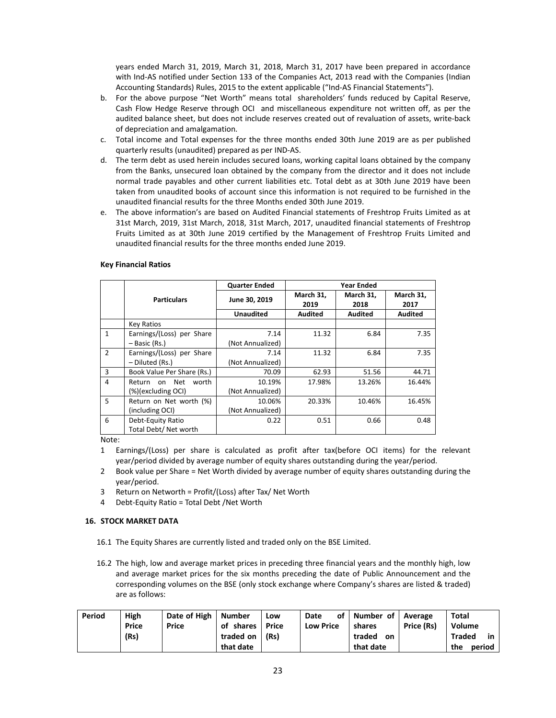years ended March 31, 2019, March 31, 2018, March 31, 2017 have been prepared in accordance with Ind‐AS notified under Section 133 of the Companies Act, 2013 read with the Companies (Indian Accounting Standards) Rules, 2015 to the extent applicable ("Ind‐AS Financial Statements").

- b. For the above purpose "Net Worth" means total shareholders' funds reduced by Capital Reserve, Cash Flow Hedge Reserve through OCI and miscellaneous expenditure not written off, as per the audited balance sheet, but does not include reserves created out of revaluation of assets, write‐back of depreciation and amalgamation.
- c. Total income and Total expenses for the three months ended 30th June 2019 are as per published quarterly results (unaudited) prepared as per IND‐AS.
- d. The term debt as used herein includes secured loans, working capital loans obtained by the company from the Banks, unsecured loan obtained by the company from the director and it does not include normal trade payables and other current liabilities etc. Total debt as at 30th June 2019 have been taken from unaudited books of account since this information is not required to be furnished in the unaudited financial results for the three Months ended 30th June 2019.
- e. The above information's are based on Audited Financial statements of Freshtrop Fruits Limited as at 31st March, 2019, 31st March, 2018, 31st March, 2017, unaudited financial statements of Freshtrop Fruits Limited as at 30th June 2019 certified by the Management of Freshtrop Fruits Limited and unaudited financial results for the three months ended June 2019.

|                 |                            | <b>Quarter Ended</b> | <b>Year Ended</b> |                   |                   |  |
|-----------------|----------------------------|----------------------|-------------------|-------------------|-------------------|--|
|                 | <b>Particulars</b>         | June 30, 2019        | March 31,<br>2019 | March 31,<br>2018 | March 31,<br>2017 |  |
|                 |                            | <b>Unaudited</b>     | <b>Audited</b>    | <b>Audited</b>    | <b>Audited</b>    |  |
|                 | Key Ratios                 |                      |                   |                   |                   |  |
| $\mathbf{1}$    | Earnings/(Loss) per Share  | 7.14                 | 11.32             | 6.84              | 7.35              |  |
|                 | - Basic (Rs.)              | (Not Annualized)     |                   |                   |                   |  |
| $\overline{2}$  | Earnings/(Loss) per Share  | 7.14                 | 11.32             | 6.84              | 7.35              |  |
|                 | - Diluted (Rs.)            | (Not Annualized)     |                   |                   |                   |  |
| 3               | Book Value Per Share (Rs.) | 70.09                | 62.93             | 51.56             | 44.71             |  |
| 4               | worth<br>on Net<br>Return  | 10.19%               | 17.98%            | 13.26%            | 16.44%            |  |
|                 | (%)(excluding OCI)         | (Not Annualized)     |                   |                   |                   |  |
| 5               | Return on Net worth (%)    | 10.06%               | 20.33%            | 10.46%            | 16.45%            |  |
|                 | (including OCI)            | (Not Annualized)     |                   |                   |                   |  |
| 6               | Debt-Equity Ratio          | 0.22                 | 0.51              | 0.66              | 0.48              |  |
|                 | Total Debt/ Net worth      |                      |                   |                   |                   |  |
| $N \cap + \cap$ |                            |                      |                   |                   |                   |  |

## **Key Financial Ratios**

Note:

- 1 Earnings/(Loss) per share is calculated as profit after tax(before OCI items) for the relevant year/period divided by average number of equity shares outstanding during the year/period.
- 2 Book value per Share = Net Worth divided by average number of equity shares outstanding during the year/period.
- 3 Return on Networth = Profit/(Loss) after Tax/ Net Worth
- 4 Debt‐Equity Ratio = Total Debt /Net Worth

## **16. STOCK MARKET DATA**

- 16.1 The Equity Shares are currently listed and traded only on the BSE Limited.
- 16.2 The high, low and average market prices in preceding three financial years and the monthly high, low and average market prices for the six months preceding the date of Public Announcement and the corresponding volumes on the BSE (only stock exchange where Company's shares are listed & traded) are as follows:

| Period | High  | Date of High   Number |                    | Low | Date             | of   Number of   Average |            | <b>Total</b>          |
|--------|-------|-----------------------|--------------------|-----|------------------|--------------------------|------------|-----------------------|
|        | Price | Price                 | of shares   Price  |     | <b>Low Price</b> | shares                   | Price (Rs) | Volume                |
|        | (Rs)  |                       | traded on $ $ (Rs) |     |                  | traded<br>- on           |            | <b>Traded</b><br>in I |
|        |       |                       | that date          |     |                  | that date                |            | period<br>the         |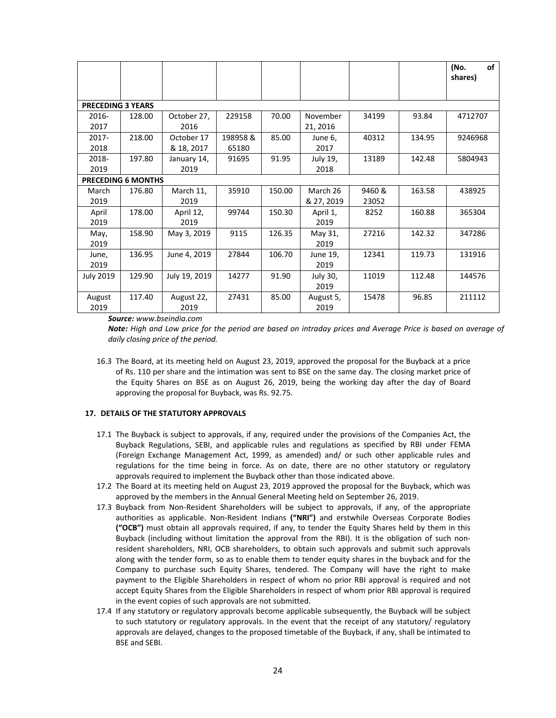|                          |                           |               |         |        |            |        |        | (No.<br>of<br>shares) |
|--------------------------|---------------------------|---------------|---------|--------|------------|--------|--------|-----------------------|
|                          |                           |               |         |        |            |        |        |                       |
| <b>PRECEDING 3 YEARS</b> |                           |               |         |        |            |        |        |                       |
| 2016-                    | 128.00                    | October 27,   | 229158  | 70.00  | November   | 34199  | 93.84  | 4712707               |
| 2017                     |                           | 2016          |         |        | 21, 2016   |        |        |                       |
| $2017 -$                 | 218.00                    | October 17    | 198958& | 85.00  | June 6,    | 40312  | 134.95 | 9246968               |
| 2018                     |                           | & 18, 2017    | 65180   |        | 2017       |        |        |                       |
| 2018-                    | 197.80                    | January 14,   | 91695   | 91.95  | July 19,   | 13189  | 142.48 | 5804943               |
| 2019                     |                           | 2019          |         |        | 2018       |        |        |                       |
|                          | <b>PRECEDING 6 MONTHS</b> |               |         |        |            |        |        |                       |
| March                    | 176.80                    | March 11,     | 35910   | 150.00 | March 26   | 9460 & | 163.58 | 438925                |
| 2019                     |                           | 2019          |         |        | & 27, 2019 | 23052  |        |                       |
| April                    | 178.00                    | April 12,     | 99744   | 150.30 | April 1,   | 8252   | 160.88 | 365304                |
| 2019                     |                           | 2019          |         |        | 2019       |        |        |                       |
| May,                     | 158.90                    | May 3, 2019   | 9115    | 126.35 | May 31,    | 27216  | 142.32 | 347286                |
| 2019                     |                           |               |         |        | 2019       |        |        |                       |
| June,                    | 136.95                    | June 4, 2019  | 27844   | 106.70 | June 19,   | 12341  | 119.73 | 131916                |
| 2019                     |                           |               |         |        | 2019       |        |        |                       |
| <b>July 2019</b>         | 129.90                    | July 19, 2019 | 14277   | 91.90  | July 30,   | 11019  | 112.48 | 144576                |
|                          |                           |               |         |        | 2019       |        |        |                       |
| August                   | 117.40                    | August 22,    | 27431   | 85.00  | August 5,  | 15478  | 96.85  | 211112                |
| 2019                     |                           | 2019          |         |        | 2019       |        |        |                       |

*Source: www.bseindia.com* 

Note: High and Low price for the period are based on intraday prices and Average Price is based on average of *daily closing price of the period.*

16.3 The Board, at its meeting held on August 23, 2019, approved the proposal for the Buyback at a price of Rs. 110 per share and the intimation was sent to BSE on the same day. The closing market price of the Equity Shares on BSE as on August 26, 2019, being the working day after the day of Board approving the proposal for Buyback, was Rs. 92.75.

## **17. DETAILS OF THE STATUTORY APPROVALS**

- 17.1 The Buyback is subject to approvals, if any, required under the provisions of the Companies Act, the Buyback Regulations, SEBI, and applicable rules and regulations as specified by RBI under FEMA (Foreign Exchange Management Act, 1999, as amended) and/ or such other applicable rules and regulations for the time being in force. As on date, there are no other statutory or regulatory approvals required to implement the Buyback other than those indicated above.
- 17.2 The Board at its meeting held on August 23, 2019 approved the proposal for the Buyback, which was approved by the members in the Annual General Meeting held on September 26, 2019.
- 17.3 Buyback from Non‐Resident Shareholders will be subject to approvals, if any, of the appropriate authorities as applicable. Non‐Resident Indians **("NRI")** and erstwhile Overseas Corporate Bodies **("OCB")** must obtain all approvals required, if any, to tender the Equity Shares held by them in this Buyback (including without limitation the approval from the RBI). It is the obligation of such nonresident shareholders, NRI, OCB shareholders, to obtain such approvals and submit such approvals along with the tender form, so as to enable them to tender equity shares in the buyback and for the Company to purchase such Equity Shares, tendered. The Company will have the right to make payment to the Eligible Shareholders in respect of whom no prior RBI approval is required and not accept Equity Shares from the Eligible Shareholders in respect of whom prior RBI approval is required in the event copies of such approvals are not submitted.
- 17.4 If any statutory or regulatory approvals become applicable subsequently, the Buyback will be subject to such statutory or regulatory approvals. In the event that the receipt of any statutory/ regulatory approvals are delayed, changes to the proposed timetable of the Buyback, if any, shall be intimated to BSE and SEBI.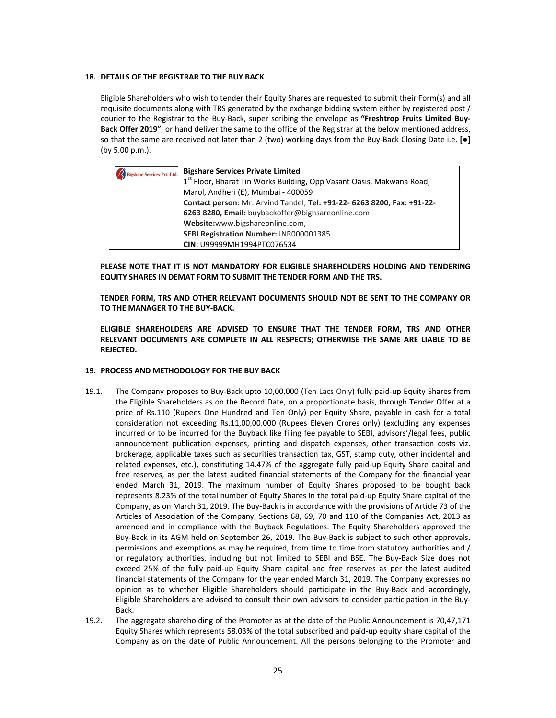#### **18. DETAILS OF THE REGISTRAR TO THE BUY BACK**

Eligible Shareholders who wish to tender their Equity Shares are requested to submit their Form(s) and all requisite documents along with TRS generated by the exchange bidding system either by registered post / courier to the Registrar to the Buy‐Back, super scribing the envelope as **"Freshtrop Fruits Limited Buy‐ Back Offer 2019"**, or hand deliver the same to the office of the Registrar at the below mentioned address, so that the same are received not later than 2 (two) working days from the Buy‐Back Closing Date i.e. **[●]** (by 5.00 p.m.).

| <b>Bigshare Services Pvt. Ltd.</b> | <b>Bigshare Services Private Limited</b>                                |
|------------------------------------|-------------------------------------------------------------------------|
|                                    | 1st Floor, Bharat Tin Works Building, Opp Vasant Oasis, Makwana Road,   |
|                                    | Marol, Andheri (E), Mumbai - 400059                                     |
|                                    | Contact person: Mr. Arvind Tandel; Tel: +91-22- 6263 8200; Fax: +91-22- |
|                                    | 6263 8280, Email: buybackoffer@bighsareonline.com                       |
|                                    | Website:www.bigshareonline.com,                                         |
|                                    | SEBI Registration Number: INR000001385                                  |
|                                    | CIN: U99999MH1994PTC076534                                              |

**PLEASE NOTE THAT IT IS NOT MANDATORY FOR ELIGIBLE SHAREHOLDERS HOLDING AND TENDERING EQUITY SHARES IN DEMAT FORM TO SUBMIT THE TENDER FORM AND THE TRS.** 

**TENDER FORM, TRS AND OTHER RELEVANT DOCUMENTS SHOULD NOT BE SENT TO THE COMPANY OR TO THE MANAGER TO THE BUY‐BACK.** 

**ELIGIBLE SHAREHOLDERS ARE ADVISED TO ENSURE THAT THE TENDER FORM, TRS AND OTHER RELEVANT DOCUMENTS ARE COMPLETE IN ALL RESPECTS; OTHERWISE THE SAME ARE LIABLE TO BE REJECTED.**

## **19. PROCESS AND METHODOLOGY FOR THE BUY BACK**

- 19.1. The Company proposes to Buy‐Back upto 10,00,000 (Ten Lacs Only) fully paid‐up Equity Shares from the Eligible Shareholders as on the Record Date, on a proportionate basis, through Tender Offer at a price of Rs.110 (Rupees One Hundred and Ten Only) per Equity Share, payable in cash for a total consideration not exceeding Rs.11,00,00,000 (Rupees Eleven Crores only) (excluding any expenses incurred or to be incurred for the Buyback like filing fee payable to SEBI, advisors'/legal fees, public announcement publication expenses, printing and dispatch expenses, other transaction costs viz. brokerage, applicable taxes such as securities transaction tax, GST, stamp duty, other incidental and related expenses, etc.), constituting 14.47% of the aggregate fully paid‐up Equity Share capital and free reserves, as per the latest audited financial statements of the Company for the financial year ended March 31, 2019. The maximum number of Equity Shares proposed to be bought back represents 8.23% of the total number of Equity Shares in the total paid‐up Equity Share capital of the Company, as on March 31, 2019. The Buy‐Back is in accordance with the provisions of Article 73 of the Articles of Association of the Company, Sections 68, 69, 70 and 110 of the Companies Act, 2013 as amended and in compliance with the Buyback Regulations. The Equity Shareholders approved the Buy‐Back in its AGM held on September 26, 2019. The Buy‐Back is subject to such other approvals, permissions and exemptions as may be required, from time to time from statutory authorities and / or regulatory authorities, including but not limited to SEBI and BSE. The Buy‐Back Size does not exceed 25% of the fully paid-up Equity Share capital and free reserves as per the latest audited financial statements of the Company for the year ended March 31, 2019. The Company expresses no opinion as to whether Eligible Shareholders should participate in the Buy‐Back and accordingly, Eligible Shareholders are advised to consult their own advisors to consider participation in the Buy‐ Back.
- 19.2. The aggregate shareholding of the Promoter as at the date of the Public Announcement is 70,47,171 Equity Shares which represents 58.03% of the total subscribed and paid‐up equity share capital of the Company as on the date of Public Announcement. All the persons belonging to the Promoter and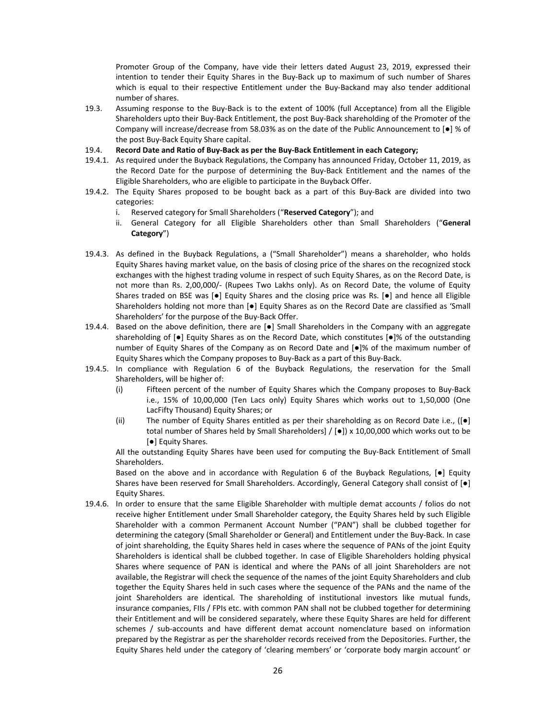Promoter Group of the Company, have vide their letters dated August 23, 2019, expressed their intention to tender their Equity Shares in the Buy‐Back up to maximum of such number of Shares which is equal to their respective Entitlement under the Buy-Backand may also tender additional number of shares.

- 19.3. Assuming response to the Buy‐Back is to the extent of 100% (full Acceptance) from all the Eligible Shareholders upto their Buy‐Back Entitlement, the post Buy‐Back shareholding of the Promoter of the Company will increase/decrease from 58.03% as on the date of the Public Announcement to [●] % of the post Buy‐Back Equity Share capital.
- 19.4. **Record Date and Ratio of Buy‐Back as per the Buy‐Back Entitlement in each Category;**
- 19.4.1. As required under the Buyback Regulations, the Company has announced Friday, October 11, 2019, as the Record Date for the purpose of determining the Buy‐Back Entitlement and the names of the Eligible Shareholders, who are eligible to participate in the Buyback Offer.
- 19.4.2. The Equity Shares proposed to be bought back as a part of this Buy‐Back are divided into two categories:
	- i. Reserved category for Small Shareholders ("**Reserved Category**"); and
	- ii. General Category for all Eligible Shareholders other than Small Shareholders ("**General Category**")
- 19.4.3. As defined in the Buyback Regulations, a ("Small Shareholder") means a shareholder, who holds Equity Shares having market value, on the basis of closing price of the shares on the recognized stock exchanges with the highest trading volume in respect of such Equity Shares, as on the Record Date, is not more than Rs. 2,00,000/‐ (Rupees Two Lakhs only). As on Record Date, the volume of Equity Shares traded on BSE was [●] Equity Shares and the closing price was Rs. [●] and hence all Eligible Shareholders holding not more than [●] Equity Shares as on the Record Date are classified as 'Small Shareholders' for the purpose of the Buy‐Back Offer.
- 19.4.4. Based on the above definition, there are [●] Small Shareholders in the Company with an aggregate shareholding of [●] Equity Shares as on the Record Date, which constitutes [●]% of the outstanding number of Equity Shares of the Company as on Record Date and [●]% of the maximum number of Equity Shares which the Company proposes to Buy‐Back as a part of this Buy‐Back.
- 19.4.5. In compliance with Regulation 6 of the Buyback Regulations, the reservation for the Small Shareholders, will be higher of:
	- (i) Fifteen percent of the number of Equity Shares which the Company proposes to Buy‐Back i.e., 15% of 10,00,000 (Ten Lacs only) Equity Shares which works out to 1,50,000 (One LacFifty Thousand) Equity Shares; or
	- (ii) The number of Equity Shares entitled as per their shareholding as on Record Date i.e.,  $(\lceil \bullet \rceil)$ total number of Shares held by Small Shareholders] / [●]) x 10,00,000 which works out to be [●] Equity Shares.

All the outstanding Equity Shares have been used for computing the Buy‐Back Entitlement of Small Shareholders.

Based on the above and in accordance with Regulation 6 of the Buyback Regulations, [.] Equity Shares have been reserved for Small Shareholders. Accordingly, General Category shall consist of [●] Equity Shares.

19.4.6. In order to ensure that the same Eligible Shareholder with multiple demat accounts / folios do not receive higher Entitlement under Small Shareholder category, the Equity Shares held by such Eligible Shareholder with a common Permanent Account Number ("PAN") shall be clubbed together for determining the category (Small Shareholder or General) and Entitlement under the Buy‐Back. In case of joint shareholding, the Equity Shares held in cases where the sequence of PANs of the joint Equity Shareholders is identical shall be clubbed together. In case of Eligible Shareholders holding physical Shares where sequence of PAN is identical and where the PANs of all joint Shareholders are not available, the Registrar will check the sequence of the names of the joint Equity Shareholders and club together the Equity Shares held in such cases where the sequence of the PANs and the name of the joint Shareholders are identical. The shareholding of institutional investors like mutual funds, insurance companies, FIIs / FPIs etc. with common PAN shall not be clubbed together for determining their Entitlement and will be considered separately, where these Equity Shares are held for different schemes / sub-accounts and have different demat account nomenclature based on information prepared by the Registrar as per the shareholder records received from the Depositories. Further, the Equity Shares held under the category of 'clearing members' or 'corporate body margin account' or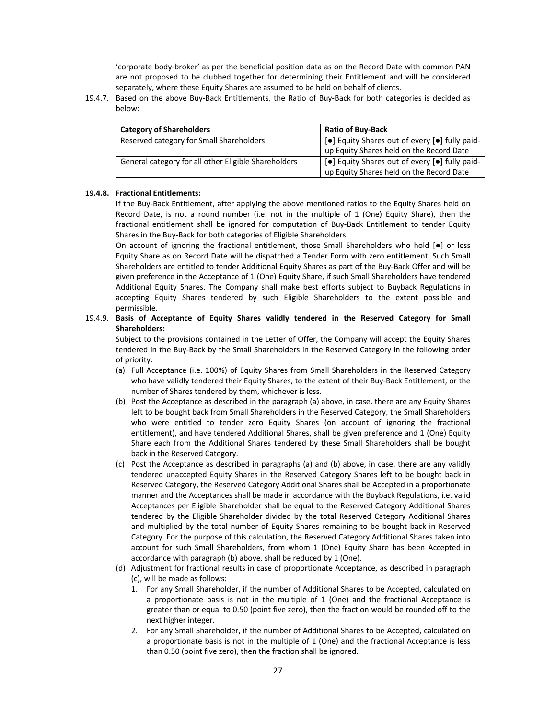'corporate body‐broker' as per the beneficial position data as on the Record Date with common PAN are not proposed to be clubbed together for determining their Entitlement and will be considered separately, where these Equity Shares are assumed to be held on behalf of clients.

19.4.7. Based on the above Buy‐Back Entitlements, the Ratio of Buy‐Back for both categories is decided as below:

| <b>Category of Shareholders</b>                      | <b>Ratio of Buy-Back</b>                                                       |
|------------------------------------------------------|--------------------------------------------------------------------------------|
| Reserved category for Small Shareholders             | [●] Equity Shares out of every [●] fully paid-                                 |
|                                                      | up Equity Shares held on the Record Date                                       |
| General category for all other Eligible Shareholders | $\vert \cdot \vert$ Equity Shares out of every $\vert \cdot \vert$ fully paid- |
|                                                      | up Equity Shares held on the Record Date                                       |

## **19.4.8. Fractional Entitlements:**

If the Buy‐Back Entitlement, after applying the above mentioned ratios to the Equity Shares held on Record Date, is not a round number (i.e. not in the multiple of 1 (One) Equity Share), then the fractional entitlement shall be ignored for computation of Buy‐Back Entitlement to tender Equity Shares in the Buy‐Back for both categories of Eligible Shareholders.

On account of ignoring the fractional entitlement, those Small Shareholders who hold [●] or less Equity Share as on Record Date will be dispatched a Tender Form with zero entitlement. Such Small Shareholders are entitled to tender Additional Equity Shares as part of the Buy‐Back Offer and will be given preference in the Acceptance of 1 (One) Equity Share, if such Small Shareholders have tendered Additional Equity Shares. The Company shall make best efforts subject to Buyback Regulations in accepting Equity Shares tendered by such Eligible Shareholders to the extent possible and permissible.

# 19.4.9. **Basis of Acceptance of Equity Shares validly tendered in the Reserved Category for Small Shareholders:**

Subject to the provisions contained in the Letter of Offer, the Company will accept the Equity Shares tendered in the Buy‐Back by the Small Shareholders in the Reserved Category in the following order of priority:

- (a) Full Acceptance (i.e. 100%) of Equity Shares from Small Shareholders in the Reserved Category who have validly tendered their Equity Shares, to the extent of their Buy‐Back Entitlement, or the number of Shares tendered by them, whichever is less.
- (b) Post the Acceptance as described in the paragraph (a) above, in case, there are any Equity Shares left to be bought back from Small Shareholders in the Reserved Category, the Small Shareholders who were entitled to tender zero Equity Shares (on account of ignoring the fractional entitlement), and have tendered Additional Shares, shall be given preference and 1 (One) Equity Share each from the Additional Shares tendered by these Small Shareholders shall be bought back in the Reserved Category.
- (c) Post the Acceptance as described in paragraphs (a) and (b) above, in case, there are any validly tendered unaccepted Equity Shares in the Reserved Category Shares left to be bought back in Reserved Category, the Reserved Category Additional Shares shall be Accepted in a proportionate manner and the Acceptances shall be made in accordance with the Buyback Regulations, i.e. valid Acceptances per Eligible Shareholder shall be equal to the Reserved Category Additional Shares tendered by the Eligible Shareholder divided by the total Reserved Category Additional Shares and multiplied by the total number of Equity Shares remaining to be bought back in Reserved Category. For the purpose of this calculation, the Reserved Category Additional Shares taken into account for such Small Shareholders, from whom 1 (One) Equity Share has been Accepted in accordance with paragraph (b) above, shall be reduced by 1 (One).
- (d) Adjustment for fractional results in case of proportionate Acceptance, as described in paragraph (c), will be made as follows:
	- 1. For any Small Shareholder, if the number of Additional Shares to be Accepted, calculated on a proportionate basis is not in the multiple of 1 (One) and the fractional Acceptance is greater than or equal to 0.50 (point five zero), then the fraction would be rounded off to the next higher integer.
	- 2. For any Small Shareholder, if the number of Additional Shares to be Accepted, calculated on a proportionate basis is not in the multiple of 1 (One) and the fractional Acceptance is less than 0.50 (point five zero), then the fraction shall be ignored.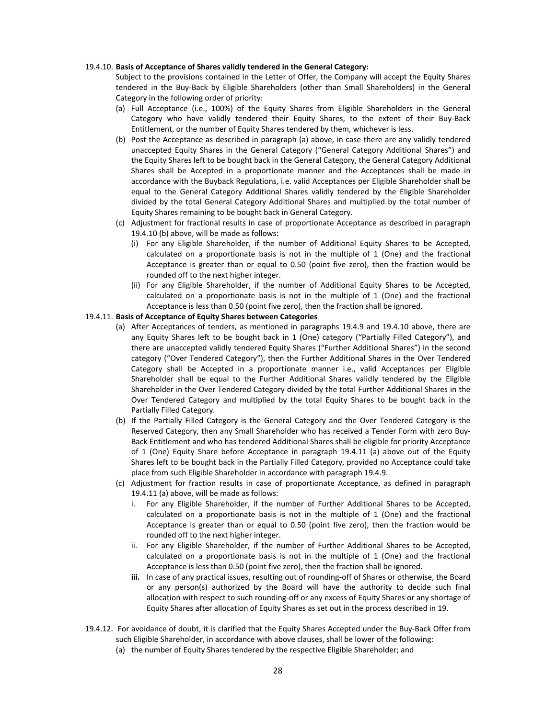#### 19.4.10. **Basis of Acceptance of Shares validly tendered in the General Category:**

Subject to the provisions contained in the Letter of Offer, the Company will accept the Equity Shares tendered in the Buy‐Back by Eligible Shareholders (other than Small Shareholders) in the General Category in the following order of priority:

- (a) Full Acceptance (i.e., 100%) of the Equity Shares from Eligible Shareholders in the General Category who have validly tendered their Equity Shares, to the extent of their Buy‐Back Entitlement, or the number of Equity Shares tendered by them, whichever is less.
- (b) Post the Acceptance as described in paragraph (a) above, in case there are any validly tendered unaccepted Equity Shares in the General Category ("General Category Additional Shares") and the Equity Shares left to be bought back in the General Category, the General Category Additional Shares shall be Accepted in a proportionate manner and the Acceptances shall be made in accordance with the Buyback Regulations, i.e. valid Acceptances per Eligible Shareholder shall be equal to the General Category Additional Shares validly tendered by the Eligible Shareholder divided by the total General Category Additional Shares and multiplied by the total number of Equity Shares remaining to be bought back in General Category.
- (c) Adjustment for fractional results in case of proportionate Acceptance as described in paragraph 19.4.10 (b) above, will be made as follows:
	- (i) For any Eligible Shareholder, if the number of Additional Equity Shares to be Accepted, calculated on a proportionate basis is not in the multiple of 1 (One) and the fractional Acceptance is greater than or equal to 0.50 (point five zero), then the fraction would be rounded off to the next higher integer.
	- (ii) For any Eligible Shareholder, if the number of Additional Equity Shares to be Accepted, calculated on a proportionate basis is not in the multiple of 1 (One) and the fractional Acceptance is less than 0.50 (point five zero), then the fraction shall be ignored.

#### 19.4.11. **Basis of Acceptance of Equity Shares between Categories**

- (a) After Acceptances of tenders, as mentioned in paragraphs 19.4.9 and 19.4.10 above, there are any Equity Shares left to be bought back in 1 (One) category ("Partially Filled Category"), and there are unaccepted validly tendered Equity Shares ("Further Additional Shares") in the second category ("Over Tendered Category"), then the Further Additional Shares in the Over Tendered Category shall be Accepted in a proportionate manner i.e., valid Acceptances per Eligible Shareholder shall be equal to the Further Additional Shares validly tendered by the Eligible Shareholder in the Over Tendered Category divided by the total Further Additional Shares in the Over Tendered Category and multiplied by the total Equity Shares to be bought back in the Partially Filled Category.
- (b) If the Partially Filled Category is the General Category and the Over Tendered Category is the Reserved Category, then any Small Shareholder who has received a Tender Form with zero Buy‐ Back Entitlement and who has tendered Additional Shares shall be eligible for priority Acceptance of 1 (One) Equity Share before Acceptance in paragraph 19.4.11 (a) above out of the Equity Shares left to be bought back in the Partially Filled Category, provided no Acceptance could take place from such Eligible Shareholder in accordance with paragraph 19.4.9.
- (c) Adjustment for fraction results in case of proportionate Acceptance, as defined in paragraph 19.4.11 (a) above, will be made as follows:
	- i. For any Eligible Shareholder, if the number of Further Additional Shares to be Accepted, calculated on a proportionate basis is not in the multiple of 1 (One) and the fractional Acceptance is greater than or equal to 0.50 (point five zero), then the fraction would be rounded off to the next higher integer.
	- ii. For any Eligible Shareholder, if the number of Further Additional Shares to be Accepted, calculated on a proportionate basis is not in the multiple of 1 (One) and the fractional Acceptance is less than 0.50 (point five zero), then the fraction shall be ignored.
	- **iii.** In case of any practical issues, resulting out of rounding-off of Shares or otherwise, the Board or any person(s) authorized by the Board will have the authority to decide such final allocation with respect to such rounding‐off or any excess of Equity Shares or any shortage of Equity Shares after allocation of Equity Shares as set out in the process described in 19.
- 19.4.12. For avoidance of doubt, it is clarified that the Equity Shares Accepted under the Buy‐Back Offer from such Eligible Shareholder, in accordance with above clauses, shall be lower of the following:
	- (a) the number of Equity Shares tendered by the respective Eligible Shareholder; and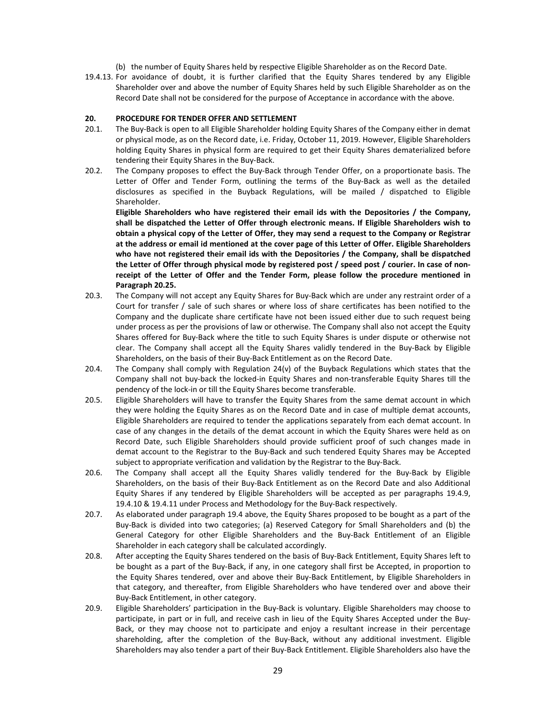- (b) the number of Equity Shares held by respective Eligible Shareholder as on the Record Date.
- 19.4.13. For avoidance of doubt, it is further clarified that the Equity Shares tendered by any Eligible Shareholder over and above the number of Equity Shares held by such Eligible Shareholder as on the Record Date shall not be considered for the purpose of Acceptance in accordance with the above.

#### **20. PROCEDURE FOR TENDER OFFER AND SETTLEMENT**

- 20.1. The Buy-Back is open to all Eligible Shareholder holding Equity Shares of the Company either in demat or physical mode, as on the Record date, i.e. Friday, October 11, 2019. However, Eligible Shareholders holding Equity Shares in physical form are required to get their Equity Shares dematerialized before tendering their Equity Shares in the Buy‐Back.
- 20.2. The Company proposes to effect the Buy-Back through Tender Offer, on a proportionate basis. The Letter of Offer and Tender Form, outlining the terms of the Buy-Back as well as the detailed disclosures as specified in the Buyback Regulations, will be mailed / dispatched to Eligible Shareholder.

**Eligible Shareholders who have registered their email ids with the Depositories / the Company, shall be dispatched the Letter of Offer through electronic means. If Eligible Shareholders wish to** obtain a physical copy of the Letter of Offer, they may send a request to the Company or Registrar at the address or email id mentioned at the cover page of this Letter of Offer. Eligible Shareholders **who have not registered their email ids with the Depositories / the Company, shall be dispatched** the Letter of Offer through physical mode by registered post / speed post / courier. In case of non**receipt of the Letter of Offer and the Tender Form, please follow the procedure mentioned in Paragraph 20.25.**

- 20.3. The Company will not accept any Equity Shares for Buy-Back which are under any restraint order of a Court for transfer / sale of such shares or where loss of share certificates has been notified to the Company and the duplicate share certificate have not been issued either due to such request being under process as per the provisions of law or otherwise. The Company shall also not accept the Equity Shares offered for Buy‐Back where the title to such Equity Shares is under dispute or otherwise not clear. The Company shall accept all the Equity Shares validly tendered in the Buy‐Back by Eligible Shareholders, on the basis of their Buy‐Back Entitlement as on the Record Date.
- 20.4. The Company shall comply with Regulation 24(v) of the Buyback Regulations which states that the Company shall not buy‐back the locked‐in Equity Shares and non‐transferable Equity Shares till the pendency of the lock‐in or till the Equity Shares become transferable.
- 20.5. Eligible Shareholders will have to transfer the Equity Shares from the same demat account in which they were holding the Equity Shares as on the Record Date and in case of multiple demat accounts, Eligible Shareholders are required to tender the applications separately from each demat account. In case of any changes in the details of the demat account in which the Equity Shares were held as on Record Date, such Eligible Shareholders should provide sufficient proof of such changes made in demat account to the Registrar to the Buy‐Back and such tendered Equity Shares may be Accepted subject to appropriate verification and validation by the Registrar to the Buy‐Back.
- 20.6. The Company shall accept all the Equity Shares validly tendered for the Buy-Back by Eligible Shareholders, on the basis of their Buy‐Back Entitlement as on the Record Date and also Additional Equity Shares if any tendered by Eligible Shareholders will be accepted as per paragraphs 19.4.9, 19.4.10 & 19.4.11 under Process and Methodology for the Buy‐Back respectively.
- 20.7. As elaborated under paragraph 19.4 above, the Equity Shares proposed to be bought as a part of the Buy‐Back is divided into two categories; (a) Reserved Category for Small Shareholders and (b) the General Category for other Eligible Shareholders and the Buy‐Back Entitlement of an Eligible Shareholder in each category shall be calculated accordingly.
- 20.8. After accepting the Equity Shares tendered on the basis of Buy-Back Entitlement, Equity Shares left to be bought as a part of the Buy‐Back, if any, in one category shall first be Accepted, in proportion to the Equity Shares tendered, over and above their Buy‐Back Entitlement, by Eligible Shareholders in that category, and thereafter, from Eligible Shareholders who have tendered over and above their Buy‐Back Entitlement, in other category.
- 20.9. Eligible Shareholders' participation in the Buy‐Back is voluntary. Eligible Shareholders may choose to participate, in part or in full, and receive cash in lieu of the Equity Shares Accepted under the Buy-Back, or they may choose not to participate and enjoy a resultant increase in their percentage shareholding, after the completion of the Buy‐Back, without any additional investment. Eligible Shareholders may also tender a part of their Buy‐Back Entitlement. Eligible Shareholders also have the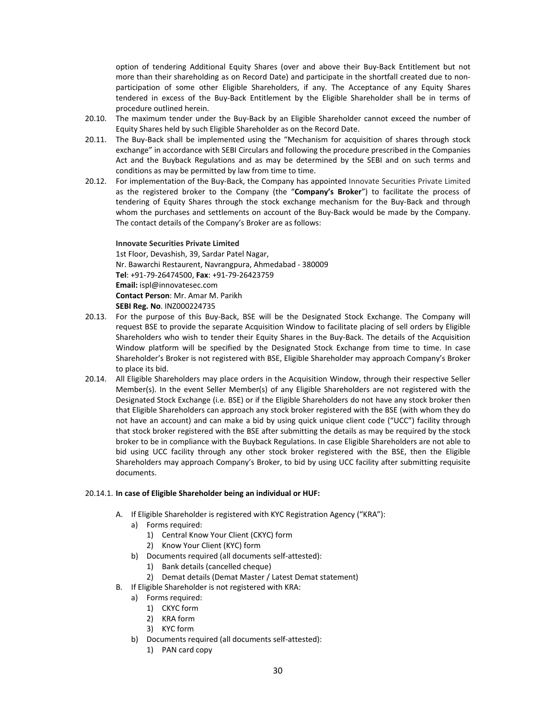option of tendering Additional Equity Shares (over and above their Buy‐Back Entitlement but not more than their shareholding as on Record Date) and participate in the shortfall created due to nonparticipation of some other Eligible Shareholders, if any. The Acceptance of any Equity Shares tendered in excess of the Buy‐Back Entitlement by the Eligible Shareholder shall be in terms of procedure outlined herein.

- 20.10. The maximum tender under the Buy‐Back by an Eligible Shareholder cannot exceed the number of Equity Shares held by such Eligible Shareholder as on the Record Date.
- 20.11. The Buy-Back shall be implemented using the "Mechanism for acquisition of shares through stock exchange" in accordance with SEBI Circulars and following the procedure prescribed in the Companies Act and the Buyback Regulations and as may be determined by the SEBI and on such terms and conditions as may be permitted by law from time to time.
- 20.12. For implementation of the Buy‐Back, the Company has appointed Innovate Securities Private Limited as the registered broker to the Company (the "**Company's Broker**") to facilitate the process of tendering of Equity Shares through the stock exchange mechanism for the Buy‐Back and through whom the purchases and settlements on account of the Buy-Back would be made by the Company. The contact details of the Company's Broker are as follows:

**Innovate Securities Private Limited**  1st Floor, Devashish, 39, Sardar Patel Nagar, Nr. Bawarchi Restaurent, Navrangpura, Ahmedabad ‐ 380009 **Tel**: +91‐79‐26474500, **Fax**: +91‐79‐26423759 **Email:** ispl@innovatesec.com **Contact Person**: Mr. Amar M. Parikh **SEBI Reg. No**. INZ000224735

- 20.13. For the purpose of this Buy‐Back, BSE will be the Designated Stock Exchange. The Company will request BSE to provide the separate Acquisition Window to facilitate placing of sell orders by Eligible Shareholders who wish to tender their Equity Shares in the Buy‐Back. The details of the Acquisition Window platform will be specified by the Designated Stock Exchange from time to time. In case Shareholder's Broker is not registered with BSE, Eligible Shareholder may approach Company's Broker to place its bid.
- 20.14. All Eligible Shareholders may place orders in the Acquisition Window, through their respective Seller Member(s). In the event Seller Member(s) of any Eligible Shareholders are not registered with the Designated Stock Exchange (i.e. BSE) or if the Eligible Shareholders do not have any stock broker then that Eligible Shareholders can approach any stock broker registered with the BSE (with whom they do not have an account) and can make a bid by using quick unique client code ("UCC") facility through that stock broker registered with the BSE after submitting the details as may be required by the stock broker to be in compliance with the Buyback Regulations. In case Eligible Shareholders are not able to bid using UCC facility through any other stock broker registered with the BSE, then the Eligible Shareholders may approach Company's Broker, to bid by using UCC facility after submitting requisite documents.

## 20.14.1. **In case of Eligible Shareholder being an individual or HUF:**

- A. If Eligible Shareholder is registered with KYC Registration Agency ("KRA"):
	- a) Forms required:
		- 1) Central Know Your Client (CKYC) form
		- 2) Know Your Client (KYC) form
	- b) Documents required (all documents self-attested):
		- 1) Bank details (cancelled cheque)
		- 2) Demat details (Demat Master / Latest Demat statement)
- B. If Eligible Shareholder is not registered with KRA:
	- a) Forms required:
		- 1) CKYC form
		- 2) KRA form
		- 3) KYC form
	- b) Documents required (all documents self-attested):
		- 1) PAN card copy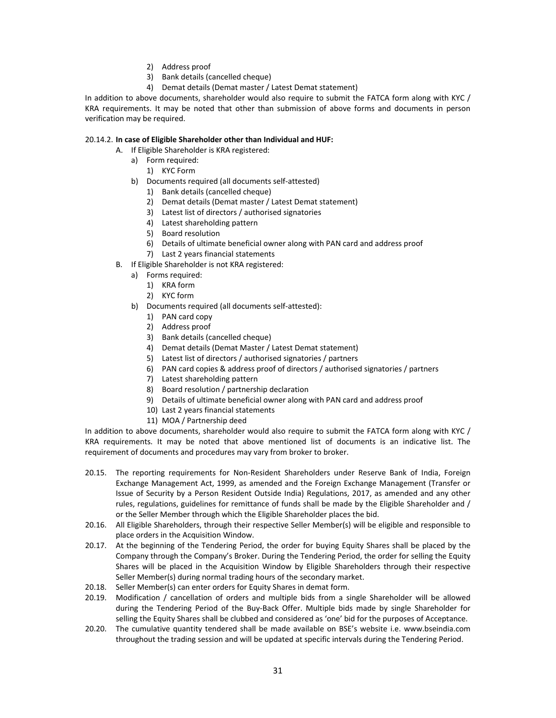- 2) Address proof
- 3) Bank details (cancelled cheque)
- 4) Demat details (Demat master / Latest Demat statement)

In addition to above documents, shareholder would also require to submit the FATCA form along with KYC / KRA requirements. It may be noted that other than submission of above forms and documents in person verification may be required.

# 20.14.2. **In case of Eligible Shareholder other than Individual and HUF:**

- A. If Eligible Shareholder is KRA registered:
	- a) Form required:
		- 1) KYC Form
	- b) Documents required (all documents self‐attested)
		- 1) Bank details (cancelled cheque)
		- 2) Demat details (Demat master / Latest Demat statement)
		- 3) Latest list of directors / authorised signatories
		- 4) Latest shareholding pattern
		- 5) Board resolution
		- 6) Details of ultimate beneficial owner along with PAN card and address proof
		- 7) Last 2 years financial statements
- B. If Eligible Shareholder is not KRA registered:
	- a) Forms required:
		- 1) KRA form
		- 2) KYC form
		- b) Documents required (all documents self-attested):
			- 1) PAN card copy
			- 2) Address proof
			- 3) Bank details (cancelled cheque)
			- 4) Demat details (Demat Master / Latest Demat statement)
			- 5) Latest list of directors / authorised signatories / partners
			- 6) PAN card copies & address proof of directors / authorised signatories / partners
			- 7) Latest shareholding pattern
			- 8) Board resolution / partnership declaration
			- 9) Details of ultimate beneficial owner along with PAN card and address proof
			- 10) Last 2 years financial statements
			- 11) MOA / Partnership deed

In addition to above documents, shareholder would also require to submit the FATCA form along with KYC / KRA requirements. It may be noted that above mentioned list of documents is an indicative list. The requirement of documents and procedures may vary from broker to broker.

- 20.15. The reporting requirements for Non-Resident Shareholders under Reserve Bank of India, Foreign Exchange Management Act, 1999, as amended and the Foreign Exchange Management (Transfer or Issue of Security by a Person Resident Outside India) Regulations, 2017, as amended and any other rules, regulations, guidelines for remittance of funds shall be made by the Eligible Shareholder and / or the Seller Member through which the Eligible Shareholder places the bid.
- 20.16. All Eligible Shareholders, through their respective Seller Member(s) will be eligible and responsible to place orders in the Acquisition Window.
- 20.17. At the beginning of the Tendering Period, the order for buying Equity Shares shall be placed by the Company through the Company's Broker. During the Tendering Period, the order for selling the Equity Shares will be placed in the Acquisition Window by Eligible Shareholders through their respective Seller Member(s) during normal trading hours of the secondary market.
- 20.18. Seller Member(s) can enter orders for Equity Shares in demat form.
- 20.19. Modification / cancellation of orders and multiple bids from a single Shareholder will be allowed during the Tendering Period of the Buy‐Back Offer. Multiple bids made by single Shareholder for selling the Equity Shares shall be clubbed and considered as 'one' bid for the purposes of Acceptance.
- 20.20. The cumulative quantity tendered shall be made available on BSE's website i.e. www.bseindia.com throughout the trading session and will be updated at specific intervals during the Tendering Period.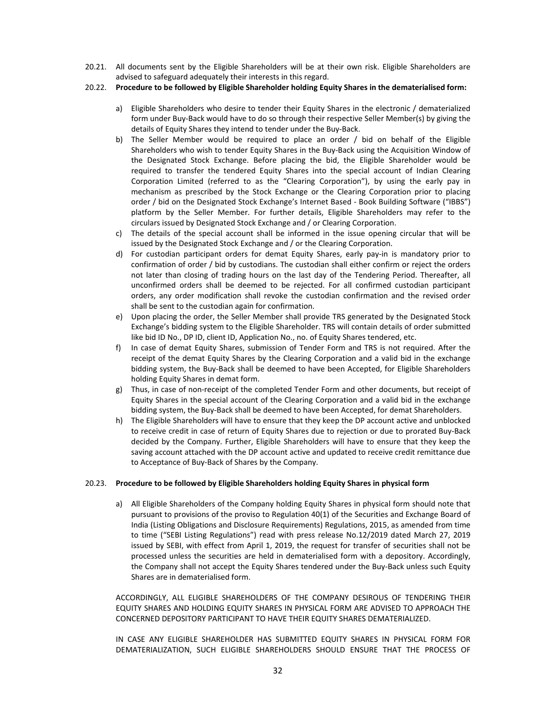20.21. All documents sent by the Eligible Shareholders will be at their own risk. Eligible Shareholders are advised to safeguard adequately their interests in this regard.

## 20.22. **Procedure to be followed by Eligible Shareholder holding Equity Shares in the dematerialised form:**

- a) Eligible Shareholders who desire to tender their Equity Shares in the electronic / dematerialized form under Buy‐Back would have to do so through their respective Seller Member(s) by giving the details of Equity Shares they intend to tender under the Buy‐Back.
- b) The Seller Member would be required to place an order / bid on behalf of the Eligible Shareholders who wish to tender Equity Shares in the Buy‐Back using the Acquisition Window of the Designated Stock Exchange. Before placing the bid, the Eligible Shareholder would be required to transfer the tendered Equity Shares into the special account of Indian Clearing Corporation Limited (referred to as the "Clearing Corporation"), by using the early pay in mechanism as prescribed by the Stock Exchange or the Clearing Corporation prior to placing order / bid on the Designated Stock Exchange's Internet Based ‐ Book Building Software ("IBBS") platform by the Seller Member. For further details, Eligible Shareholders may refer to the circulars issued by Designated Stock Exchange and / or Clearing Corporation.
- c) The details of the special account shall be informed in the issue opening circular that will be issued by the Designated Stock Exchange and / or the Clearing Corporation.
- d) For custodian participant orders for demat Equity Shares, early pay-in is mandatory prior to confirmation of order / bid by custodians. The custodian shall either confirm or reject the orders not later than closing of trading hours on the last day of the Tendering Period. Thereafter, all unconfirmed orders shall be deemed to be rejected. For all confirmed custodian participant orders, any order modification shall revoke the custodian confirmation and the revised order shall be sent to the custodian again for confirmation.
- e) Upon placing the order, the Seller Member shall provide TRS generated by the Designated Stock Exchange's bidding system to the Eligible Shareholder. TRS will contain details of order submitted like bid ID No., DP ID, client ID, Application No., no. of Equity Shares tendered, etc.
- f) In case of demat Equity Shares, submission of Tender Form and TRS is not required. After the receipt of the demat Equity Shares by the Clearing Corporation and a valid bid in the exchange bidding system, the Buy‐Back shall be deemed to have been Accepted, for Eligible Shareholders holding Equity Shares in demat form.
- g) Thus, in case of non-receipt of the completed Tender Form and other documents, but receipt of Equity Shares in the special account of the Clearing Corporation and a valid bid in the exchange bidding system, the Buy‐Back shall be deemed to have been Accepted, for demat Shareholders.
- h) The Eligible Shareholders will have to ensure that they keep the DP account active and unblocked to receive credit in case of return of Equity Shares due to rejection or due to prorated Buy‐Back decided by the Company. Further, Eligible Shareholders will have to ensure that they keep the saving account attached with the DP account active and updated to receive credit remittance due to Acceptance of Buy‐Back of Shares by the Company.

# 20.23. **Procedure to be followed by Eligible Shareholders holding Equity Shares in physical form**

a) All Eligible Shareholders of the Company holding Equity Shares in physical form should note that pursuant to provisions of the proviso to Regulation 40(1) of the Securities and Exchange Board of India (Listing Obligations and Disclosure Requirements) Regulations, 2015, as amended from time to time ("SEBI Listing Regulations") read with press release No.12/2019 dated March 27, 2019 issued by SEBI, with effect from April 1, 2019, the request for transfer of securities shall not be processed unless the securities are held in dematerialised form with a depository. Accordingly, the Company shall not accept the Equity Shares tendered under the Buy-Back unless such Equity Shares are in dematerialised form.

ACCORDINGLY, ALL ELIGIBLE SHAREHOLDERS OF THE COMPANY DESIROUS OF TENDERING THEIR EQUITY SHARES AND HOLDING EQUITY SHARES IN PHYSICAL FORM ARE ADVISED TO APPROACH THE CONCERNED DEPOSITORY PARTICIPANT TO HAVE THEIR EQUITY SHARES DEMATERIALIZED.

IN CASE ANY ELIGIBLE SHAREHOLDER HAS SUBMITTED EQUITY SHARES IN PHYSICAL FORM FOR DEMATERIALIZATION, SUCH ELIGIBLE SHAREHOLDERS SHOULD ENSURE THAT THE PROCESS OF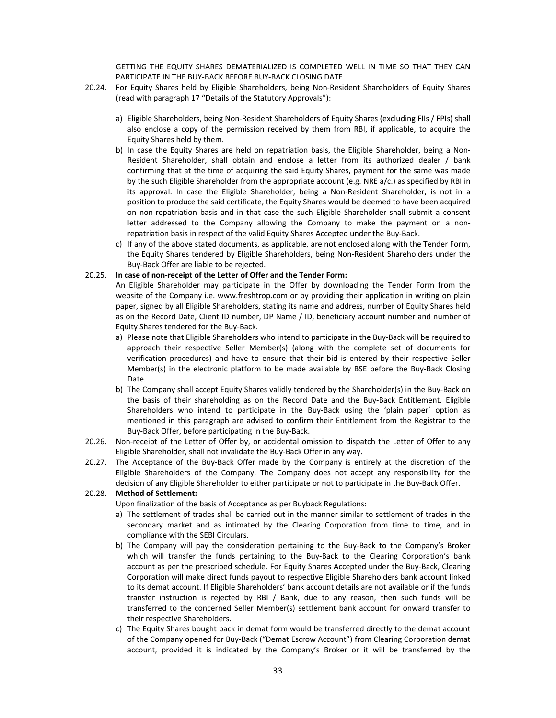GETTING THE EQUITY SHARES DEMATERIALIZED IS COMPLETED WELL IN TIME SO THAT THEY CAN PARTICIPATE IN THE BUY‐BACK BEFORE BUY‐BACK CLOSING DATE.

- 20.24. For Equity Shares held by Eligible Shareholders, being Non‐Resident Shareholders of Equity Shares (read with paragraph 17 "Details of the Statutory Approvals"):
	- a) Eligible Shareholders, being Non‐Resident Shareholders of Equity Shares (excluding FIIs / FPIs) shall also enclose a copy of the permission received by them from RBI, if applicable, to acquire the Equity Shares held by them.
	- b) In case the Equity Shares are held on repatriation basis, the Eligible Shareholder, being a Non-Resident Shareholder, shall obtain and enclose a letter from its authorized dealer / bank confirming that at the time of acquiring the said Equity Shares, payment for the same was made by the such Eligible Shareholder from the appropriate account (e.g. NRE a/c.) as specified by RBI in its approval. In case the Eligible Shareholder, being a Non‐Resident Shareholder, is not in a position to produce the said certificate, the Equity Shares would be deemed to have been acquired on non‐repatriation basis and in that case the such Eligible Shareholder shall submit a consent letter addressed to the Company allowing the Company to make the payment on a nonrepatriation basis in respect of the valid Equity Shares Accepted under the Buy‐Back.
	- c) If any of the above stated documents, as applicable, are not enclosed along with the Tender Form, the Equity Shares tendered by Eligible Shareholders, being Non‐Resident Shareholders under the Buy‐Back Offer are liable to be rejected.

#### 20.25. **In case of non‐receipt of the Letter of Offer and the Tender Form:**

An Eligible Shareholder may participate in the Offer by downloading the Tender Form from the website of the Company i.e. www.freshtrop.com or by providing their application in writing on plain paper, signed by all Eligible Shareholders, stating its name and address, number of Equity Shares held as on the Record Date, Client ID number, DP Name / ID, beneficiary account number and number of Equity Shares tendered for the Buy‐Back.

- a) Please note that Eligible Shareholders who intend to participate in the Buy‐Back will be required to approach their respective Seller Member(s) (along with the complete set of documents for verification procedures) and have to ensure that their bid is entered by their respective Seller Member(s) in the electronic platform to be made available by BSE before the Buy‐Back Closing Date.
- b) The Company shall accept Equity Shares validly tendered by the Shareholder(s) in the Buy‐Back on the basis of their shareholding as on the Record Date and the Buy‐Back Entitlement. Eligible Shareholders who intend to participate in the Buy-Back using the 'plain paper' option as mentioned in this paragraph are advised to confirm their Entitlement from the Registrar to the Buy‐Back Offer, before participating in the Buy‐Back.
- 20.26. Non-receipt of the Letter of Offer by, or accidental omission to dispatch the Letter of Offer to any Eligible Shareholder, shall not invalidate the Buy‐Back Offer in any way.
- 20.27. The Acceptance of the Buy-Back Offer made by the Company is entirely at the discretion of the Eligible Shareholders of the Company. The Company does not accept any responsibility for the decision of any Eligible Shareholder to either participate or not to participate in the Buy‐Back Offer.

# 20.28. **Method of Settlement:**

Upon finalization of the basis of Acceptance as per Buyback Regulations:

- a) The settlement of trades shall be carried out in the manner similar to settlement of trades in the secondary market and as intimated by the Clearing Corporation from time to time, and in compliance with the SEBI Circulars.
- b) The Company will pay the consideration pertaining to the Buy‐Back to the Company's Broker which will transfer the funds pertaining to the Buy-Back to the Clearing Corporation's bank account as per the prescribed schedule. For Equity Shares Accepted under the Buy‐Back, Clearing Corporation will make direct funds payout to respective Eligible Shareholders bank account linked to its demat account. If Eligible Shareholders' bank account details are not available or if the funds transfer instruction is rejected by RBI / Bank, due to any reason, then such funds will be transferred to the concerned Seller Member(s) settlement bank account for onward transfer to their respective Shareholders.
- c) The Equity Shares bought back in demat form would be transferred directly to the demat account of the Company opened for Buy‐Back ("Demat Escrow Account") from Clearing Corporation demat account, provided it is indicated by the Company's Broker or it will be transferred by the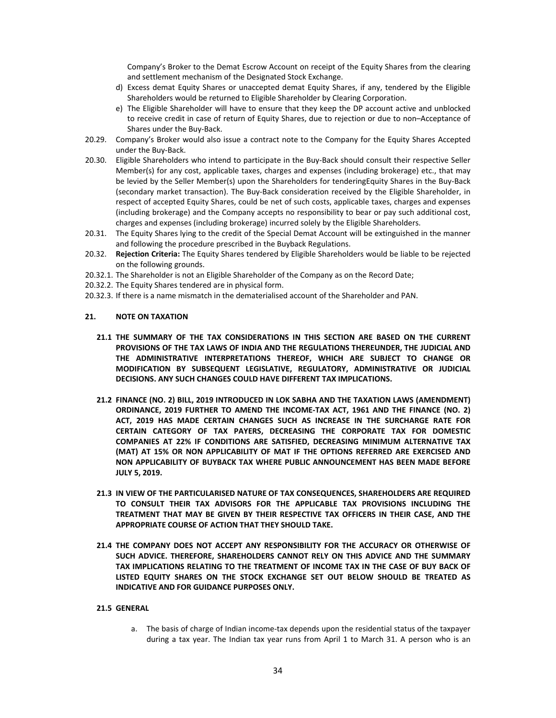Company's Broker to the Demat Escrow Account on receipt of the Equity Shares from the clearing and settlement mechanism of the Designated Stock Exchange.

- d) Excess demat Equity Shares or unaccepted demat Equity Shares, if any, tendered by the Eligible Shareholders would be returned to Eligible Shareholder by Clearing Corporation.
- e) The Eligible Shareholder will have to ensure that they keep the DP account active and unblocked to receive credit in case of return of Equity Shares, due to rejection or due to non–Acceptance of Shares under the Buy‐Back.
- 20.29. Company's Broker would also issue a contract note to the Company for the Equity Shares Accepted under the Buy‐Back.
- 20.30. Eligible Shareholders who intend to participate in the Buy‐Back should consult their respective Seller Member(s) for any cost, applicable taxes, charges and expenses (including brokerage) etc., that may be levied by the Seller Member(s) upon the Shareholders for tenderingEquity Shares in the Buy‐Back (secondary market transaction). The Buy‐Back consideration received by the Eligible Shareholder, in respect of accepted Equity Shares, could be net of such costs, applicable taxes, charges and expenses (including brokerage) and the Company accepts no responsibility to bear or pay such additional cost, charges and expenses (including brokerage) incurred solely by the Eligible Shareholders.
- 20.31. The Equity Shares lying to the credit of the Special Demat Account will be extinguished in the manner and following the procedure prescribed in the Buyback Regulations.
- 20.32. **Rejection Criteria:** The Equity Shares tendered by Eligible Shareholders would be liable to be rejected on the following grounds.
- 20.32.1. The Shareholder is not an Eligible Shareholder of the Company as on the Record Date;
- 20.32.2. The Equity Shares tendered are in physical form.
- 20.32.3. If there is a name mismatch in the dematerialised account of the Shareholder and PAN.

#### **21. NOTE ON TAXATION**

- **21.1 THE SUMMARY OF THE TAX CONSIDERATIONS IN THIS SECTION ARE BASED ON THE CURRENT PROVISIONS OF THE TAX LAWS OF INDIA AND THE REGULATIONS THEREUNDER, THE JUDICIAL AND THE ADMINISTRATIVE INTERPRETATIONS THEREOF, WHICH ARE SUBJECT TO CHANGE OR MODIFICATION BY SUBSEQUENT LEGISLATIVE, REGULATORY, ADMINISTRATIVE OR JUDICIAL DECISIONS. ANY SUCH CHANGES COULD HAVE DIFFERENT TAX IMPLICATIONS.**
- **21.2 FINANCE (NO. 2) BILL, 2019 INTRODUCED IN LOK SABHA AND THE TAXATION LAWS (AMENDMENT) ORDINANCE, 2019 FURTHER TO AMEND THE INCOME‐TAX ACT, 1961 AND THE FINANCE (NO. 2) ACT, 2019 HAS MADE CERTAIN CHANGES SUCH AS INCREASE IN THE SURCHARGE RATE FOR CERTAIN CATEGORY OF TAX PAYERS, DECREASING THE CORPORATE TAX FOR DOMESTIC COMPANIES AT 22% IF CONDITIONS ARE SATISFIED, DECREASING MINIMUM ALTERNATIVE TAX (MAT) AT 15% OR NON APPLICABILITY OF MAT IF THE OPTIONS REFERRED ARE EXERCISED AND NON APPLICABILITY OF BUYBACK TAX WHERE PUBLIC ANNOUNCEMENT HAS BEEN MADE BEFORE JULY 5, 2019.**
- **21.3 IN VIEW OF THE PARTICULARISED NATURE OF TAX CONSEQUENCES, SHAREHOLDERS ARE REQUIRED TO CONSULT THEIR TAX ADVISORS FOR THE APPLICABLE TAX PROVISIONS INCLUDING THE TREATMENT THAT MAY BE GIVEN BY THEIR RESPECTIVE TAX OFFICERS IN THEIR CASE, AND THE APPROPRIATE COURSE OF ACTION THAT THEY SHOULD TAKE.**
- **21.4 THE COMPANY DOES NOT ACCEPT ANY RESPONSIBILITY FOR THE ACCURACY OR OTHERWISE OF SUCH ADVICE. THEREFORE, SHAREHOLDERS CANNOT RELY ON THIS ADVICE AND THE SUMMARY TAX IMPLICATIONS RELATING TO THE TREATMENT OF INCOME TAX IN THE CASE OF BUY BACK OF LISTED EQUITY SHARES ON THE STOCK EXCHANGE SET OUT BELOW SHOULD BE TREATED AS INDICATIVE AND FOR GUIDANCE PURPOSES ONLY.**

#### **21.5 GENERAL**

a. The basis of charge of Indian income-tax depends upon the residential status of the taxpayer during a tax year. The Indian tax year runs from April 1 to March 31. A person who is an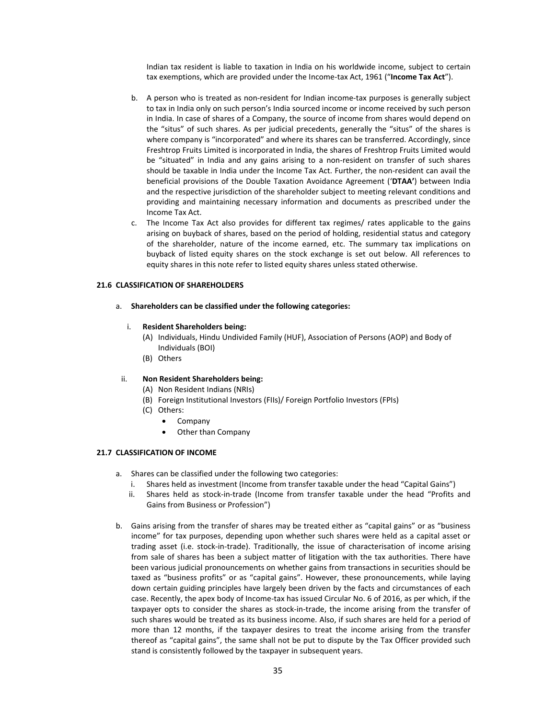Indian tax resident is liable to taxation in India on his worldwide income, subject to certain tax exemptions, which are provided under the Income‐tax Act, 1961 ("**Income Tax Act**").

- b. A person who is treated as non-resident for Indian income-tax purposes is generally subject to tax in India only on such person's India sourced income or income received by such person in India. In case of shares of a Company, the source of income from shares would depend on the "situs" of such shares. As per judicial precedents, generally the "situs" of the shares is where company is "incorporated" and where its shares can be transferred. Accordingly, since Freshtrop Fruits Limited is incorporated in India, the shares of Freshtrop Fruits Limited would be "situated" in India and any gains arising to a non-resident on transfer of such shares should be taxable in India under the Income Tax Act. Further, the non-resident can avail the beneficial provisions of the Double Taxation Avoidance Agreement ('**DTAA'**) between India and the respective jurisdiction of the shareholder subject to meeting relevant conditions and providing and maintaining necessary information and documents as prescribed under the Income Tax Act.
- c. The Income Tax Act also provides for different tax regimes/ rates applicable to the gains arising on buyback of shares, based on the period of holding, residential status and category of the shareholder, nature of the income earned, etc. The summary tax implications on buyback of listed equity shares on the stock exchange is set out below. All references to equity shares in this note refer to listed equity shares unless stated otherwise.

#### **21.6 CLASSIFICATION OF SHAREHOLDERS**

a. **Shareholders can be classified under the following categories:**

#### i. **Resident Shareholders being:**

- (A) Individuals, Hindu Undivided Family (HUF), Association of Persons (AOP) and Body of Individuals (BOI)
- (B) Others

#### ii. **Non Resident Shareholders being:**

- (A) Non Resident Indians (NRIs)
- (B) Foreign Institutional Investors (FIIs)/ Foreign Portfolio Investors (FPIs)
- (C) Others:
	- Company
	- Other than Company

#### **21.7 CLASSIFICATION OF INCOME**

- a. Shares can be classified under the following two categories:
	- i. Shares held as investment (Income from transfer taxable under the head "Capital Gains")
	- ii. Shares held as stock‐in‐trade (Income from transfer taxable under the head "Profits and Gains from Business or Profession")
- b. Gains arising from the transfer of shares may be treated either as "capital gains" or as "business income" for tax purposes, depending upon whether such shares were held as a capital asset or trading asset (i.e. stock‐in‐trade). Traditionally, the issue of characterisation of income arising from sale of shares has been a subject matter of litigation with the tax authorities. There have been various judicial pronouncements on whether gains from transactions in securities should be taxed as "business profits" or as "capital gains". However, these pronouncements, while laying down certain guiding principles have largely been driven by the facts and circumstances of each case. Recently, the apex body of Income‐tax has issued Circular No. 6 of 2016, as per which, if the taxpayer opts to consider the shares as stock‐in‐trade, the income arising from the transfer of such shares would be treated as its business income. Also, if such shares are held for a period of more than 12 months, if the taxpayer desires to treat the income arising from the transfer thereof as "capital gains", the same shall not be put to dispute by the Tax Officer provided such stand is consistently followed by the taxpayer in subsequent years.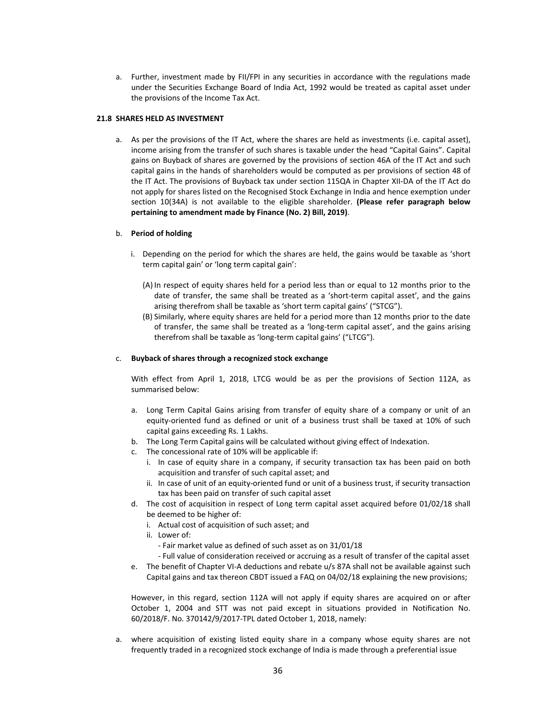a. Further, investment made by FII/FPI in any securities in accordance with the regulations made under the Securities Exchange Board of India Act, 1992 would be treated as capital asset under the provisions of the Income Tax Act.

#### **21.8 SHARES HELD AS INVESTMENT**

a. As per the provisions of the IT Act, where the shares are held as investments (i.e. capital asset), income arising from the transfer of such shares is taxable under the head "Capital Gains". Capital gains on Buyback of shares are governed by the provisions of section 46A of the IT Act and such capital gains in the hands of shareholders would be computed as per provisions of section 48 of the IT Act. The provisions of Buyback tax under section 115QA in Chapter XII‐DA of the IT Act do not apply for shares listed on the Recognised Stock Exchange in India and hence exemption under section 10(34A) is not available to the eligible shareholder. **(Please refer paragraph below pertaining to amendment made by Finance (No. 2) Bill, 2019)**.

#### b. **Period of holding**

- i. Depending on the period for which the shares are held, the gains would be taxable as 'short term capital gain' or 'long term capital gain':
	- (A) In respect of equity shares held for a period less than or equal to 12 months prior to the date of transfer, the same shall be treated as a 'short‐term capital asset', and the gains arising therefrom shall be taxable as 'short term capital gains' ("STCG").
	- (B) Similarly, where equity shares are held for a period more than 12 months prior to the date of transfer, the same shall be treated as a 'long‐term capital asset', and the gains arising therefrom shall be taxable as 'long‐term capital gains' ("LTCG").

#### c. **Buyback of shares through a recognized stock exchange**

With effect from April 1, 2018, LTCG would be as per the provisions of Section 112A, as summarised below:

- a. Long Term Capital Gains arising from transfer of equity share of a company or unit of an equity‐oriented fund as defined or unit of a business trust shall be taxed at 10% of such capital gains exceeding Rs. 1 Lakhs.
- b. The Long Term Capital gains will be calculated without giving effect of Indexation.
- c. The concessional rate of 10% will be applicable if:
	- i. In case of equity share in a company, if security transaction tax has been paid on both acquisition and transfer of such capital asset; and
	- ii. In case of unit of an equity-oriented fund or unit of a business trust, if security transaction tax has been paid on transfer of such capital asset
- d. The cost of acquisition in respect of Long term capital asset acquired before 01/02/18 shall be deemed to be higher of:
	- i. Actual cost of acquisition of such asset; and
	- ii. Lower of:
		- ‐ Fair market value as defined of such asset as on 31/01/18
		- ‐ Full value of consideration received or accruing as a result of transfer of the capital asset
- e. The benefit of Chapter VI-A deductions and rebate u/s 87A shall not be available against such Capital gains and tax thereon CBDT issued a FAQ on 04/02/18 explaining the new provisions;

However, in this regard, section 112A will not apply if equity shares are acquired on or after October 1, 2004 and STT was not paid except in situations provided in Notification No. 60/2018/F. No. 370142/9/2017‐TPL dated October 1, 2018, namely:

a. where acquisition of existing listed equity share in a company whose equity shares are not frequently traded in a recognized stock exchange of India is made through a preferential issue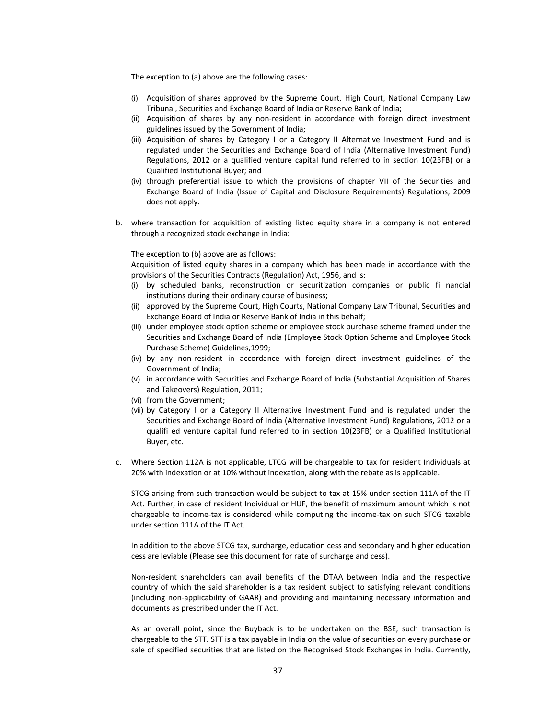The exception to (a) above are the following cases:

- (i) Acquisition of shares approved by the Supreme Court, High Court, National Company Law Tribunal, Securities and Exchange Board of India or Reserve Bank of India;
- (ii) Acquisition of shares by any non‐resident in accordance with foreign direct investment guidelines issued by the Government of India;
- (iii) Acquisition of shares by Category I or a Category II Alternative Investment Fund and is regulated under the Securities and Exchange Board of India (Alternative Investment Fund) Regulations, 2012 or a qualified venture capital fund referred to in section 10(23FB) or a Qualified Institutional Buyer; and
- (iv) through preferential issue to which the provisions of chapter VII of the Securities and Exchange Board of India (Issue of Capital and Disclosure Requirements) Regulations, 2009 does not apply.
- b. where transaction for acquisition of existing listed equity share in a company is not entered through a recognized stock exchange in India:

#### The exception to (b) above are as follows:

Acquisition of listed equity shares in a company which has been made in accordance with the provisions of the Securities Contracts (Regulation) Act, 1956, and is:

- (i) by scheduled banks, reconstruction or securitization companies or public fi nancial institutions during their ordinary course of business;
- (ii) approved by the Supreme Court, High Courts, National Company Law Tribunal, Securities and Exchange Board of India or Reserve Bank of India in this behalf;
- (iii) under employee stock option scheme or employee stock purchase scheme framed under the Securities and Exchange Board of India (Employee Stock Option Scheme and Employee Stock Purchase Scheme) Guidelines,1999;
- (iv) by any non‐resident in accordance with foreign direct investment guidelines of the Government of India;
- (v) in accordance with Securities and Exchange Board of India (Substantial Acquisition of Shares and Takeovers) Regulation, 2011;
- (vi) from the Government;
- (vii) by Category I or a Category II Alternative Investment Fund and is regulated under the Securities and Exchange Board of India (Alternative Investment Fund) Regulations, 2012 or a qualifi ed venture capital fund referred to in section 10(23FB) or a Qualified Institutional Buyer, etc.
- c. Where Section 112A is not applicable, LTCG will be chargeable to tax for resident Individuals at 20% with indexation or at 10% without indexation, along with the rebate as is applicable.

STCG arising from such transaction would be subject to tax at 15% under section 111A of the IT Act. Further, in case of resident Individual or HUF, the benefit of maximum amount which is not chargeable to income‐tax is considered while computing the income‐tax on such STCG taxable under section 111A of the IT Act.

In addition to the above STCG tax, surcharge, education cess and secondary and higher education cess are leviable (Please see this document for rate of surcharge and cess).

Non-resident shareholders can avail benefits of the DTAA between India and the respective country of which the said shareholder is a tax resident subject to satisfying relevant conditions (including non‐applicability of GAAR) and providing and maintaining necessary information and documents as prescribed under the IT Act.

As an overall point, since the Buyback is to be undertaken on the BSE, such transaction is chargeable to the STT. STT is a tax payable in India on the value of securities on every purchase or sale of specified securities that are listed on the Recognised Stock Exchanges in India. Currently,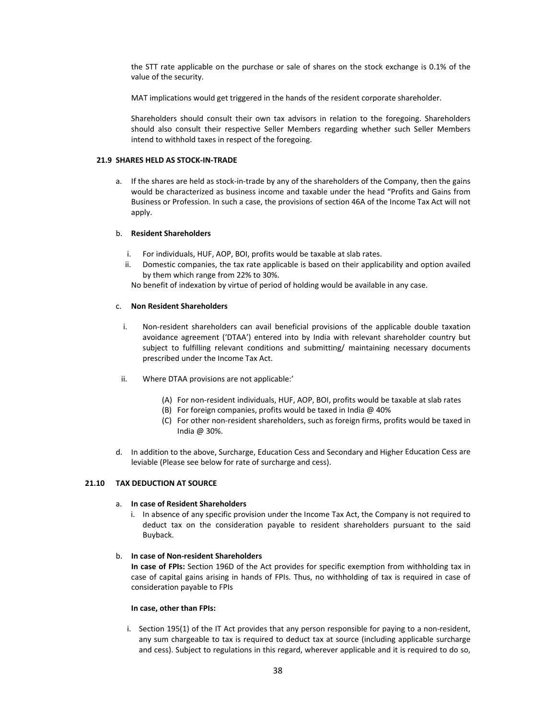the STT rate applicable on the purchase or sale of shares on the stock exchange is 0.1% of the value of the security.

MAT implications would get triggered in the hands of the resident corporate shareholder.

Shareholders should consult their own tax advisors in relation to the foregoing. Shareholders should also consult their respective Seller Members regarding whether such Seller Members intend to withhold taxes in respect of the foregoing.

#### **21.9 SHARES HELD AS STOCK‐IN‐TRADE**

a. If the shares are held as stock-in-trade by any of the shareholders of the Company, then the gains would be characterized as business income and taxable under the head "Profits and Gains from Business or Profession. In such a case, the provisions of section 46A of the Income Tax Act will not apply.

#### b. **Resident Shareholders**

- i. For individuals, HUF, AOP, BOI, profits would be taxable at slab rates.
- ii. Domestic companies, the tax rate applicable is based on their applicability and option availed by them which range from 22% to 30%.

No benefit of indexation by virtue of period of holding would be available in any case.

#### c. **Non Resident Shareholders**

- i. Non-resident shareholders can avail beneficial provisions of the applicable double taxation avoidance agreement ('DTAA') entered into by India with relevant shareholder country but subject to fulfilling relevant conditions and submitting/ maintaining necessary documents prescribed under the Income Tax Act.
- ii. Where DTAA provisions are not applicable:'
	- (A) For non‐resident individuals, HUF, AOP, BOI, profits would be taxable at slab rates
	- (B) For foreign companies, profits would be taxed in India @ 40%
	- (C) For other non‐resident shareholders, such as foreign firms, profits would be taxed in India @ 30%.
- d. In addition to the above, Surcharge, Education Cess and Secondary and Higher Education Cess are leviable (Please see below for rate of surcharge and cess).

## **21.10 TAX DEDUCTION AT SOURCE**

# a. **In case of Resident Shareholders**

i. In absence of any specific provision under the Income Tax Act, the Company is not required to deduct tax on the consideration payable to resident shareholders pursuant to the said Buyback.

## b. **In case of Non‐resident Shareholders**

**In case of FPIs:** Section 196D of the Act provides for specific exemption from withholding tax in case of capital gains arising in hands of FPIs. Thus, no withholding of tax is required in case of consideration payable to FPIs

#### **In case, other than FPIs:**

i. Section 195(1) of the IT Act provides that any person responsible for paying to a non-resident, any sum chargeable to tax is required to deduct tax at source (including applicable surcharge and cess). Subject to regulations in this regard, wherever applicable and it is required to do so,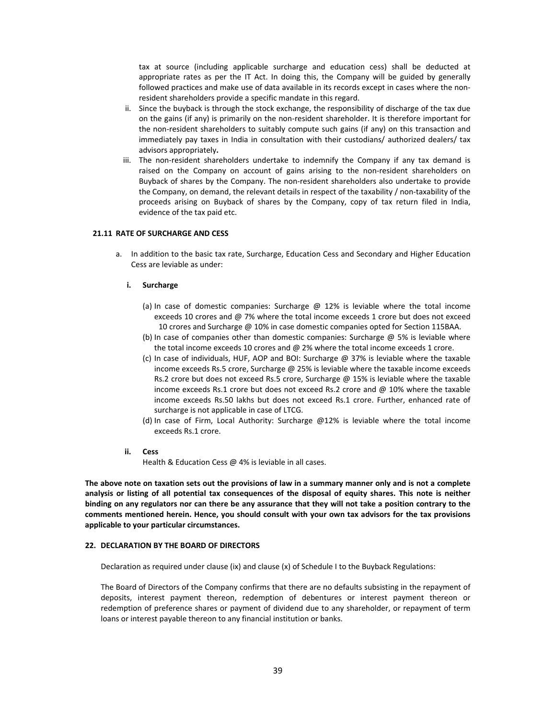tax at source (including applicable surcharge and education cess) shall be deducted at appropriate rates as per the IT Act. In doing this, the Company will be guided by generally followed practices and make use of data available in its records except in cases where the nonresident shareholders provide a specific mandate in this regard.

- ii. Since the buyback is through the stock exchange, the responsibility of discharge of the tax due on the gains (if any) is primarily on the non‐resident shareholder. It is therefore important for the non-resident shareholders to suitably compute such gains (if any) on this transaction and immediately pay taxes in India in consultation with their custodians/ authorized dealers/ tax advisors appropriately**.**
- iii. The non-resident shareholders undertake to indemnify the Company if any tax demand is raised on the Company on account of gains arising to the non-resident shareholders on Buyback of shares by the Company. The non‐resident shareholders also undertake to provide the Company, on demand, the relevant details in respect of the taxability / non‐taxability of the proceeds arising on Buyback of shares by the Company, copy of tax return filed in India, evidence of the tax paid etc.

#### **21.11 RATE OF SURCHARGE AND CESS**

a. In addition to the basic tax rate, Surcharge, Education Cess and Secondary and Higher Education Cess are leviable as under:

#### **i. Surcharge**

- (a) In case of domestic companies: Surcharge  $\omega$  12% is leviable where the total income exceeds 10 crores and @ 7% where the total income exceeds 1 crore but does not exceed 10 crores and Surcharge @ 10% in case domestic companies opted for Section 115BAA.
- (b) In case of companies other than domestic companies: Surcharge  $\omega$  5% is leviable where the total income exceeds 10 crores and @ 2% where the total income exceeds 1 crore.
- (c) In case of individuals, HUF, AOP and BOI: Surcharge @ 37% is leviable where the taxable income exceeds Rs.5 crore, Surcharge @ 25% is leviable where the taxable income exceeds Rs.2 crore but does not exceed Rs.5 crore, Surcharge @ 15% is leviable where the taxable income exceeds Rs.1 crore but does not exceed Rs.2 crore and @ 10% where the taxable income exceeds Rs.50 lakhs but does not exceed Rs.1 crore. Further, enhanced rate of surcharge is not applicable in case of LTCG.
- (d) In case of Firm, Local Authority: Surcharge @12% is leviable where the total income exceeds Rs.1 crore.
- **ii. Cess**

Health & Education Cess @ 4% is leviable in all cases.

The above note on taxation sets out the provisions of law in a summary manner only and is not a complete analysis or listing of all potential tax consequences of the disposal of equity shares. This note is neither binding on any regulators nor can there be any assurance that they will not take a position contrary to the **comments mentioned herein. Hence, you should consult with your own tax advisors for the tax provisions applicable to your particular circumstances.**

#### **22. DECLARATION BY THE BOARD OF DIRECTORS**

Declaration as required under clause (ix) and clause (x) of Schedule I to the Buyback Regulations:

The Board of Directors of the Company confirms that there are no defaults subsisting in the repayment of deposits, interest payment thereon, redemption of debentures or interest payment thereon or redemption of preference shares or payment of dividend due to any shareholder, or repayment of term loans or interest payable thereon to any financial institution or banks.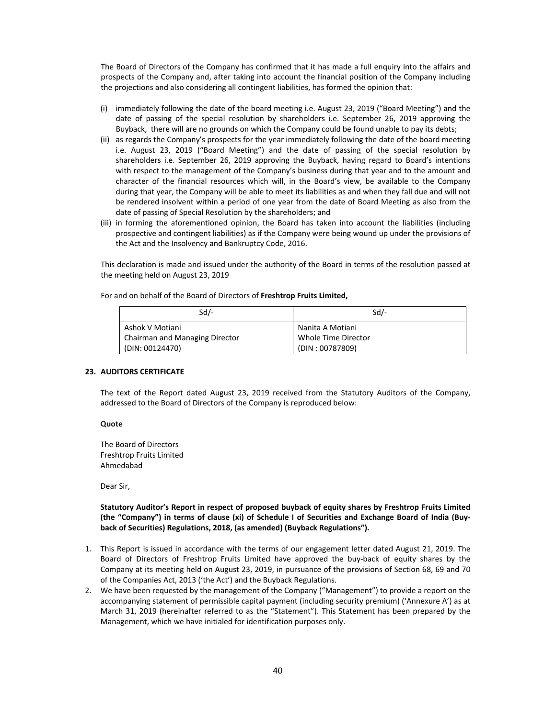The Board of Directors of the Company has confirmed that it has made a full enquiry into the affairs and prospects of the Company and, after taking into account the financial position of the Company including the projections and also considering all contingent liabilities, has formed the opinion that:

- (i) immediately following the date of the board meeting i.e. August 23, 2019 ("Board Meeting") and the date of passing of the special resolution by shareholders i.e. September 26, 2019 approving the Buyback, there will are no grounds on which the Company could be found unable to pay its debts;
- (ii) as regards the Company's prospects for the year immediately following the date of the board meeting i.e. August 23, 2019 ("Board Meeting") and the date of passing of the special resolution by shareholders i.e. September 26, 2019 approving the Buyback, having regard to Board's intentions with respect to the management of the Company's business during that year and to the amount and character of the financial resources which will, in the Board's view, be available to the Company during that year, the Company will be able to meet its liabilities as and when they fall due and will not be rendered insolvent within a period of one year from the date of Board Meeting as also from the date of passing of Special Resolution by the shareholders; and
- (iii) in forming the aforementioned opinion, the Board has taken into account the liabilities (including prospective and contingent liabilities) as if the Company were being wound up under the provisions of the Act and the Insolvency and Bankruptcy Code, 2016.

This declaration is made and issued under the authority of the Board in terms of the resolution passed at the meeting held on August 23, 2019

| $Sd$ /-                        | $Sd$ /-             |  |  |  |  |  |
|--------------------------------|---------------------|--|--|--|--|--|
| Ashok V Motiani                | Nanita A Motiani    |  |  |  |  |  |
| Chairman and Managing Director | Whole Time Director |  |  |  |  |  |

For and on behalf of the Board of Directors of **Freshtrop Fruits Limited,**

## **23. AUDITORS CERTIFICATE**

(DIN: 00124470)

The text of the Report dated August 23, 2019 received from the Statutory Auditors of the Company, addressed to the Board of Directors of the Company is reproduced below:

(DIN : 00787809)

**Quote**

The Board of Directors Freshtrop Fruits Limited Ahmedabad

Dear Sir,

# **Statutory Auditor's Report in respect of proposed buyback of equity shares by Freshtrop Fruits Limited** (the "Company") in terms of clause (xi) of Schedule I of Securities and Exchange Board of India (Buy**back of Securities) Regulations, 2018, (as amended) (Buyback Regulations").**

- 1. This Report is issued in accordance with the terms of our engagement letter dated August 21, 2019. The Board of Directors of Freshtrop Fruits Limited have approved the buy‐back of equity shares by the Company at its meeting held on August 23, 2019, in pursuance of the provisions of Section 68, 69 and 70 of the Companies Act, 2013 ('the Act') and the Buyback Regulations.
- 2. We have been requested by the management of the Company ("Management") to provide a report on the accompanying statement of permissible capital payment (including security premium) ('Annexure A') as at March 31, 2019 (hereinafter referred to as the "Statement"). This Statement has been prepared by the Management, which we have initialed for identification purposes only.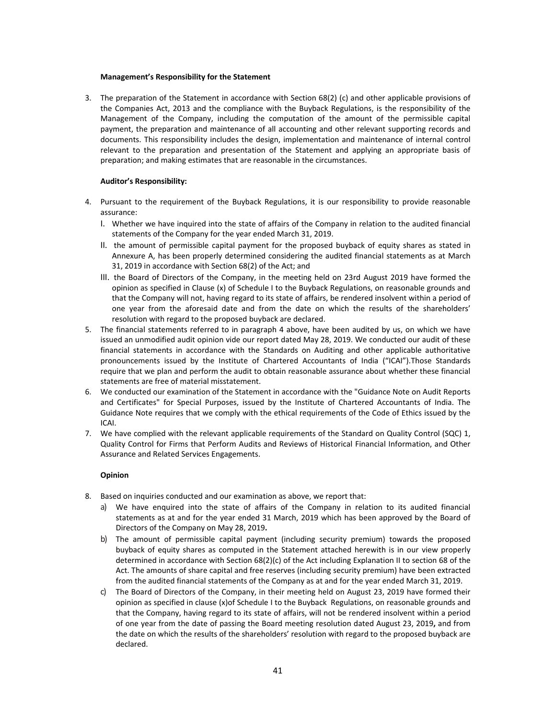#### **Management's Responsibility for the Statement**

3. The preparation of the Statement in accordance with Section 68(2) (c) and other applicable provisions of the Companies Act, 2013 and the compliance with the Buyback Regulations, is the responsibility of the Management of the Company, including the computation of the amount of the permissible capital payment, the preparation and maintenance of all accounting and other relevant supporting records and documents. This responsibility includes the design, implementation and maintenance of internal control relevant to the preparation and presentation of the Statement and applying an appropriate basis of preparation; and making estimates that are reasonable in the circumstances.

#### **Auditor's Responsibility:**

- 4. Pursuant to the requirement of the Buyback Regulations, it is our responsibility to provide reasonable assurance:
	- I. Whether we have inquired into the state of affairs of the Company in relation to the audited financial statements of the Company for the year ended March 31, 2019.
	- II. the amount of permissible capital payment for the proposed buyback of equity shares as stated in Annexure A, has been properly determined considering the audited financial statements as at March 31, 2019 in accordance with Section 68(2) of the Act; and
	- III. the Board of Directors of the Company, in the meeting held on 23rd August 2019 have formed the opinion as specified in Clause (x) of Schedule I to the Buyback Regulations, on reasonable grounds and that the Company will not, having regard to its state of affairs, be rendered insolvent within a period of one year from the aforesaid date and from the date on which the results of the shareholders' resolution with regard to the proposed buyback are declared.
- 5. The financial statements referred to in paragraph 4 above, have been audited by us, on which we have issued an unmodified audit opinion vide our report dated May 28, 2019. We conducted our audit of these financial statements in accordance with the Standards on Auditing and other applicable authoritative pronouncements issued by the Institute of Chartered Accountants of India ("ICAI").Those Standards require that we plan and perform the audit to obtain reasonable assurance about whether these financial statements are free of material misstatement.
- 6. We conducted our examination of the Statement in accordance with the "Guidance Note on Audit Reports and Certificates" for Special Purposes, issued by the Institute of Chartered Accountants of India. The Guidance Note requires that we comply with the ethical requirements of the Code of Ethics issued by the ICAI.
- 7. We have complied with the relevant applicable requirements of the Standard on Quality Control (SQC) 1, Quality Control for Firms that Perform Audits and Reviews of Historical Financial Information, and Other Assurance and Related Services Engagements.

#### **Opinion**

- 8. Based on inquiries conducted and our examination as above, we report that:
	- a) We have enquired into the state of affairs of the Company in relation to its audited financial statements as at and for the year ended 31 March, 2019 which has been approved by the Board of Directors of the Company on May 28, 2019**.**
	- b) The amount of permissible capital payment (including security premium) towards the proposed buyback of equity shares as computed in the Statement attached herewith is in our view properly determined in accordance with Section 68(2)(c) of the Act including Explanation II to section 68 of the Act. The amounts of share capital and free reserves (including security premium) have been extracted from the audited financial statements of the Company as at and for the year ended March 31, 2019.
	- c) The Board of Directors of the Company, in their meeting held on August 23, 2019 have formed their opinion as specified in clause (x)of Schedule I to the Buyback Regulations, on reasonable grounds and that the Company, having regard to its state of affairs, will not be rendered insolvent within a period of one year from the date of passing the Board meeting resolution dated August 23, 2019**,** and from the date on which the results of the shareholders' resolution with regard to the proposed buyback are declared.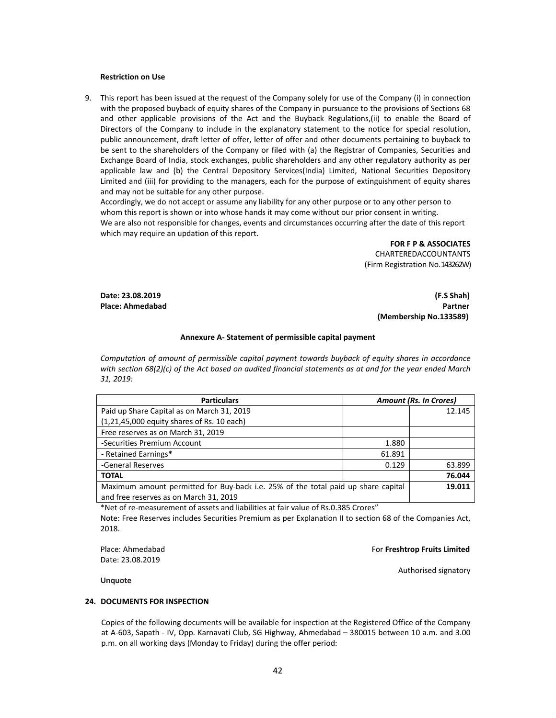#### **Restriction on Use**

9. This report has been issued at the request of the Company solely for use of the Company (i) in connection with the proposed buyback of equity shares of the Company in pursuance to the provisions of Sections 68 and other applicable provisions of the Act and the Buyback Regulations,(ii) to enable the Board of Directors of the Company to include in the explanatory statement to the notice for special resolution, public announcement, draft letter of offer, letter of offer and other documents pertaining to buyback to be sent to the shareholders of the Company or filed with (a) the Registrar of Companies, Securities and Exchange Board of India, stock exchanges, public shareholders and any other regulatory authority as per applicable law and (b) the Central Depository Services(India) Limited, National Securities Depository Limited and (iii) for providing to the managers, each for the purpose of extinguishment of equity shares and may not be suitable for any other purpose.

Accordingly, we do not accept or assume any liability for any other purpose or to any other person to whom this report is shown or into whose hands it may come without our prior consent in writing. We are also not responsible for changes, events and circumstances occurring after the date of this report which may require an updation of this report.

> **FOR F P & ASSOCIATES**  CHARTEREDACCOUNTANTS (Firm Registration No.143262W)

**Date: 23.08.2019 (F.S Shah)**

# **Place: Ahmedabad Partner (Membership No.133589)**

#### **Annexure A‐ Statement of permissible capital payment**

*Computation of amount of permissible capital payment towards buyback of equity shares in accordance* with section 68(2)(c) of the Act based on audited financial statements as at and for the year ended March *31, 2019:*

| <b>Particulars</b>                                                                                                          |        | <b>Amount (Rs. In Crores)</b> |  |  |
|-----------------------------------------------------------------------------------------------------------------------------|--------|-------------------------------|--|--|
| Paid up Share Capital as on March 31, 2019                                                                                  |        | 12.145                        |  |  |
| $(1,21,45,000$ equity shares of Rs. 10 each)                                                                                |        |                               |  |  |
| Free reserves as on March 31, 2019                                                                                          |        |                               |  |  |
| -Securities Premium Account                                                                                                 | 1.880  |                               |  |  |
| - Retained Earnings*                                                                                                        | 61.891 |                               |  |  |
| -General Reserves                                                                                                           | 0.129  | 63.899                        |  |  |
| <b>TOTAL</b>                                                                                                                |        | 76.044                        |  |  |
| Maximum amount permitted for Buy-back i.e. 25% of the total paid up share capital<br>and free reserves as on March 31, 2019 | 19.011 |                               |  |  |

\*Net of re‐measurement of assets and liabilities at fair value of Rs.0.385 Crores"

Note: Free Reserves includes Securities Premium as per Explanation II to section 68 of the Companies Act, 2018.

Date: 23.08.2019

#### Place: Ahmedabad For **Freshtrop Fruits Limited**

**Unquote**

Authorised signatory

#### **24. DOCUMENTS FOR INSPECTION**

Copies of the following documents will be available for inspection at the Registered Office of the Company at A‐603, Sapath ‐ IV, Opp. Karnavati Club, SG Highway, Ahmedabad – 380015 between 10 a.m. and 3.00 p.m. on all working days (Monday to Friday) during the offer period: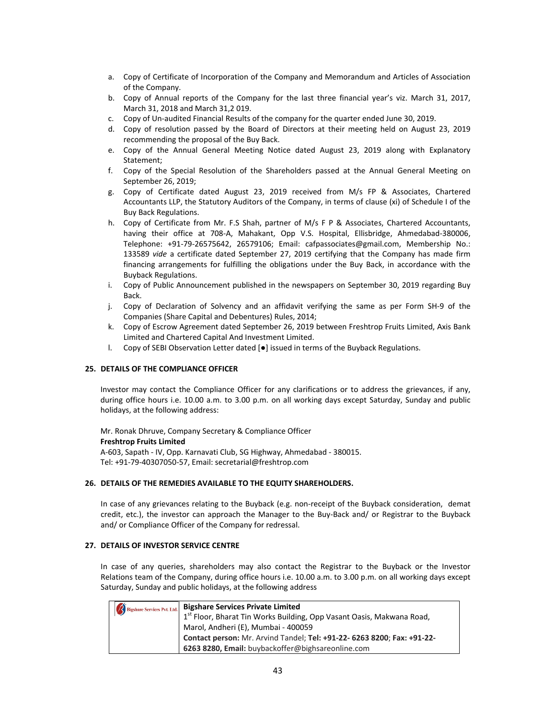- a. Copy of Certificate of Incorporation of the Company and Memorandum and Articles of Association of the Company.
- b. Copy of Annual reports of the Company for the last three financial year's viz. March 31, 2017, March 31, 2018 and March 31,2 019.
- c. Copy of Un‐audited Financial Results of the company for the quarter ended June 30, 2019.
- d. Copy of resolution passed by the Board of Directors at their meeting held on August 23, 2019 recommending the proposal of the Buy Back.
- e. Copy of the Annual General Meeting Notice dated August 23, 2019 along with Explanatory Statement;
- f. Copy of the Special Resolution of the Shareholders passed at the Annual General Meeting on September 26, 2019;
- g. Copy of Certificate dated August 23, 2019 received from M/s FP & Associates, Chartered Accountants LLP, the Statutory Auditors of the Company, in terms of clause (xi) of Schedule I of the Buy Back Regulations.
- h. Copy of Certificate from Mr. F.S Shah, partner of M/s F P & Associates, Chartered Accountants, having their office at 708‐A, Mahakant, Opp V.S. Hospital, Ellisbridge, Ahmedabad‐380006, Telephone: +91‐79‐26575642, 26579106; Email: cafpassociates@gmail.com, Membership No.: 133589 *vide* a certificate dated September 27, 2019 certifying that the Company has made firm financing arrangements for fulfilling the obligations under the Buy Back, in accordance with the Buyback Regulations.
- i. Copy of Public Announcement published in the newspapers on September 30, 2019 regarding Buy Back.
- j. Copy of Declaration of Solvency and an affidavit verifying the same as per Form SH‐9 of the Companies (Share Capital and Debentures) Rules, 2014;
- k. Copy of Escrow Agreement dated September 26, 2019 between Freshtrop Fruits Limited, Axis Bank Limited and Chartered Capital And Investment Limited.
- l. Copy of SEBI Observation Letter dated [●] issued in terms of the Buyback Regulations.

## **25. DETAILS OF THE COMPLIANCE OFFICER**

Investor may contact the Compliance Officer for any clarifications or to address the grievances, if any, during office hours i.e. 10.00 a.m. to 3.00 p.m. on all working days except Saturday, Sunday and public holidays, at the following address:

Mr. Ronak Dhruve, Company Secretary & Compliance Officer **Freshtrop Fruits Limited** A‐603, Sapath ‐ IV, Opp. Karnavati Club, SG Highway, Ahmedabad ‐ 380015.

Tel: +91‐79‐40307050‐57, Email: secretarial@freshtrop.com

#### **26. DETAILS OF THE REMEDIES AVAILABLE TO THE EQUITY SHAREHOLDERS.**

In case of any grievances relating to the Buyback (e.g. non-receipt of the Buyback consideration, demat credit, etc.), the investor can approach the Manager to the Buy‐Back and/ or Registrar to the Buyback and/ or Compliance Officer of the Company for redressal.

#### **27. DETAILS OF INVESTOR SERVICE CENTRE**

In case of any queries, shareholders may also contact the Registrar to the Buyback or the Investor Relations team of the Company, during office hours i.e. 10.00 a.m. to 3.00 p.m. on all working days except Saturday, Sunday and public holidays, at the following address

| Bigshare Services Pvt. Ltd. | <b>Bigshare Services Private Limited</b>                                          |
|-----------------------------|-----------------------------------------------------------------------------------|
|                             | 1 <sup>st</sup> Floor, Bharat Tin Works Building, Opp Vasant Oasis, Makwana Road, |
|                             | Marol, Andheri (E), Mumbai - 400059                                               |
|                             | Contact person: Mr. Arvind Tandel; Tel: +91-22- 6263 8200; Fax: +91-22-           |
|                             | 6263 8280, Email: buybackoffer@bighsareonline.com                                 |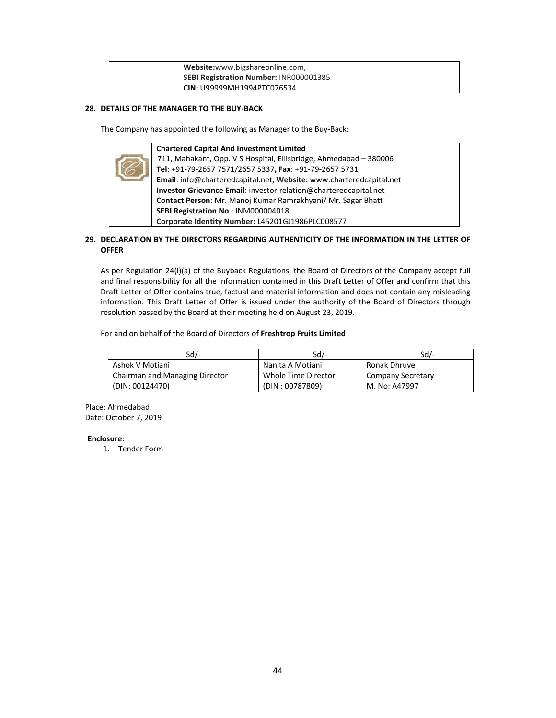| Website:www.bigshareonline.com,        |
|----------------------------------------|
| SEBI Registration Number: INR000001385 |
| CIN: U99999MH1994PTC076534             |

# **28. DETAILS OF THE MANAGER TO THE BUY‐BACK**

The Company has appointed the following as Manager to the Buy‐Back:

| <b>Chartered Capital And Investment Limited</b>                     |
|---------------------------------------------------------------------|
| 711, Mahakant, Opp. V S Hospital, Ellisbridge, Ahmedabad - 380006   |
| Tel: +91-79-2657 7571/2657 5337, Fax: +91-79-2657 5731              |
| Email: info@charteredcapital.net, Website: www.charteredcapital.net |
| Investor Grievance Email: investor.relation@charteredcapital.net    |
| Contact Person: Mr. Manoj Kumar Ramrakhyani/ Mr. Sagar Bhatt        |
| SEBI Registration No.: INM000004018                                 |
| Corporate Identity Number: L45201GJ1986PLC008577                    |

# **29. DECLARATION BY THE DIRECTORS REGARDING AUTHENTICITY OF THE INFORMATION IN THE LETTER OF OFFER**

As per Regulation 24(i)(a) of the Buyback Regulations, the Board of Directors of the Company accept full and final responsibility for all the information contained in this Draft Letter of Offer and confirm that this Draft Letter of Offer contains true, factual and material information and does not contain any misleading information. This Draft Letter of Offer is issued under the authority of the Board of Directors through resolution passed by the Board at their meeting held on August 23, 2019.

For and on behalf of the Board of Directors of **Freshtrop Fruits Limited**

| Sd/-                           | Sd/-                | Sd/-                     |
|--------------------------------|---------------------|--------------------------|
| Ashok V Motiani                | Nanita A Motiani    | Ronak Dhruve             |
| Chairman and Managing Director | Whole Time Director | <b>Company Secretary</b> |
| (DIN: 00124470)                | (DIN: 00787809)     | M. No: A47997            |

Place: Ahmedabad Date: October 7, 2019

# **Enclosure:**

1. Tender Form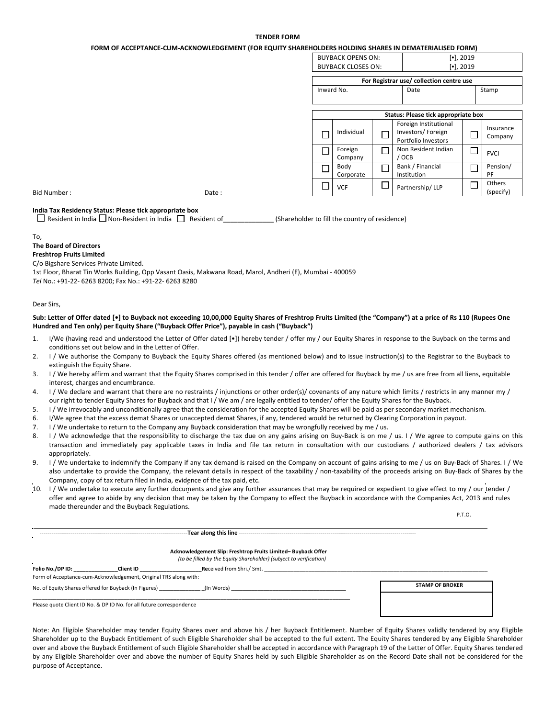#### **TENDER FORM**

**FORM OF ACCEPTANCE‐CUM‐ACKNOWLEDGEMENT (FOR EQUITY SHAREHOLDERS HOLDING SHARES IN DEMATERIALISED FORM)**

|             | TUMIN'UI ACCEFTANCE-CONFACIMUNICIDOLINIENT (TUM EQUITTUIANCHUCLUM) HULDINU JIIAMEJ IN DEMATEMALIJED TUMINI |   |                           |   |                                                                   |                                 |                      |
|-------------|------------------------------------------------------------------------------------------------------------|---|---------------------------|---|-------------------------------------------------------------------|---------------------------------|----------------------|
|             |                                                                                                            |   | <b>BUYBACK OPENS ON:</b>  |   |                                                                   | $\left[ \bullet \right]$ , 2019 |                      |
|             |                                                                                                            |   | <b>BUYBACK CLOSES ON:</b> |   |                                                                   | $\left[ \bullet \right]$ , 2019 |                      |
|             |                                                                                                            |   |                           |   | For Registrar use/ collection centre use                          |                                 |                      |
|             |                                                                                                            |   | Inward No.                |   | Date                                                              |                                 | Stamp                |
|             |                                                                                                            |   |                           |   |                                                                   |                                 |                      |
|             |                                                                                                            |   |                           |   | Status: Please tick appropriate box                               |                                 |                      |
|             |                                                                                                            | ⊏ | Individual                |   | Foreign Institutional<br>Investors/Foreign<br>Portfolio Investors |                                 | Insurance<br>Company |
|             |                                                                                                            | ┍ | Foreign<br>Company        |   | Non Resident Indian<br>' OCB                                      | $\Box$                          | <b>FVCI</b>          |
|             |                                                                                                            |   | Body<br>Corporate         |   | Bank / Financial<br>Institution                                   |                                 | Pension/<br>PF       |
| Bid Number: | Date:                                                                                                      |   | <b>VCF</b>                | └ | Partnership/LLP                                                   |                                 | Others<br>(specify)  |

## **India Tax Residency Status: Please tick appropriate box**

 $\Box$  Resident in India  $\Box$  Non-Resident in India  $\Box$  Resident of \_\_\_\_\_\_\_\_\_\_\_\_\_\_\_\_\_(Shareholder to fill the country of residence)

#### To,

#### **The Board of Directors**

# **Freshtrop Fruits Limited**

C/o Bigshare Services Private Limited.

1st Floor, Bharat Tin Works Building, Opp Vasant Oasis, Makwana Road, Marol, Andheri (E), Mumbai ‐ 400059 *Tel* No.: +91‐22‐ 6263 8200; Fax No.: +91‐22‐ 6263 8280

#### Dear Sirs,

#### Sub: Letter of Offer dated [·] to Buyback not exceeding 10,00,000 Equity Shares of Freshtrop Fruits Limited (the "Company") at a price of Rs 110 (Rupees One **Hundred and Ten only) per Equity Share ("Buyback Offer Price"), payable in cash ("Buyback")**

- 1. I/We (having read and understood the Letter of Offer dated [•]) hereby tender / offer my / our Equity Shares in response to the Buyback on the terms and conditions set out below and in the Letter of Offer.
- 2. I / We authorise the Company to Buyback the Equity Shares offered (as mentioned below) and to issue instruction(s) to the Registrar to the Buyback to extinguish the Equity Share.
- 3. I / We hereby affirm and warrant that the Equity Shares comprised in this tender / offer are offered for Buyback by me / us are free from all liens, equitable interest, charges and encumbrance.
- 4. I / We declare and warrant that there are no restraints / injunctions or other order(s)/ covenants of any nature which limits / restricts in any manner my / our right to tender Equity Shares for Buyback and that I / We am / are legally entitled to tender/ offer the Equity Shares for the Buyback.
- 5. I / We irrevocably and unconditionally agree that the consideration for the accepted Equity Shares will be paid as per secondary market mechanism.
- 6. I/We agree that the excess demat Shares or unaccepted demat Shares, if any, tendered would be returned by Clearing Corporation in payout.
- 7. I / We undertake to return to the Company any Buyback consideration that may be wrongfully received by me / us.

‐‐‐‐‐‐‐‐‐‐‐‐‐‐‐‐‐‐‐‐‐‐‐‐‐‐‐‐‐‐‐‐‐‐‐‐‐‐‐‐‐‐‐‐‐‐‐‐‐‐‐‐‐‐‐‐‐‐‐‐‐‐‐‐‐‐‐‐‐‐‐‐‐‐‐‐**Tear along this line** ‐‐‐‐‐‐‐‐‐‐‐‐‐‐‐‐‐‐‐‐‐‐‐‐‐‐‐‐‐‐‐‐‐‐‐‐‐‐‐‐‐‐‐‐‐‐‐‐‐‐‐‐‐‐‐‐‐‐‐‐‐‐‐‐‐‐‐‐‐‐‐‐‐‐‐‐‐‐‐‐‐‐‐‐‐‐‐‐‐‐‐

- 8. I / We acknowledge that the responsibility to discharge the tax due on any gains arising on Buy-Back is on me / us. I / We agree to compute gains on this transaction and immediately pay applicable taxes in India and file tax return in consultation with our custodians / authorized dealers / tax advisors appropriately.
- 9. I / We undertake to indemnify the Company if any tax demand is raised on the Company on account of gains arising to me / us on Buy-Back of Shares. I / We also undertake to provide the Company, the relevant details in respect of the taxability / non-taxability of the proceeds arising on Buy-Back of Shares by the Company, copy of tax return filed in India, evidence of the tax paid, etc.
- 10. I / We undertake to execute any further documents and give any further assurances that may be required or expedient to give effect to my / our tender / offer and agree to abide by any decision that may be taken by the Company to effect the Buyback in accordance with the Companies Act, 2013 and rules made thereunder and the Buyback Regulations.

P.T.O.

|                  |                                                                      | Acknowledgement Slip: Freshtrop Fruits Limited-Buyback Offer<br>(to be filled by the Equity Shareholder) (subject to verification) |                        |
|------------------|----------------------------------------------------------------------|------------------------------------------------------------------------------------------------------------------------------------|------------------------|
| Folio No./DP ID: | Client ID                                                            | Received from Shri./ Smt.                                                                                                          |                        |
|                  | Form of Acceptance-cum-Acknowledgement, Original TRS along with:     |                                                                                                                                    |                        |
|                  | No. of Equity Shares offered for Buyback (In Figures)                | (In Words) in the United States of the United States of the United States of the United States of the United S                     | <b>STAMP OF BROKER</b> |
|                  | Please quote Client ID No. & DP ID No. for all future correspondence |                                                                                                                                    |                        |

Note: An Eligible Shareholder may tender Equity Shares over and above his / her Buyback Entitlement. Number of Equity Shares validly tendered by any Eligible Shareholder up to the Buyback Entitlement of such Eligible Shareholder shall be accepted to the full extent. The Equity Shares tendered by any Eligible Shareholder over and above the Buyback Entitlement of such Eligible Shareholder shall be accepted in accordance with Paragraph 19 of the Letter of Offer. Equity Shares tendered by any Eligible Shareholder over and above the number of Equity Shares held by such Eligible Shareholder as on the Record Date shall not be considered for the purpose of Acceptance.